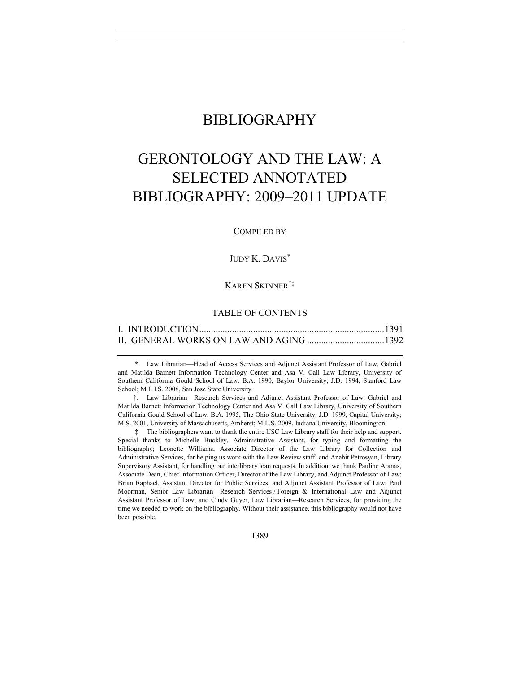# BIBLIOGRAPHY

# GERONTOLOGY AND THE LAW: A SELECTED ANNOTATED BIBLIOGRAPHY: 2009–2011 UPDATE

COMPILED BY

# JUDY K. DAVIS\*

# KAREN SKINNER†‡

# TABLE OF CONTENTS

\* Law Librarian—Head of Access Services and Adjunct Assistant Professor of Law, Gabriel and Matilda Barnett Information Technology Center and Asa V. Call Law Library, University of Southern California Gould School of Law. B.A. 1990, Baylor University; J.D. 1994, Stanford Law School; M.L.I.S. 2008, San Jose State University.

†. Law Librarian—Research Services and Adjunct Assistant Professor of Law, Gabriel and Matilda Barnett Information Technology Center and Asa V. Call Law Library, University of Southern California Gould School of Law. B.A. 1995, The Ohio State University; J.D. 1999, Capital University; M.S. 2001, University of Massachusetts, Amherst; M.L.S. 2009, Indiana University, Bloomington.

‡ The bibliographers want to thank the entire USC Law Library staff for their help and support. Special thanks to Michelle Buckley, Administrative Assistant, for typing and formatting the bibliography; Leonette Williams, Associate Director of the Law Library for Collection and Administrative Services, for helping us work with the Law Review staff; and Anahit Petrosyan, Library Supervisory Assistant, for handling our interlibrary loan requests. In addition, we thank Pauline Aranas, Associate Dean, Chief Information Officer, Director of the Law Library, and Adjunct Professor of Law; Brian Raphael, Assistant Director for Public Services, and Adjunct Assistant Professor of Law; Paul Moorman, Senior Law Librarian—Research Services / Foreign & International Law and Adjunct Assistant Professor of Law; and Cindy Guyer, Law Librarian—Research Services, for providing the time we needed to work on the bibliography. Without their assistance, this bibliography would not have been possible.

1389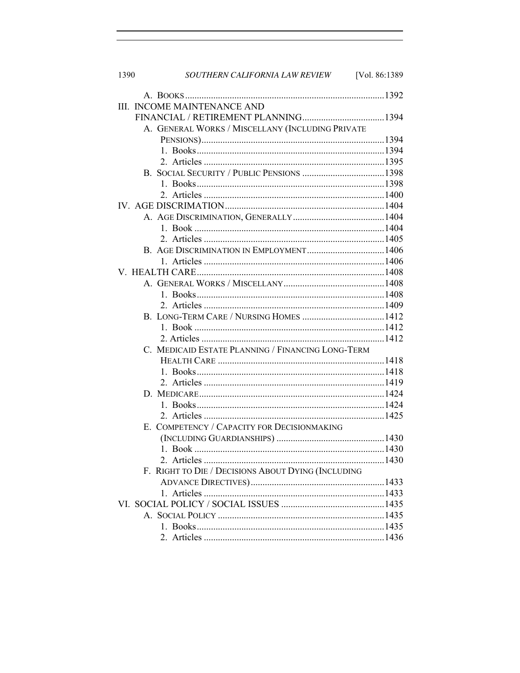| 1390                                               | SOUTHERN CALIFORNIA LAW REVIEW [Vol. 86:1389      |        |  |
|----------------------------------------------------|---------------------------------------------------|--------|--|
|                                                    |                                                   |        |  |
|                                                    | III. INCOME MAINTENANCE AND                       |        |  |
|                                                    |                                                   |        |  |
|                                                    | A. GENERAL WORKS / MISCELLANY (INCLUDING PRIVATE  |        |  |
|                                                    |                                                   |        |  |
|                                                    |                                                   |        |  |
|                                                    |                                                   |        |  |
|                                                    |                                                   |        |  |
|                                                    |                                                   |        |  |
|                                                    |                                                   |        |  |
|                                                    |                                                   |        |  |
|                                                    |                                                   |        |  |
|                                                    |                                                   |        |  |
|                                                    |                                                   |        |  |
|                                                    |                                                   |        |  |
|                                                    |                                                   |        |  |
|                                                    |                                                   |        |  |
|                                                    |                                                   |        |  |
|                                                    |                                                   |        |  |
|                                                    |                                                   |        |  |
|                                                    |                                                   |        |  |
|                                                    |                                                   |        |  |
|                                                    |                                                   |        |  |
|                                                    | C. MEDICAID ESTATE PLANNING / FINANCING LONG-TERM |        |  |
|                                                    |                                                   |        |  |
|                                                    |                                                   |        |  |
|                                                    |                                                   |        |  |
|                                                    |                                                   |        |  |
|                                                    |                                                   |        |  |
|                                                    |                                                   |        |  |
|                                                    | E. COMPETENCY / CAPACITY FOR DECISIONMAKING       |        |  |
|                                                    |                                                   |        |  |
|                                                    | 1. Book.                                          | . 1430 |  |
|                                                    |                                                   |        |  |
| F. RIGHT TO DIE / DECISIONS ABOUT DYING (INCLUDING |                                                   |        |  |
|                                                    |                                                   |        |  |
|                                                    |                                                   |        |  |
|                                                    |                                                   |        |  |
|                                                    |                                                   |        |  |
|                                                    |                                                   |        |  |
|                                                    |                                                   |        |  |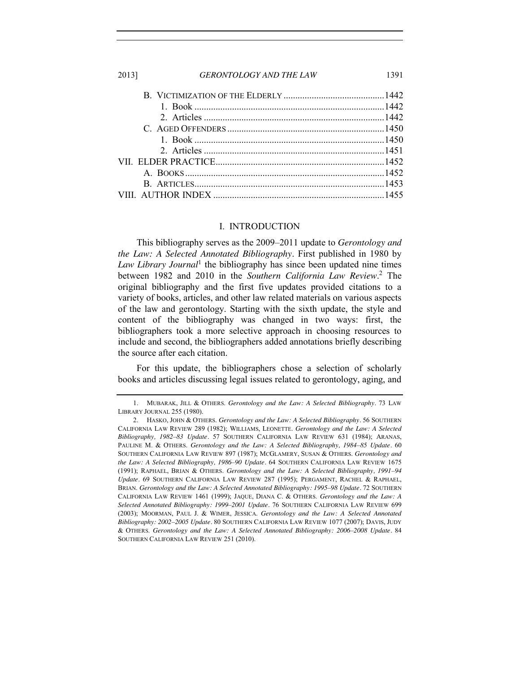#### I. INTRODUCTION

<span id="page-2-0"></span>This bibliography serves as the 2009–2011 update to *Gerontology and the Law: A Selected Annotated Bibliography*. First published in 1980 by *Law Library Journal*<sup>1</sup> the bibliography has since been updated nine times between 1982 and 2010 in the *Southern California Law Review*. <sup>2</sup> The original bibliography and the first five updates provided citations to a variety of books, articles, and other law related materials on various aspects of the law and gerontology. Starting with the sixth update, the style and content of the bibliography was changed in two ways: first, the bibliographers took a more selective approach in choosing resources to include and second, the bibliographers added annotations briefly describing the source after each citation.

For this update, the bibliographers chose a selection of scholarly books and articles discussing legal issues related to gerontology, aging, and

<sup>1.</sup> MUBARAK, JILL & OTHERS. *Gerontology and the Law: A Selected Bibliography.* 73 LAW LIBRARY JOURNAL 255 (1980).

<sup>2.</sup> HASKO, JOHN & OTHERS. *Gerontology and the Law: A Selected Bibliography.* 56 SOUTHERN CALIFORNIA LAW REVIEW 289 (1982); WILLIAMS, LEONETTE. *Gerontology and the Law: A Selected Bibliography, 1982–83 Update.* 57 SOUTHERN CALIFORNIA LAW REVIEW 631 (1984); ARANAS, PAULINE M. & OTHERS. *Gerontology and the Law: A Selected Bibliography, 1984–85 Update.* 60 SOUTHERN CALIFORNIA LAW REVIEW 897 (1987); MCGLAMERY, SUSAN & OTHERS. *Gerontology and the Law: A Selected Bibliography, 1986–90 Update.* 64 SOUTHERN CALIFORNIA LAW REVIEW 1675 (1991); RAPHAEL, BRIAN & OTHERS. *Gerontology and the Law: A Selected Bibliography, 1991–94 Update.* 69 SOUTHERN CALIFORNIA LAW REVIEW 287 (1995); PERGAMENT, RACHEL & RAPHAEL, BRIAN. *Gerontology and the Law: A Selected Annotated Bibliography: 1995–98 Update.* 72 SOUTHERN CALIFORNIA LAW REVIEW 1461 (1999); JAQUE, DIANA C. & OTHERS. *Gerontology and the Law: A Selected Annotated Bibliography: 1999–2001 Update.* 76 SOUTHERN CALIFORNIA LAW REVIEW 699 (2003); MOORMAN, PAUL J. & WIMER, JESSICA. *Gerontology and the Law: A Selected Annotated Bibliography: 2002–2005 Update.* 80 SOUTHERN CALIFORNIA LAW REVIEW 1077 (2007); DAVIS, JUDY & OTHERS. *Gerontology and the Law: A Selected Annotated Bibliography: 2006–2008 Update.* 84 SOUTHERN CALIFORNIA LAW REVIEW 251 (2010).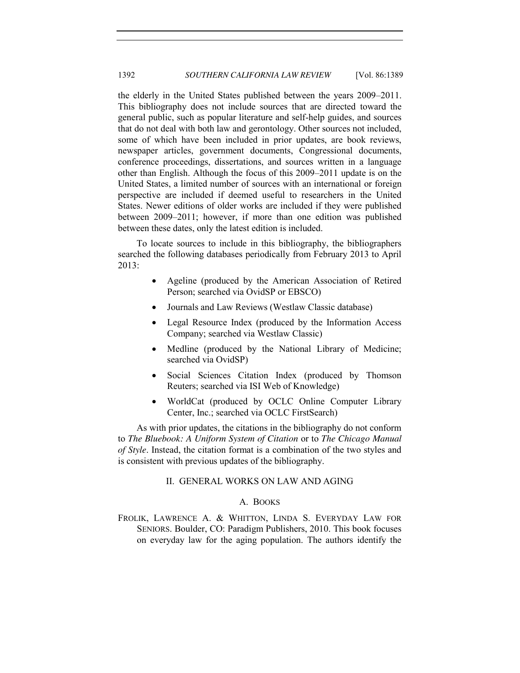the elderly in the United States published between the years 2009–2011. This bibliography does not include sources that are directed toward the general public, such as popular literature and self-help guides, and sources that do not deal with both law and gerontology. Other sources not included, some of which have been included in prior updates, are book reviews, newspaper articles, government documents, Congressional documents, conference proceedings, dissertations, and sources written in a language other than English. Although the focus of this 2009–2011 update is on the United States, a limited number of sources with an international or foreign perspective are included if deemed useful to researchers in the United States. Newer editions of older works are included if they were published between 2009–2011; however, if more than one edition was published between these dates, only the latest edition is included.

To locate sources to include in this bibliography, the bibliographers searched the following databases periodically from February 2013 to April 2013:

- Ageline (produced by the American Association of Retired Person; searched via OvidSP or EBSCO)
- Journals and Law Reviews (Westlaw Classic database)
- Legal Resource Index (produced by the Information Access Company; searched via Westlaw Classic)
- Medline (produced by the National Library of Medicine; searched via OvidSP)
- Social Sciences Citation Index (produced by Thomson Reuters; searched via ISI Web of Knowledge)
- x WorldCat (produced by OCLC Online Computer Library Center, Inc.; searched via OCLC FirstSearch)

<span id="page-3-0"></span>As with prior updates, the citations in the bibliography do not conform to *The Bluebook: A Uniform System of Citation* or to *The Chicago Manual of Style*. Instead, the citation format is a combination of the two styles and is consistent with previous updates of the bibliography.

# II. GENERAL WORKS ON LAW AND AGING

#### A. BOOKS

<span id="page-3-1"></span>FROLIK, LAWRENCE A. & WHITTON, LINDA S. EVERYDAY LAW FOR SENIORS. Boulder, CO: Paradigm Publishers, 2010. This book focuses on everyday law for the aging population. The authors identify the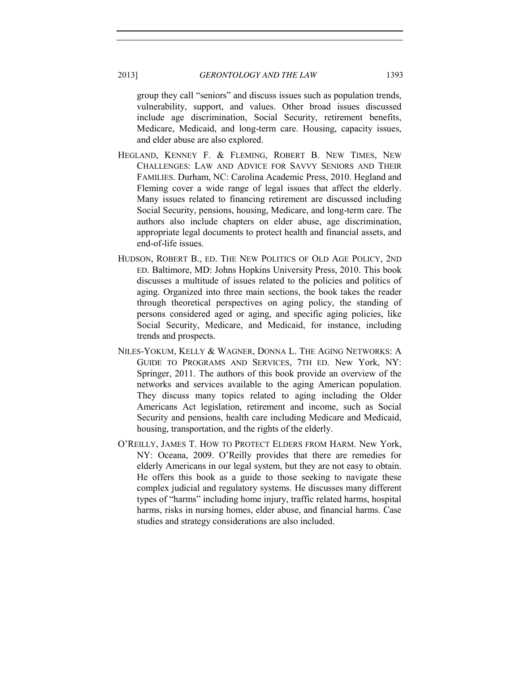group they call "seniors" and discuss issues such as population trends, vulnerability, support, and values. Other broad issues discussed include age discrimination, Social Security, retirement benefits, Medicare, Medicaid, and long-term care. Housing, capacity issues, and elder abuse are also explored.

- HEGLAND, KENNEY F. & FLEMING, ROBERT B. NEW TIMES, NEW CHALLENGES: LAW AND ADVICE FOR SAVVY SENIORS AND THEIR FAMILIES. Durham, NC: Carolina Academic Press, 2010. Hegland and Fleming cover a wide range of legal issues that affect the elderly. Many issues related to financing retirement are discussed including Social Security, pensions, housing, Medicare, and long-term care. The authors also include chapters on elder abuse, age discrimination, appropriate legal documents to protect health and financial assets, and end-of-life issues.
- HUDSON, ROBERT B., ED. THE NEW POLITICS OF OLD AGE POLICY, 2ND ED. Baltimore, MD: Johns Hopkins University Press, 2010. This book discusses a multitude of issues related to the policies and politics of aging. Organized into three main sections, the book takes the reader through theoretical perspectives on aging policy, the standing of persons considered aged or aging, and specific aging policies, like Social Security, Medicare, and Medicaid, for instance, including trends and prospects.
- NILES-YOKUM, KELLY & WAGNER, DONNA L. THE AGING NETWORKS: A GUIDE TO PROGRAMS AND SERVICES, 7TH ED. New York, NY: Springer, 2011. The authors of this book provide an overview of the networks and services available to the aging American population. They discuss many topics related to aging including the Older Americans Act legislation, retirement and income, such as Social Security and pensions, health care including Medicare and Medicaid, housing, transportation, and the rights of the elderly.
- O'REILLY, JAMES T. HOW TO PROTECT ELDERS FROM HARM. New York, NY: Oceana, 2009. O'Reilly provides that there are remedies for elderly Americans in our legal system, but they are not easy to obtain. He offers this book as a guide to those seeking to navigate these complex judicial and regulatory systems. He discusses many different types of "harms" including home injury, traffic related harms, hospital harms, risks in nursing homes, elder abuse, and financial harms. Case studies and strategy considerations are also included.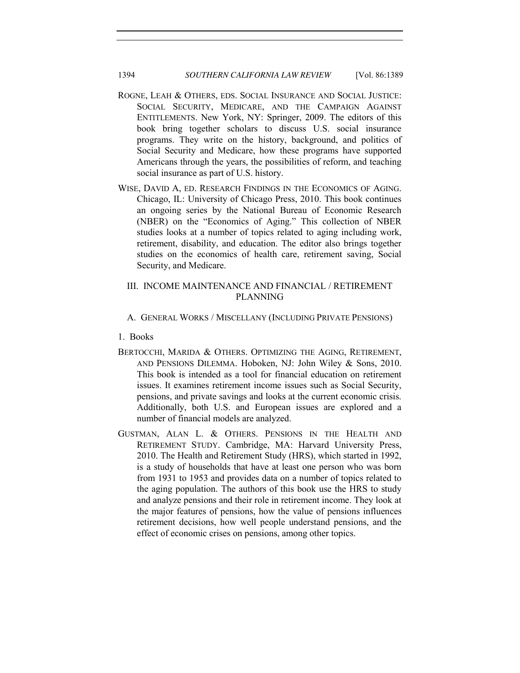# 1394 *SOUTHERN CALIFORNIA LAW REVIEW* [Vol. 86:1389]

- ROGNE, LEAH & OTHERS, EDS. SOCIAL INSURANCE AND SOCIAL JUSTICE: SOCIAL SECURITY, MEDICARE, AND THE CAMPAIGN AGAINST ENTITLEMENTS. New York, NY: Springer, 2009. The editors of this book bring together scholars to discuss U.S. social insurance programs. They write on the history, background, and politics of Social Security and Medicare, how these programs have supported Americans through the years, the possibilities of reform, and teaching social insurance as part of U.S. history.
- WISE, DAVID A, ED. RESEARCH FINDINGS IN THE ECONOMICS OF AGING. Chicago, IL: University of Chicago Press, 2010. This book continues an ongoing series by the National Bureau of Economic Research (NBER) on the "Economics of Aging." This collection of NBER studies looks at a number of topics related to aging including work, retirement, disability, and education. The editor also brings together studies on the economics of health care, retirement saving, Social Security, and Medicare.

# <span id="page-5-0"></span>III. INCOME MAINTENANCE AND FINANCIAL / RETIREMENT PLANNING

# <span id="page-5-1"></span>A. GENERAL WORKS / MISCELLANY (INCLUDING PRIVATE PENSIONS)

<span id="page-5-2"></span>1. Books

- BERTOCCHI, MARIDA & OTHERS. OPTIMIZING THE AGING, RETIREMENT, AND PENSIONS DILEMMA. Hoboken, NJ: John Wiley & Sons, 2010. This book is intended as a tool for financial education on retirement issues. It examines retirement income issues such as Social Security, pensions, and private savings and looks at the current economic crisis. Additionally, both U.S. and European issues are explored and a number of financial models are analyzed.
- GUSTMAN, ALAN L. & OTHERS. PENSIONS IN THE HEALTH AND RETIREMENT STUDY. Cambridge, MA: Harvard University Press, 2010. The Health and Retirement Study (HRS), which started in 1992, is a study of households that have at least one person who was born from 1931 to 1953 and provides data on a number of topics related to the aging population. The authors of this book use the HRS to study and analyze pensions and their role in retirement income. They look at the major features of pensions, how the value of pensions influences retirement decisions, how well people understand pensions, and the effect of economic crises on pensions, among other topics.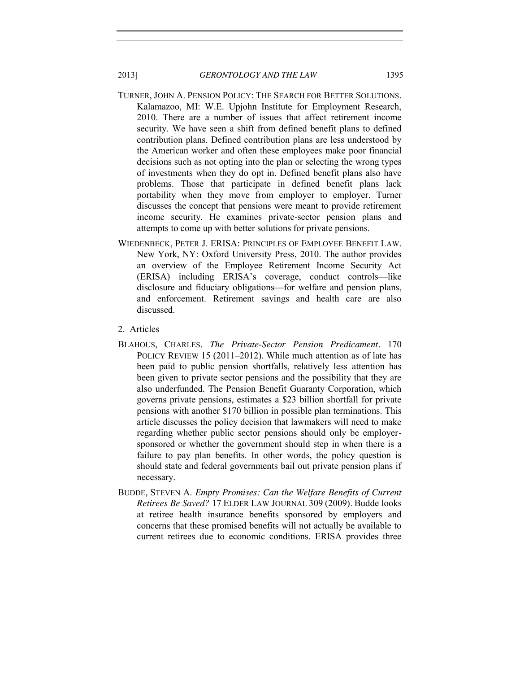- TURNER, JOHN A. PENSION POLICY: THE SEARCH FOR BETTER SOLUTIONS. Kalamazoo, MI: W.E. Upjohn Institute for Employment Research, 2010. There are a number of issues that affect retirement income security. We have seen a shift from defined benefit plans to defined contribution plans. Defined contribution plans are less understood by the American worker and often these employees make poor financial decisions such as not opting into the plan or selecting the wrong types of investments when they do opt in. Defined benefit plans also have problems. Those that participate in defined benefit plans lack portability when they move from employer to employer. Turner discusses the concept that pensions were meant to provide retirement income security. He examines private-sector pension plans and attempts to come up with better solutions for private pensions.
- WIEDENBECK, PETER J. ERISA: PRINCIPLES OF EMPLOYEE BENEFIT LAW. New York, NY: Oxford University Press, 2010. The author provides an overview of the Employee Retirement Income Security Act (ERISA) including ERISA's coverage, conduct controls—like disclosure and fiduciary obligations—for welfare and pension plans, and enforcement. Retirement savings and health care are also discussed.
- <span id="page-6-0"></span>2. Articles
- BLAHOUS, CHARLES. *The Private-Sector Pension Predicament.* 170 POLICY REVIEW 15 (2011–2012). While much attention as of late has been paid to public pension shortfalls, relatively less attention has been given to private sector pensions and the possibility that they are also underfunded. The Pension Benefit Guaranty Corporation, which governs private pensions, estimates a \$23 billion shortfall for private pensions with another \$170 billion in possible plan terminations. This article discusses the policy decision that lawmakers will need to make regarding whether public sector pensions should only be employersponsored or whether the government should step in when there is a failure to pay plan benefits. In other words, the policy question is should state and federal governments bail out private pension plans if necessary.
- BUDDE, STEVEN A. *Empty Promises: Can the Welfare Benefits of Current Retirees Be Saved?* 17 ELDER LAW JOURNAL 309 (2009). Budde looks at retiree health insurance benefits sponsored by employers and concerns that these promised benefits will not actually be available to current retirees due to economic conditions. ERISA provides three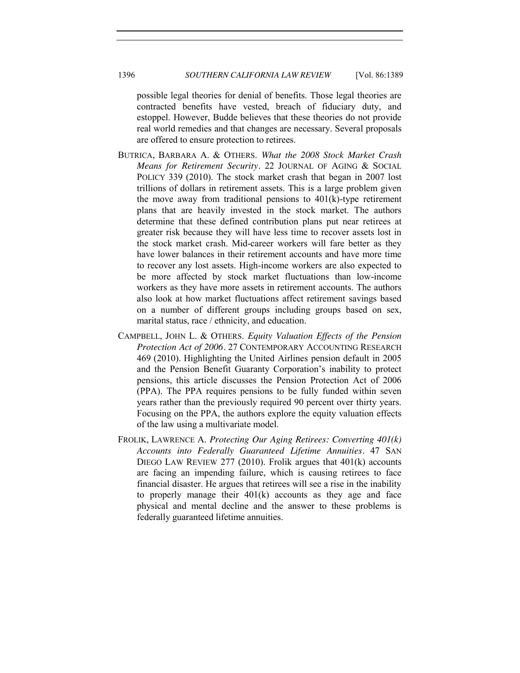possible legal theories for denial of benefits. Those legal theories are contracted benefits have vested, breach of fiduciary duty, and estoppel. However, Budde believes that these theories do not provide real world remedies and that changes are necessary. Several proposals are offered to ensure protection to retirees.

- BUTRICA, BARBARA A. & OTHERS. *What the 2008 Stock Market Crash Means for Retirement Security.* 22 JOURNAL OF AGING & SOCIAL POLICY 339 (2010). The stock market crash that began in 2007 lost trillions of dollars in retirement assets. This is a large problem given the move away from traditional pensions to 401(k)-type retirement plans that are heavily invested in the stock market. The authors determine that these defined contribution plans put near retirees at greater risk because they will have less time to recover assets lost in the stock market crash. Mid-career workers will fare better as they have lower balances in their retirement accounts and have more time to recover any lost assets. High-income workers are also expected to be more affected by stock market fluctuations than low-income workers as they have more assets in retirement accounts. The authors also look at how market fluctuations affect retirement savings based on a number of different groups including groups based on sex, marital status, race / ethnicity, and education.
- CAMPBELL, JOHN L. & OTHERS. *Equity Valuation Effects of the Pension Protection Act of 2006.* 27 CONTEMPORARY ACCOUNTING RESEARCH 469 (2010). Highlighting the United Airlines pension default in 2005 and the Pension Benefit Guaranty Corporation's inability to protect pensions, this article discusses the Pension Protection Act of 2006 (PPA). The PPA requires pensions to be fully funded within seven years rather than the previously required 90 percent over thirty years. Focusing on the PPA, the authors explore the equity valuation effects of the law using a multivariate model.
- FROLIK, LAWRENCE A. *Protecting Our Aging Retirees: Converting 401(k) Accounts into Federally Guaranteed Lifetime Annuities.* 47 SAN DIEGO LAW REVIEW 277 (2010). Frolik argues that 401(k) accounts are facing an impending failure, which is causing retirees to face financial disaster. He argues that retirees will see a rise in the inability to properly manage their 401(k) accounts as they age and face physical and mental decline and the answer to these problems is federally guaranteed lifetime annuities.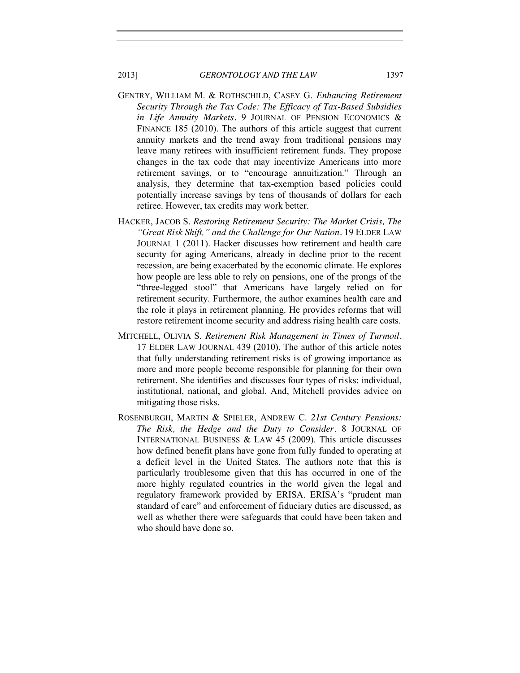- GENTRY, WILLIAM M. & ROTHSCHILD, CASEY G. *Enhancing Retirement Security Through the Tax Code: The Efficacy of Tax-Based Subsidies in Life Annuity Markets.* 9 JOURNAL OF PENSION ECONOMICS & FINANCE 185 (2010). The authors of this article suggest that current annuity markets and the trend away from traditional pensions may leave many retirees with insufficient retirement funds. They propose changes in the tax code that may incentivize Americans into more retirement savings, or to "encourage annuitization." Through an analysis, they determine that tax-exemption based policies could potentially increase savings by tens of thousands of dollars for each retiree. However, tax credits may work better.
- HACKER, JACOB S. *Restoring Retirement Security: The Market Crisis, The "Great Risk Shift," and the Challenge for Our Nation.* 19 ELDER LAW JOURNAL 1 (2011). Hacker discusses how retirement and health care security for aging Americans, already in decline prior to the recent recession, are being exacerbated by the economic climate. He explores how people are less able to rely on pensions, one of the prongs of the "three-legged stool" that Americans have largely relied on for retirement security. Furthermore, the author examines health care and the role it plays in retirement planning. He provides reforms that will restore retirement income security and address rising health care costs.
- MITCHELL, OLIVIA S. *Retirement Risk Management in Times of Turmoil.* 17 ELDER LAW JOURNAL 439 (2010). The author of this article notes that fully understanding retirement risks is of growing importance as more and more people become responsible for planning for their own retirement. She identifies and discusses four types of risks: individual, institutional, national, and global. And, Mitchell provides advice on mitigating those risks.
- ROSENBURGH, MARTIN & SPIELER, ANDREW C. *21st Century Pensions: The Risk, the Hedge and the Duty to Consider.* 8 JOURNAL OF INTERNATIONAL BUSINESS & LAW 45 (2009). This article discusses how defined benefit plans have gone from fully funded to operating at a deficit level in the United States. The authors note that this is particularly troublesome given that this has occurred in one of the more highly regulated countries in the world given the legal and regulatory framework provided by ERISA. ERISA's "prudent man standard of care" and enforcement of fiduciary duties are discussed, as well as whether there were safeguards that could have been taken and who should have done so.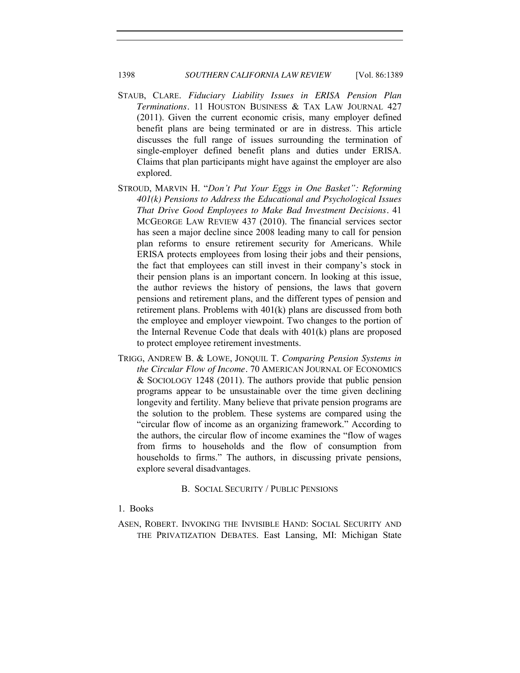# 1398 *SOUTHERN CALIFORNIA LAW REVIEW* [Vol. 86:1389

- STAUB, CLARE. *Fiduciary Liability Issues in ERISA Pension Plan Terminations.* 11 HOUSTON BUSINESS & TAX LAW JOURNAL 427 (2011). Given the current economic crisis, many employer defined benefit plans are being terminated or are in distress. This article discusses the full range of issues surrounding the termination of single-employer defined benefit plans and duties under ERISA. Claims that plan participants might have against the employer are also explored.
- STROUD, MARVIN H. "*Don't Put Your Eggs in One Basket": Reforming 401(k) Pensions to Address the Educational and Psychological Issues That Drive Good Employees to Make Bad Investment Decisions.* 41 MCGEORGE LAW REVIEW 437 (2010). The financial services sector has seen a major decline since 2008 leading many to call for pension plan reforms to ensure retirement security for Americans. While ERISA protects employees from losing their jobs and their pensions, the fact that employees can still invest in their company's stock in their pension plans is an important concern. In looking at this issue, the author reviews the history of pensions, the laws that govern pensions and retirement plans, and the different types of pension and retirement plans. Problems with 401(k) plans are discussed from both the employee and employer viewpoint. Two changes to the portion of the Internal Revenue Code that deals with 401(k) plans are proposed to protect employee retirement investments.
- TRIGG, ANDREW B. & LOWE, JONQUIL T. *Comparing Pension Systems in the Circular Flow of Income.* 70 AMERICAN JOURNAL OF ECONOMICS & SOCIOLOGY 1248 (2011). The authors provide that public pension programs appear to be unsustainable over the time given declining longevity and fertility. Many believe that private pension programs are the solution to the problem. These systems are compared using the "circular flow of income as an organizing framework." According to the authors, the circular flow of income examines the "flow of wages from firms to households and the flow of consumption from households to firms." The authors, in discussing private pensions, explore several disadvantages.

#### B. SOCIAL SECURITY / PUBLIC PENSIONS

# <span id="page-9-1"></span><span id="page-9-0"></span>1. Books

ASEN, ROBERT. INVOKING THE INVISIBLE HAND: SOCIAL SECURITY AND THE PRIVATIZATION DEBATES. East Lansing, MI: Michigan State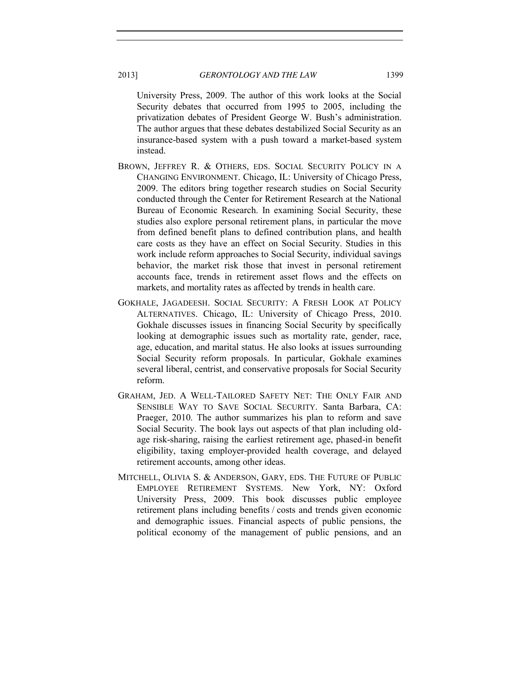University Press, 2009. The author of this work looks at the Social Security debates that occurred from 1995 to 2005, including the privatization debates of President George W. Bush's administration. The author argues that these debates destabilized Social Security as an insurance-based system with a push toward a market-based system instead.

- BROWN, JEFFREY R. & OTHERS, EDS. SOCIAL SECURITY POLICY IN A CHANGING ENVIRONMENT. Chicago, IL: University of Chicago Press, 2009. The editors bring together research studies on Social Security conducted through the Center for Retirement Research at the National Bureau of Economic Research. In examining Social Security, these studies also explore personal retirement plans, in particular the move from defined benefit plans to defined contribution plans, and health care costs as they have an effect on Social Security. Studies in this work include reform approaches to Social Security, individual savings behavior, the market risk those that invest in personal retirement accounts face, trends in retirement asset flows and the effects on markets, and mortality rates as affected by trends in health care.
- GOKHALE, JAGADEESH. SOCIAL SECURITY: A FRESH LOOK AT POLICY ALTERNATIVES. Chicago, IL: University of Chicago Press, 2010. Gokhale discusses issues in financing Social Security by specifically looking at demographic issues such as mortality rate, gender, race, age, education, and marital status. He also looks at issues surrounding Social Security reform proposals. In particular, Gokhale examines several liberal, centrist, and conservative proposals for Social Security reform.
- GRAHAM, JED. A WELL-TAILORED SAFETY NET: THE ONLY FAIR AND SENSIBLE WAY TO SAVE SOCIAL SECURITY. Santa Barbara, CA: Praeger, 2010. The author summarizes his plan to reform and save Social Security. The book lays out aspects of that plan including oldage risk-sharing, raising the earliest retirement age, phased-in benefit eligibility, taxing employer-provided health coverage, and delayed retirement accounts, among other ideas.
- MITCHELL, OLIVIA S. & ANDERSON, GARY, EDS. THE FUTURE OF PUBLIC EMPLOYEE RETIREMENT SYSTEMS. New York, NY: Oxford University Press, 2009. This book discusses public employee retirement plans including benefits / costs and trends given economic and demographic issues. Financial aspects of public pensions, the political economy of the management of public pensions, and an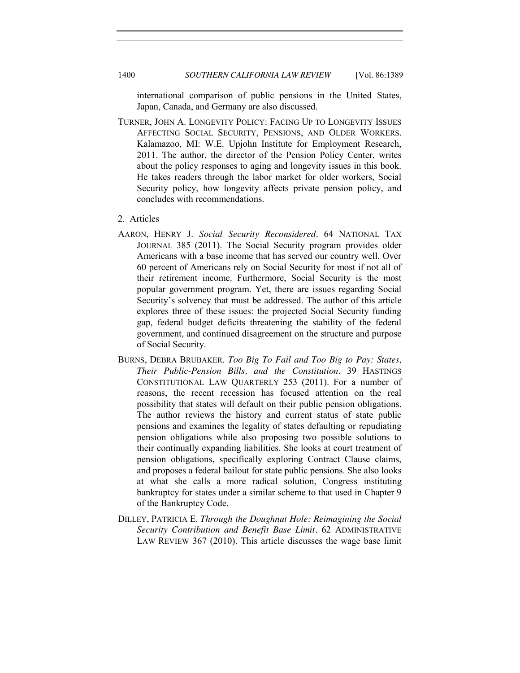international comparison of public pensions in the United States, Japan, Canada, and Germany are also discussed.

- TURNER, JOHN A. LONGEVITY POLICY: FACING UP TO LONGEVITY ISSUES AFFECTING SOCIAL SECURITY, PENSIONS, AND OLDER WORKERS. Kalamazoo, MI: W.E. Upjohn Institute for Employment Research, 2011. The author, the director of the Pension Policy Center, writes about the policy responses to aging and longevity issues in this book. He takes readers through the labor market for older workers, Social Security policy, how longevity affects private pension policy, and concludes with recommendations.
- <span id="page-11-0"></span>2. Articles
- AARON, HENRY J. *Social Security Reconsidered.* 64 NATIONAL TAX JOURNAL 385 (2011). The Social Security program provides older Americans with a base income that has served our country well. Over 60 percent of Americans rely on Social Security for most if not all of their retirement income. Furthermore, Social Security is the most popular government program. Yet, there are issues regarding Social Security's solvency that must be addressed. The author of this article explores three of these issues: the projected Social Security funding gap, federal budget deficits threatening the stability of the federal government, and continued disagreement on the structure and purpose of Social Security.
- BURNS, DEBRA BRUBAKER. *Too Big To Fail and Too Big to Pay: States, Their Public-Pension Bills, and the Constitution.* 39 HASTINGS CONSTITUTIONAL LAW QUARTERLY 253 (2011). For a number of reasons, the recent recession has focused attention on the real possibility that states will default on their public pension obligations. The author reviews the history and current status of state public pensions and examines the legality of states defaulting or repudiating pension obligations while also proposing two possible solutions to their continually expanding liabilities. She looks at court treatment of pension obligations, specifically exploring Contract Clause claims, and proposes a federal bailout for state public pensions. She also looks at what she calls a more radical solution, Congress instituting bankruptcy for states under a similar scheme to that used in Chapter 9 of the Bankruptcy Code.
- DILLEY, PATRICIA E. *Through the Doughnut Hole: Reimagining the Social Security Contribution and Benefit Base Limit.* 62 ADMINISTRATIVE LAW REVIEW 367 (2010). This article discusses the wage base limit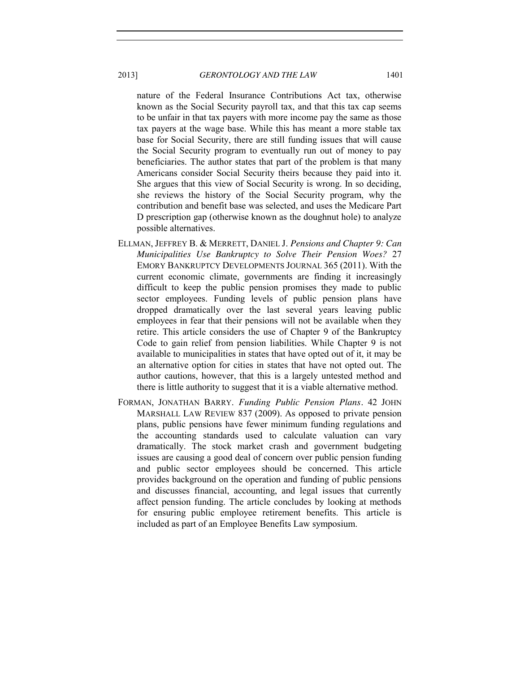nature of the Federal Insurance Contributions Act tax, otherwise known as the Social Security payroll tax, and that this tax cap seems to be unfair in that tax payers with more income pay the same as those tax payers at the wage base. While this has meant a more stable tax base for Social Security, there are still funding issues that will cause the Social Security program to eventually run out of money to pay beneficiaries. The author states that part of the problem is that many Americans consider Social Security theirs because they paid into it. She argues that this view of Social Security is wrong. In so deciding, she reviews the history of the Social Security program, why the contribution and benefit base was selected, and uses the Medicare Part D prescription gap (otherwise known as the doughnut hole) to analyze possible alternatives.

- ELLMAN, JEFFREY B. & MERRETT, DANIEL J. *Pensions and Chapter 9: Can Municipalities Use Bankruptcy to Solve Their Pension Woes?* 27 EMORY BANKRUPTCY DEVELOPMENTS JOURNAL 365 (2011). With the current economic climate, governments are finding it increasingly difficult to keep the public pension promises they made to public sector employees. Funding levels of public pension plans have dropped dramatically over the last several years leaving public employees in fear that their pensions will not be available when they retire. This article considers the use of Chapter 9 of the Bankruptcy Code to gain relief from pension liabilities. While Chapter 9 is not available to municipalities in states that have opted out of it, it may be an alternative option for cities in states that have not opted out. The author cautions, however, that this is a largely untested method and there is little authority to suggest that it is a viable alternative method.
- FORMAN, JONATHAN BARRY. *Funding Public Pension Plans.* 42 JOHN MARSHALL LAW REVIEW 837 (2009). As opposed to private pension plans, public pensions have fewer minimum funding regulations and the accounting standards used to calculate valuation can vary dramatically. The stock market crash and government budgeting issues are causing a good deal of concern over public pension funding and public sector employees should be concerned. This article provides background on the operation and funding of public pensions and discusses financial, accounting, and legal issues that currently affect pension funding. The article concludes by looking at methods for ensuring public employee retirement benefits. This article is included as part of an Employee Benefits Law symposium.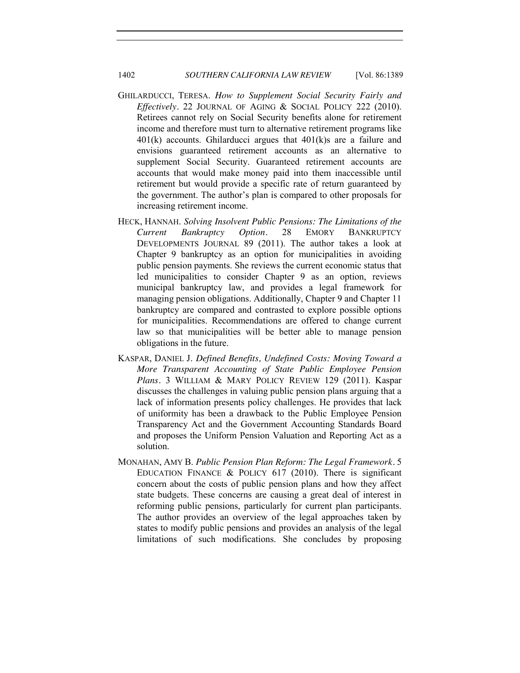- GHILARDUCCI, TERESA. *How to Supplement Social Security Fairly and Effectively.* 22 JOURNAL OF AGING & SOCIAL POLICY 222 (2010). Retirees cannot rely on Social Security benefits alone for retirement income and therefore must turn to alternative retirement programs like 401(k) accounts. Ghilarducci argues that 401(k)s are a failure and envisions guaranteed retirement accounts as an alternative to supplement Social Security. Guaranteed retirement accounts are accounts that would make money paid into them inaccessible until retirement but would provide a specific rate of return guaranteed by the government. The author's plan is compared to other proposals for increasing retirement income.
- HECK, HANNAH. *Solving Insolvent Public Pensions: The Limitations of the Current Bankruptcy Option.* 28 EMORY BANKRUPTCY DEVELOPMENTS JOURNAL 89 (2011). The author takes a look at Chapter 9 bankruptcy as an option for municipalities in avoiding public pension payments. She reviews the current economic status that led municipalities to consider Chapter 9 as an option, reviews municipal bankruptcy law, and provides a legal framework for managing pension obligations. Additionally, Chapter 9 and Chapter 11 bankruptcy are compared and contrasted to explore possible options for municipalities. Recommendations are offered to change current law so that municipalities will be better able to manage pension obligations in the future.
- KASPAR, DANIEL J. *Defined Benefits, Undefined Costs: Moving Toward a More Transparent Accounting of State Public Employee Pension Plans.* 3 WILLIAM & MARY POLICY REVIEW 129 (2011). Kaspar discusses the challenges in valuing public pension plans arguing that a lack of information presents policy challenges. He provides that lack of uniformity has been a drawback to the Public Employee Pension Transparency Act and the Government Accounting Standards Board and proposes the Uniform Pension Valuation and Reporting Act as a solution.
- MONAHAN, AMY B. *Public Pension Plan Reform: The Legal Framework.* 5 EDUCATION FINANCE & POLICY 617 (2010). There is significant concern about the costs of public pension plans and how they affect state budgets. These concerns are causing a great deal of interest in reforming public pensions, particularly for current plan participants. The author provides an overview of the legal approaches taken by states to modify public pensions and provides an analysis of the legal limitations of such modifications. She concludes by proposing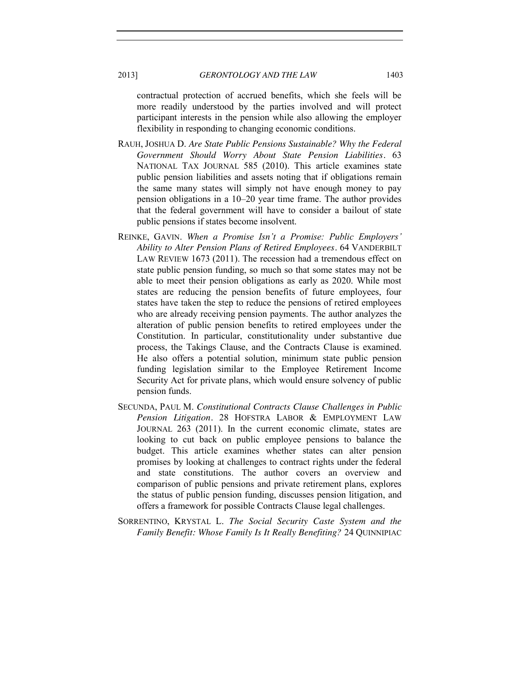contractual protection of accrued benefits, which she feels will be more readily understood by the parties involved and will protect participant interests in the pension while also allowing the employer flexibility in responding to changing economic conditions.

- RAUH, JOSHUA D. *Are State Public Pensions Sustainable? Why the Federal Government Should Worry About State Pension Liabilities.* 63 NATIONAL TAX JOURNAL 585 (2010). This article examines state public pension liabilities and assets noting that if obligations remain the same many states will simply not have enough money to pay pension obligations in a 10–20 year time frame. The author provides that the federal government will have to consider a bailout of state public pensions if states become insolvent.
- REINKE, GAVIN. *When a Promise Isn't a Promise: Public Employers' Ability to Alter Pension Plans of Retired Employees.* 64 VANDERBILT LAW REVIEW 1673 (2011). The recession had a tremendous effect on state public pension funding, so much so that some states may not be able to meet their pension obligations as early as 2020. While most states are reducing the pension benefits of future employees, four states have taken the step to reduce the pensions of retired employees who are already receiving pension payments. The author analyzes the alteration of public pension benefits to retired employees under the Constitution. In particular, constitutionality under substantive due process, the Takings Clause, and the Contracts Clause is examined. He also offers a potential solution, minimum state public pension funding legislation similar to the Employee Retirement Income Security Act for private plans, which would ensure solvency of public pension funds.
- SECUNDA, PAUL M. *Constitutional Contracts Clause Challenges in Public Pension Litigation.* 28 HOFSTRA LABOR & EMPLOYMENT LAW JOURNAL 263 (2011). In the current economic climate, states are looking to cut back on public employee pensions to balance the budget. This article examines whether states can alter pension promises by looking at challenges to contract rights under the federal and state constitutions. The author covers an overview and comparison of public pensions and private retirement plans, explores the status of public pension funding, discusses pension litigation, and offers a framework for possible Contracts Clause legal challenges.
- SORRENTINO, KRYSTAL L. *The Social Security Caste System and the Family Benefit: Whose Family Is It Really Benefiting?* 24 QUINNIPIAC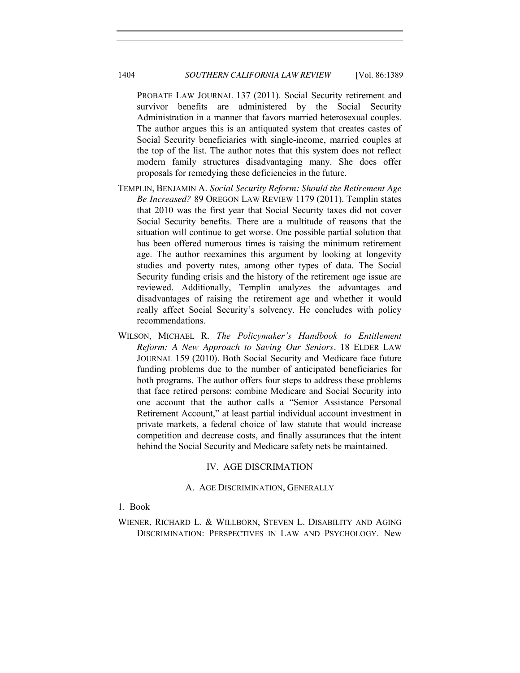PROBATE LAW JOURNAL 137 (2011). Social Security retirement and survivor benefits are administered by the Social Security Administration in a manner that favors married heterosexual couples. The author argues this is an antiquated system that creates castes of Social Security beneficiaries with single-income, married couples at the top of the list. The author notes that this system does not reflect modern family structures disadvantaging many. She does offer proposals for remedying these deficiencies in the future.

- TEMPLIN, BENJAMIN A. *Social Security Reform: Should the Retirement Age Be Increased?* 89 OREGON LAW REVIEW 1179 (2011). Templin states that 2010 was the first year that Social Security taxes did not cover Social Security benefits. There are a multitude of reasons that the situation will continue to get worse. One possible partial solution that has been offered numerous times is raising the minimum retirement age. The author reexamines this argument by looking at longevity studies and poverty rates, among other types of data. The Social Security funding crisis and the history of the retirement age issue are reviewed. Additionally, Templin analyzes the advantages and disadvantages of raising the retirement age and whether it would really affect Social Security's solvency. He concludes with policy recommendations.
- WILSON, MICHAEL R. *The Policymaker's Handbook to Entitlement Reform: A New Approach to Saving Our Seniors.* 18 ELDER LAW JOURNAL 159 (2010). Both Social Security and Medicare face future funding problems due to the number of anticipated beneficiaries for both programs. The author offers four steps to address these problems that face retired persons: combine Medicare and Social Security into one account that the author calls a "Senior Assistance Personal Retirement Account," at least partial individual account investment in private markets, a federal choice of law statute that would increase competition and decrease costs, and finally assurances that the intent behind the Social Security and Medicare safety nets be maintained.

# IV. AGE DISCRIMATION

#### A. AGE DISCRIMINATION, GENERALLY

<span id="page-15-2"></span><span id="page-15-1"></span><span id="page-15-0"></span>1. Book

WIENER, RICHARD L. & WILLBORN, STEVEN L. DISABILITY AND AGING DISCRIMINATION: PERSPECTIVES IN LAW AND PSYCHOLOGY. New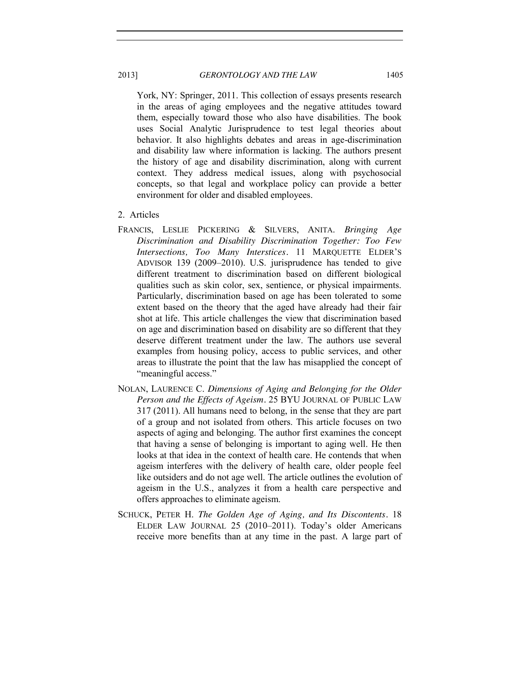York, NY: Springer, 2011. This collection of essays presents research in the areas of aging employees and the negative attitudes toward them, especially toward those who also have disabilities. The book uses Social Analytic Jurisprudence to test legal theories about behavior. It also highlights debates and areas in age-discrimination and disability law where information is lacking. The authors present the history of age and disability discrimination, along with current context. They address medical issues, along with psychosocial concepts, so that legal and workplace policy can provide a better environment for older and disabled employees.

- <span id="page-16-0"></span>2. Articles
- FRANCIS, LESLIE PICKERING & SILVERS, ANITA. *Bringing Age Discrimination and Disability Discrimination Together: Too Few Intersections, Too Many Interstices.* 11 MARQUETTE ELDER'S ADVISOR 139 (2009–2010). U.S. jurisprudence has tended to give different treatment to discrimination based on different biological qualities such as skin color, sex, sentience, or physical impairments. Particularly, discrimination based on age has been tolerated to some extent based on the theory that the aged have already had their fair shot at life. This article challenges the view that discrimination based on age and discrimination based on disability are so different that they deserve different treatment under the law. The authors use several examples from housing policy, access to public services, and other areas to illustrate the point that the law has misapplied the concept of "meaningful access."
- NOLAN, LAURENCE C. *Dimensions of Aging and Belonging for the Older Person and the Effects of Ageism.* 25 BYU JOURNAL OF PUBLIC LAW 317 (2011). All humans need to belong, in the sense that they are part of a group and not isolated from others. This article focuses on two aspects of aging and belonging. The author first examines the concept that having a sense of belonging is important to aging well. He then looks at that idea in the context of health care. He contends that when ageism interferes with the delivery of health care, older people feel like outsiders and do not age well. The article outlines the evolution of ageism in the U.S., analyzes it from a health care perspective and offers approaches to eliminate ageism.
- SCHUCK, PETER H. *The Golden Age of Aging, and Its Discontents.* 18 ELDER LAW JOURNAL 25 (2010–2011). Today's older Americans receive more benefits than at any time in the past. A large part of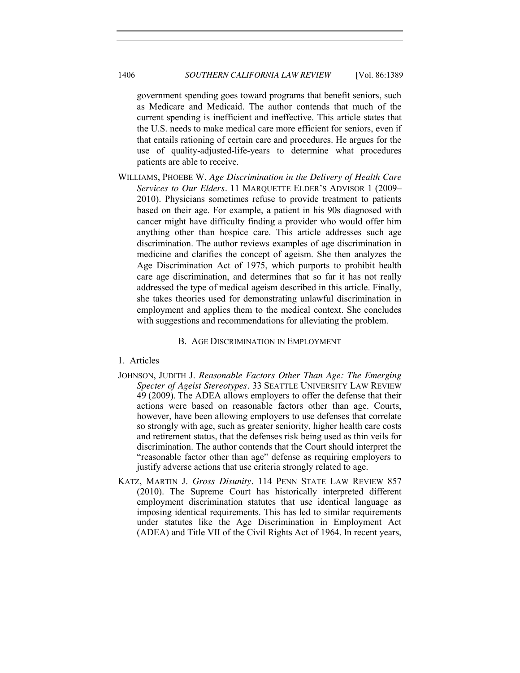government spending goes toward programs that benefit seniors, such as Medicare and Medicaid. The author contends that much of the current spending is inefficient and ineffective. This article states that the U.S. needs to make medical care more efficient for seniors, even if that entails rationing of certain care and procedures. He argues for the use of quality-adjusted-life-years to determine what procedures patients are able to receive.

WILLIAMS, PHOEBE W. *Age Discrimination in the Delivery of Health Care Services to Our Elders.* 11 MARQUETTE ELDER'S ADVISOR 1 (2009– 2010). Physicians sometimes refuse to provide treatment to patients based on their age. For example, a patient in his 90s diagnosed with cancer might have difficulty finding a provider who would offer him anything other than hospice care. This article addresses such age discrimination. The author reviews examples of age discrimination in medicine and clarifies the concept of ageism. She then analyzes the Age Discrimination Act of 1975, which purports to prohibit health care age discrimination, and determines that so far it has not really addressed the type of medical ageism described in this article. Finally, she takes theories used for demonstrating unlawful discrimination in employment and applies them to the medical context. She concludes with suggestions and recommendations for alleviating the problem.

#### B. AGE DISCRIMINATION IN EMPLOYMENT

#### <span id="page-17-1"></span><span id="page-17-0"></span>1. Articles

- JOHNSON, JUDITH J. *Reasonable Factors Other Than Age: The Emerging Specter of Ageist Stereotypes.* 33 SEATTLE UNIVERSITY LAW REVIEW 49 (2009). The ADEA allows employers to offer the defense that their actions were based on reasonable factors other than age. Courts, however, have been allowing employers to use defenses that correlate so strongly with age, such as greater seniority, higher health care costs and retirement status, that the defenses risk being used as thin veils for discrimination. The author contends that the Court should interpret the "reasonable factor other than age" defense as requiring employers to justify adverse actions that use criteria strongly related to age.
- KATZ, MARTIN J. *Gross Disunity.* 114 PENN STATE LAW REVIEW 857 (2010). The Supreme Court has historically interpreted different employment discrimination statutes that use identical language as imposing identical requirements. This has led to similar requirements under statutes like the Age Discrimination in Employment Act (ADEA) and Title VII of the Civil Rights Act of 1964. In recent years,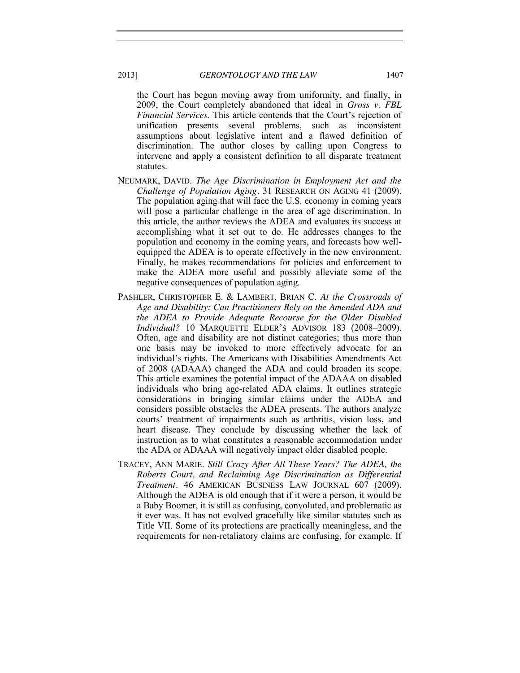the Court has begun moving away from uniformity, and finally, in 2009, the Court completely abandoned that ideal in *Gross v. FBL Financial Services*. This article contends that the Court's rejection of unification presents several problems, such as inconsistent assumptions about legislative intent and a flawed definition of discrimination. The author closes by calling upon Congress to intervene and apply a consistent definition to all disparate treatment statutes.

- NEUMARK, DAVID. *The Age Discrimination in Employment Act and the Challenge of Population Aging.* 31 RESEARCH ON AGING 41 (2009). The population aging that will face the U.S. economy in coming years will pose a particular challenge in the area of age discrimination. In this article, the author reviews the ADEA and evaluates its success at accomplishing what it set out to do. He addresses changes to the population and economy in the coming years, and forecasts how wellequipped the ADEA is to operate effectively in the new environment. Finally, he makes recommendations for policies and enforcement to make the ADEA more useful and possibly alleviate some of the negative consequences of population aging.
- PASHLER, CHRISTOPHER E. & LAMBERT, BRIAN C. *At the Crossroads of Age and Disability: Can Practitioners Rely on the Amended ADA and the ADEA to Provide Adequate Recourse for the Older Disabled Individual?* 10 MARQUETTE ELDER'S ADVISOR 183 (2008–2009). Often, age and disability are not distinct categories; thus more than one basis may be invoked to more effectively advocate for an individual's rights. The Americans with Disabilities Amendments Act of 2008 (ADAAA) changed the ADA and could broaden its scope. This article examines the potential impact of the ADAAA on disabled individuals who bring age-related ADA claims. It outlines strategic considerations in bringing similar claims under the ADEA and considers possible obstacles the ADEA presents. The authors analyze courts' treatment of impairments such as arthritis, vision loss, and heart disease. They conclude by discussing whether the lack of instruction as to what constitutes a reasonable accommodation under the ADA or ADAAA will negatively impact older disabled people.
- TRACEY, ANN MARIE. *Still Crazy After All These Years? The ADEA, the Roberts Court, and Reclaiming Age Discrimination as Differential Treatment.* 46 AMERICAN BUSINESS LAW JOURNAL 607 (2009). Although the ADEA is old enough that if it were a person, it would be a Baby Boomer, it is still as confusing, convoluted, and problematic as it ever was. It has not evolved gracefully like similar statutes such as Title VII. Some of its protections are practically meaningless, and the requirements for non-retaliatory claims are confusing, for example. If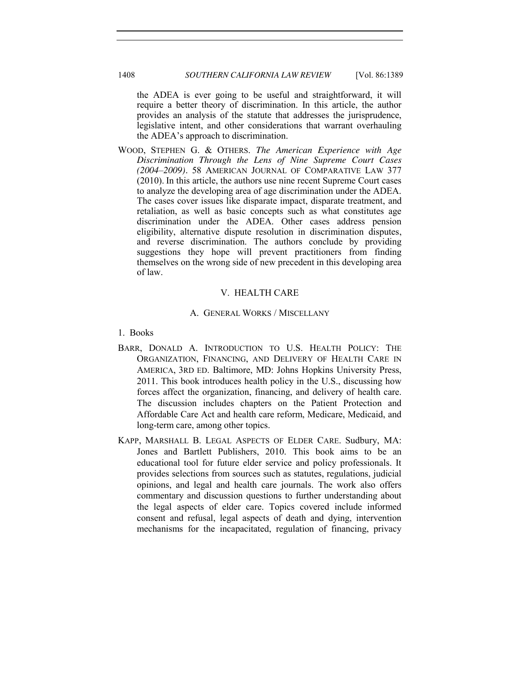the ADEA is ever going to be useful and straightforward, it will require a better theory of discrimination. In this article, the author provides an analysis of the statute that addresses the jurisprudence, legislative intent, and other considerations that warrant overhauling the ADEA's approach to discrimination.

WOOD, STEPHEN G. & OTHERS. *The American Experience with Age Discrimination Through the Lens of Nine Supreme Court Cases (2004–2009).* 58 AMERICAN JOURNAL OF COMPARATIVE LAW 377 (2010). In this article, the authors use nine recent Supreme Court cases to analyze the developing area of age discrimination under the ADEA. The cases cover issues like disparate impact, disparate treatment, and retaliation, as well as basic concepts such as what constitutes age discrimination under the ADEA. Other cases address pension eligibility, alternative dispute resolution in discrimination disputes, and reverse discrimination. The authors conclude by providing suggestions they hope will prevent practitioners from finding themselves on the wrong side of new precedent in this developing area of law.

#### V. HEALTH CARE

#### A. GENERAL WORKS / MISCELLANY

- <span id="page-19-2"></span><span id="page-19-1"></span><span id="page-19-0"></span>1. Books
- BARR, DONALD A. INTRODUCTION TO U.S. HEALTH POLICY: THE ORGANIZATION, FINANCING, AND DELIVERY OF HEALTH CARE IN AMERICA, 3RD ED. Baltimore, MD: Johns Hopkins University Press, 2011. This book introduces health policy in the U.S., discussing how forces affect the organization, financing, and delivery of health care. The discussion includes chapters on the Patient Protection and Affordable Care Act and health care reform, Medicare, Medicaid, and long-term care, among other topics.
- KAPP, MARSHALL B. LEGAL ASPECTS OF ELDER CARE. Sudbury, MA: Jones and Bartlett Publishers, 2010. This book aims to be an educational tool for future elder service and policy professionals. It provides selections from sources such as statutes, regulations, judicial opinions, and legal and health care journals. The work also offers commentary and discussion questions to further understanding about the legal aspects of elder care. Topics covered include informed consent and refusal, legal aspects of death and dying, intervention mechanisms for the incapacitated, regulation of financing, privacy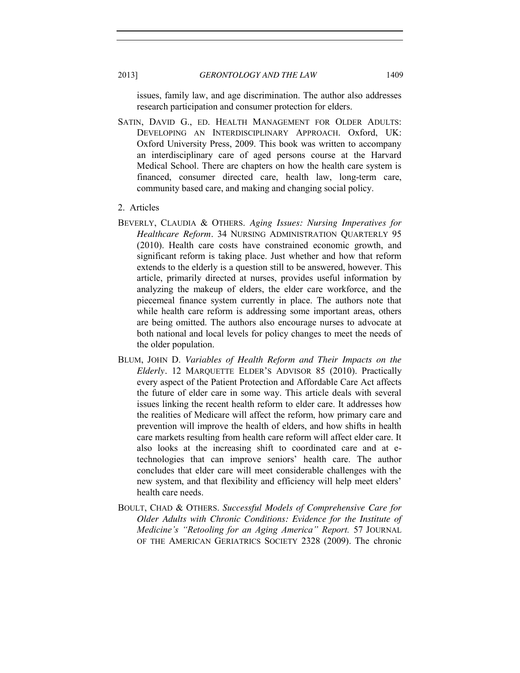issues, family law, and age discrimination. The author also addresses research participation and consumer protection for elders.

SATIN, DAVID G., ED. HEALTH MANAGEMENT FOR OLDER ADULTS: DEVELOPING AN INTERDISCIPLINARY APPROACH. Oxford, UK: Oxford University Press, 2009. This book was written to accompany an interdisciplinary care of aged persons course at the Harvard Medical School. There are chapters on how the health care system is financed, consumer directed care, health law, long-term care, community based care, and making and changing social policy.

#### <span id="page-20-0"></span>2. Articles

- BEVERLY, CLAUDIA & OTHERS. *Aging Issues: Nursing Imperatives for Healthcare Reform.* 34 NURSING ADMINISTRATION QUARTERLY 95 (2010). Health care costs have constrained economic growth, and significant reform is taking place. Just whether and how that reform extends to the elderly is a question still to be answered, however. This article, primarily directed at nurses, provides useful information by analyzing the makeup of elders, the elder care workforce, and the piecemeal finance system currently in place. The authors note that while health care reform is addressing some important areas, others are being omitted. The authors also encourage nurses to advocate at both national and local levels for policy changes to meet the needs of the older population.
- BLUM, JOHN D. *Variables of Health Reform and Their Impacts on the Elderly.* 12 MARQUETTE ELDER'S ADVISOR 85 (2010). Practically every aspect of the Patient Protection and Affordable Care Act affects the future of elder care in some way. This article deals with several issues linking the recent health reform to elder care. It addresses how the realities of Medicare will affect the reform, how primary care and prevention will improve the health of elders, and how shifts in health care markets resulting from health care reform will affect elder care. It also looks at the increasing shift to coordinated care and at etechnologies that can improve seniors' health care. The author concludes that elder care will meet considerable challenges with the new system, and that flexibility and efficiency will help meet elders' health care needs.
- BOULT, CHAD & OTHERS. *Successful Models of Comprehensive Care for Older Adults with Chronic Conditions: Evidence for the Institute of Medicine's "Retooling for an Aging America" Report.* 57 JOURNAL OF THE AMERICAN GERIATRICS SOCIETY 2328 (2009). The chronic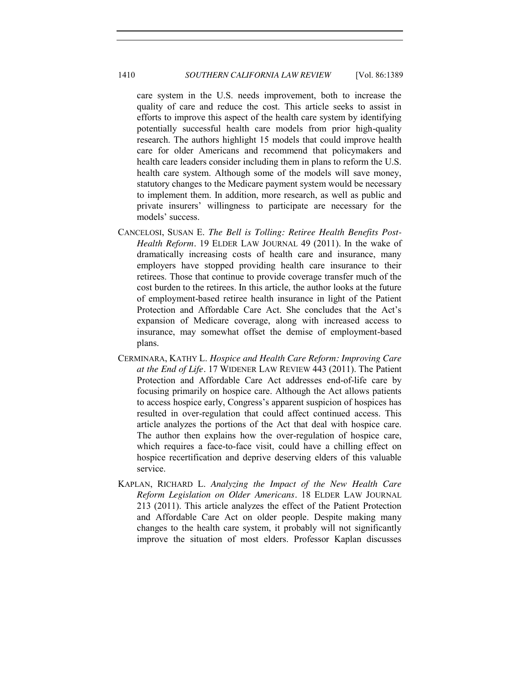care system in the U.S. needs improvement, both to increase the quality of care and reduce the cost. This article seeks to assist in efforts to improve this aspect of the health care system by identifying potentially successful health care models from prior high-quality research. The authors highlight 15 models that could improve health care for older Americans and recommend that policymakers and health care leaders consider including them in plans to reform the U.S. health care system. Although some of the models will save money, statutory changes to the Medicare payment system would be necessary to implement them. In addition, more research, as well as public and private insurers' willingness to participate are necessary for the models' success.

- CANCELOSI, SUSAN E. *The Bell is Tolling: Retiree Health Benefits Post-Health Reform.* 19 ELDER LAW JOURNAL 49 (2011). In the wake of dramatically increasing costs of health care and insurance, many employers have stopped providing health care insurance to their retirees. Those that continue to provide coverage transfer much of the cost burden to the retirees. In this article, the author looks at the future of employment-based retiree health insurance in light of the Patient Protection and Affordable Care Act. She concludes that the Act's expansion of Medicare coverage, along with increased access to insurance, may somewhat offset the demise of employment-based plans.
- CERMINARA, KATHY L. *Hospice and Health Care Reform: Improving Care at the End of Life.* 17 WIDENER LAW REVIEW 443 (2011). The Patient Protection and Affordable Care Act addresses end-of-life care by focusing primarily on hospice care. Although the Act allows patients to access hospice early, Congress's apparent suspicion of hospices has resulted in over-regulation that could affect continued access. This article analyzes the portions of the Act that deal with hospice care. The author then explains how the over-regulation of hospice care, which requires a face-to-face visit, could have a chilling effect on hospice recertification and deprive deserving elders of this valuable service.
- KAPLAN, RICHARD L. *Analyzing the Impact of the New Health Care Reform Legislation on Older Americans.* 18 ELDER LAW JOURNAL 213 (2011). This article analyzes the effect of the Patient Protection and Affordable Care Act on older people. Despite making many changes to the health care system, it probably will not significantly improve the situation of most elders. Professor Kaplan discusses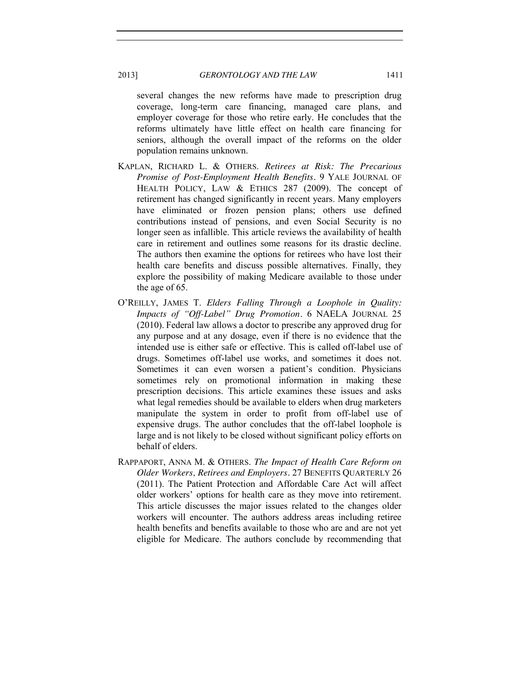several changes the new reforms have made to prescription drug coverage, long-term care financing, managed care plans, and employer coverage for those who retire early. He concludes that the reforms ultimately have little effect on health care financing for seniors, although the overall impact of the reforms on the older population remains unknown.

- KAPLAN, RICHARD L. & OTHERS. *Retirees at Risk: The Precarious Promise of Post-Employment Health Benefits.* 9 YALE JOURNAL OF HEALTH POLICY, LAW & ETHICS 287 (2009). The concept of retirement has changed significantly in recent years. Many employers have eliminated or frozen pension plans; others use defined contributions instead of pensions, and even Social Security is no longer seen as infallible. This article reviews the availability of health care in retirement and outlines some reasons for its drastic decline. The authors then examine the options for retirees who have lost their health care benefits and discuss possible alternatives. Finally, they explore the possibility of making Medicare available to those under the age of 65.
- O'REILLY, JAMES T. *Elders Falling Through a Loophole in Quality: Impacts of "Off-Label" Drug Promotion.* 6 NAELA JOURNAL 25 (2010). Federal law allows a doctor to prescribe any approved drug for any purpose and at any dosage, even if there is no evidence that the intended use is either safe or effective. This is called off-label use of drugs. Sometimes off-label use works, and sometimes it does not. Sometimes it can even worsen a patient's condition. Physicians sometimes rely on promotional information in making these prescription decisions. This article examines these issues and asks what legal remedies should be available to elders when drug marketers manipulate the system in order to profit from off-label use of expensive drugs. The author concludes that the off-label loophole is large and is not likely to be closed without significant policy efforts on behalf of elders.
- RAPPAPORT, ANNA M. & OTHERS. *The Impact of Health Care Reform on Older Workers, Retirees and Employers.* 27 BENEFITS QUARTERLY 26 (2011). The Patient Protection and Affordable Care Act will affect older workers' options for health care as they move into retirement. This article discusses the major issues related to the changes older workers will encounter. The authors address areas including retiree health benefits and benefits available to those who are and are not yet eligible for Medicare. The authors conclude by recommending that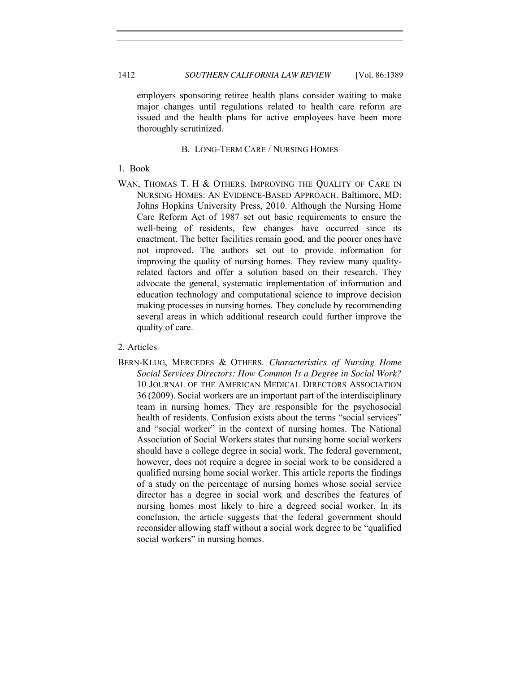employers sponsoring retiree health plans consider waiting to make major changes until regulations related to health care reform are issued and the health plans for active employees have been more thoroughly scrutinized.

# B. LONG-TERM CARE / NURSING HOMES

- <span id="page-23-1"></span><span id="page-23-0"></span>1. Book
- WAN, THOMAS T. H & OTHERS. IMPROVING THE OUALITY OF CARE IN NURSING HOMES: AN EVIDENCE-BASED APPROACH. Baltimore, MD: Johns Hopkins University Press, 2010. Although the Nursing Home Care Reform Act of 1987 set out basic requirements to ensure the well-being of residents, few changes have occurred since its enactment. The better facilities remain good, and the poorer ones have not improved. The authors set out to provide information for improving the quality of nursing homes. They review many qualityrelated factors and offer a solution based on their research. They advocate the general, systematic implementation of information and education technology and computational science to improve decision making processes in nursing homes. They conclude by recommending several areas in which additional research could further improve the quality of care.

# <span id="page-23-2"></span>2. Articles

BERN-KLUG, MERCEDES & OTHERS. *Characteristics of Nursing Home Social Services Directors: How Common Is a Degree in Social Work?* 10 JOURNAL OF THE AMERICAN MEDICAL DIRECTORS ASSOCIATION 36 (2009). Social workers are an important part of the interdisciplinary team in nursing homes. They are responsible for the psychosocial health of residents. Confusion exists about the terms "social services" and "social worker" in the context of nursing homes. The National Association of Social Workers states that nursing home social workers should have a college degree in social work. The federal government, however, does not require a degree in social work to be considered a qualified nursing home social worker. This article reports the findings of a study on the percentage of nursing homes whose social service director has a degree in social work and describes the features of nursing homes most likely to hire a degreed social worker. In its conclusion, the article suggests that the federal government should reconsider allowing staff without a social work degree to be "qualified social workers" in nursing homes.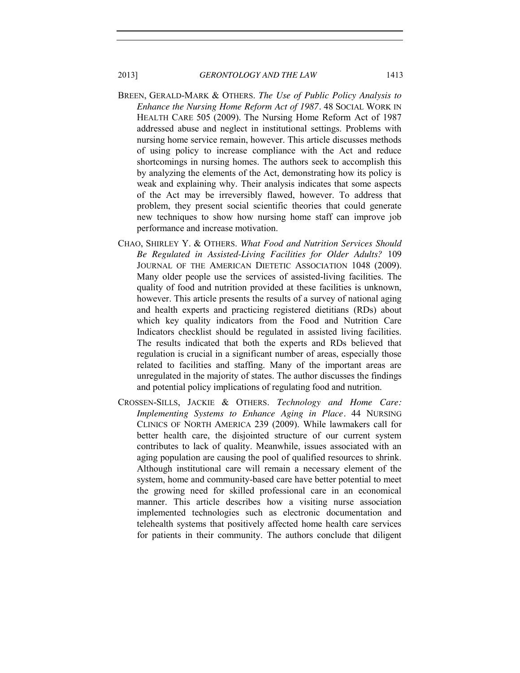- BREEN, GERALD-MARK & OTHERS. *The Use of Public Policy Analysis to Enhance the Nursing Home Reform Act of 1987.* 48 SOCIAL WORK IN HEALTH CARE 505 (2009). The Nursing Home Reform Act of 1987 addressed abuse and neglect in institutional settings. Problems with nursing home service remain, however. This article discusses methods of using policy to increase compliance with the Act and reduce shortcomings in nursing homes. The authors seek to accomplish this by analyzing the elements of the Act, demonstrating how its policy is weak and explaining why. Their analysis indicates that some aspects of the Act may be irreversibly flawed, however. To address that problem, they present social scientific theories that could generate new techniques to show how nursing home staff can improve job performance and increase motivation.
- CHAO, SHIRLEY Y. & OTHERS. *What Food and Nutrition Services Should Be Regulated in Assisted-Living Facilities for Older Adults?* 109 JOURNAL OF THE AMERICAN DIETETIC ASSOCIATION 1048 (2009). Many older people use the services of assisted-living facilities. The quality of food and nutrition provided at these facilities is unknown, however. This article presents the results of a survey of national aging and health experts and practicing registered dietitians (RDs) about which key quality indicators from the Food and Nutrition Care Indicators checklist should be regulated in assisted living facilities. The results indicated that both the experts and RDs believed that regulation is crucial in a significant number of areas, especially those related to facilities and staffing. Many of the important areas are unregulated in the majority of states. The author discusses the findings and potential policy implications of regulating food and nutrition.
- CROSSEN-SILLS, JACKIE & OTHERS. *Technology and Home Care: Implementing Systems to Enhance Aging in Place.* 44 NURSING CLINICS OF NORTH AMERICA 239 (2009). While lawmakers call for better health care, the disjointed structure of our current system contributes to lack of quality. Meanwhile, issues associated with an aging population are causing the pool of qualified resources to shrink. Although institutional care will remain a necessary element of the system, home and community-based care have better potential to meet the growing need for skilled professional care in an economical manner. This article describes how a visiting nurse association implemented technologies such as electronic documentation and telehealth systems that positively affected home health care services for patients in their community. The authors conclude that diligent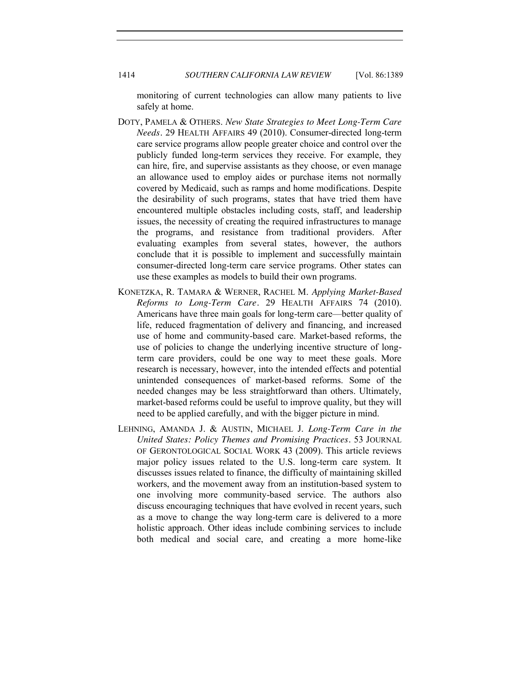monitoring of current technologies can allow many patients to live safely at home.

- DOTY, PAMELA & OTHERS. *New State Strategies to Meet Long-Term Care Needs.* 29 HEALTH AFFAIRS 49 (2010). Consumer-directed long-term care service programs allow people greater choice and control over the publicly funded long-term services they receive. For example, they can hire, fire, and supervise assistants as they choose, or even manage an allowance used to employ aides or purchase items not normally covered by Medicaid, such as ramps and home modifications. Despite the desirability of such programs, states that have tried them have encountered multiple obstacles including costs, staff, and leadership issues, the necessity of creating the required infrastructures to manage the programs, and resistance from traditional providers. After evaluating examples from several states, however, the authors conclude that it is possible to implement and successfully maintain consumer-directed long-term care service programs. Other states can use these examples as models to build their own programs.
- KONETZKA, R. TAMARA & WERNER, RACHEL M. *Applying Market-Based Reforms to Long-Term Care.* 29 HEALTH AFFAIRS 74 (2010). Americans have three main goals for long-term care—better quality of life, reduced fragmentation of delivery and financing, and increased use of home and community-based care. Market-based reforms, the use of policies to change the underlying incentive structure of longterm care providers, could be one way to meet these goals. More research is necessary, however, into the intended effects and potential unintended consequences of market-based reforms. Some of the needed changes may be less straightforward than others. Ultimately, market-based reforms could be useful to improve quality, but they will need to be applied carefully, and with the bigger picture in mind.
- LEHNING, AMANDA J. & AUSTIN, MICHAEL J. *Long-Term Care in the United States: Policy Themes and Promising Practices.* 53 JOURNAL OF GERONTOLOGICAL SOCIAL WORK 43 (2009). This article reviews major policy issues related to the U.S. long-term care system. It discusses issues related to finance, the difficulty of maintaining skilled workers, and the movement away from an institution-based system to one involving more community-based service. The authors also discuss encouraging techniques that have evolved in recent years, such as a move to change the way long-term care is delivered to a more holistic approach. Other ideas include combining services to include both medical and social care, and creating a more home-like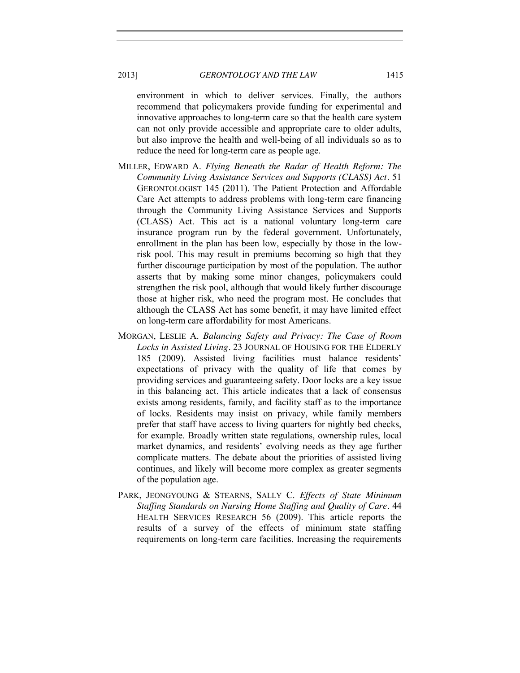environment in which to deliver services. Finally, the authors recommend that policymakers provide funding for experimental and innovative approaches to long-term care so that the health care system can not only provide accessible and appropriate care to older adults, but also improve the health and well-being of all individuals so as to reduce the need for long-term care as people age.

- MILLER, EDWARD A. *Flying Beneath the Radar of Health Reform: The Community Living Assistance Services and Supports (CLASS) Act.* 51 GERONTOLOGIST 145 (2011). The Patient Protection and Affordable Care Act attempts to address problems with long-term care financing through the Community Living Assistance Services and Supports (CLASS) Act. This act is a national voluntary long-term care insurance program run by the federal government. Unfortunately, enrollment in the plan has been low, especially by those in the lowrisk pool. This may result in premiums becoming so high that they further discourage participation by most of the population. The author asserts that by making some minor changes, policymakers could strengthen the risk pool, although that would likely further discourage those at higher risk, who need the program most. He concludes that although the CLASS Act has some benefit, it may have limited effect on long-term care affordability for most Americans.
- MORGAN, LESLIE A. *Balancing Safety and Privacy: The Case of Room Locks in Assisted Living.* 23 JOURNAL OF HOUSING FOR THE ELDERLY 185 (2009). Assisted living facilities must balance residents' expectations of privacy with the quality of life that comes by providing services and guaranteeing safety. Door locks are a key issue in this balancing act. This article indicates that a lack of consensus exists among residents, family, and facility staff as to the importance of locks. Residents may insist on privacy, while family members prefer that staff have access to living quarters for nightly bed checks, for example. Broadly written state regulations, ownership rules, local market dynamics, and residents' evolving needs as they age further complicate matters. The debate about the priorities of assisted living continues, and likely will become more complex as greater segments of the population age.
- PARK, JEONGYOUNG & STEARNS, SALLY C. *Effects of State Minimum Staffing Standards on Nursing Home Staffing and Quality of Care.* 44 HEALTH SERVICES RESEARCH 56 (2009). This article reports the results of a survey of the effects of minimum state staffing requirements on long-term care facilities. Increasing the requirements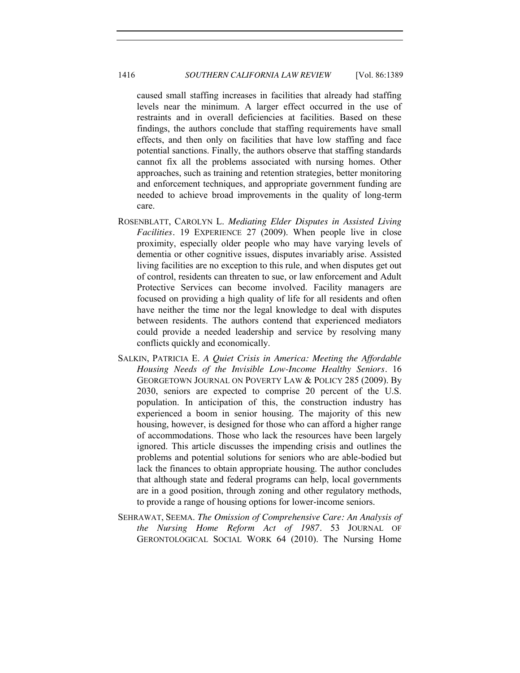caused small staffing increases in facilities that already had staffing levels near the minimum. A larger effect occurred in the use of restraints and in overall deficiencies at facilities. Based on these findings, the authors conclude that staffing requirements have small effects, and then only on facilities that have low staffing and face potential sanctions. Finally, the authors observe that staffing standards cannot fix all the problems associated with nursing homes. Other approaches, such as training and retention strategies, better monitoring and enforcement techniques, and appropriate government funding are needed to achieve broad improvements in the quality of long-term care.

- ROSENBLATT, CAROLYN L. *Mediating Elder Disputes in Assisted Living Facilities.* 19 EXPERIENCE 27 (2009). When people live in close proximity, especially older people who may have varying levels of dementia or other cognitive issues, disputes invariably arise. Assisted living facilities are no exception to this rule, and when disputes get out of control, residents can threaten to sue, or law enforcement and Adult Protective Services can become involved. Facility managers are focused on providing a high quality of life for all residents and often have neither the time nor the legal knowledge to deal with disputes between residents. The authors contend that experienced mediators could provide a needed leadership and service by resolving many conflicts quickly and economically.
- SALKIN, PATRICIA E. *A Quiet Crisis in America: Meeting the Affordable Housing Needs of the Invisible Low-Income Healthy Seniors.* 16 GEORGETOWN JOURNAL ON POVERTY LAW & POLICY 285 (2009). By 2030, seniors are expected to comprise 20 percent of the U.S. population. In anticipation of this, the construction industry has experienced a boom in senior housing. The majority of this new housing, however, is designed for those who can afford a higher range of accommodations. Those who lack the resources have been largely ignored. This article discusses the impending crisis and outlines the problems and potential solutions for seniors who are able-bodied but lack the finances to obtain appropriate housing. The author concludes that although state and federal programs can help, local governments are in a good position, through zoning and other regulatory methods, to provide a range of housing options for lower-income seniors.
- SEHRAWAT, SEEMA. *The Omission of Comprehensive Care: An Analysis of the Nursing Home Reform Act of 1987.* 53 JOURNAL OF GERONTOLOGICAL SOCIAL WORK 64 (2010). The Nursing Home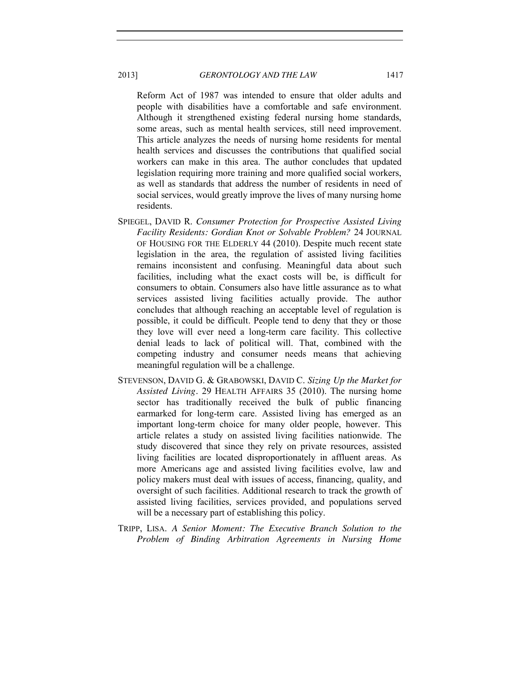Reform Act of 1987 was intended to ensure that older adults and people with disabilities have a comfortable and safe environment. Although it strengthened existing federal nursing home standards, some areas, such as mental health services, still need improvement. This article analyzes the needs of nursing home residents for mental health services and discusses the contributions that qualified social workers can make in this area. The author concludes that updated legislation requiring more training and more qualified social workers, as well as standards that address the number of residents in need of social services, would greatly improve the lives of many nursing home residents.

- SPIEGEL, DAVID R. *Consumer Protection for Prospective Assisted Living Facility Residents: Gordian Knot or Solvable Problem?* 24 JOURNAL OF HOUSING FOR THE ELDERLY 44 (2010). Despite much recent state legislation in the area, the regulation of assisted living facilities remains inconsistent and confusing. Meaningful data about such facilities, including what the exact costs will be, is difficult for consumers to obtain. Consumers also have little assurance as to what services assisted living facilities actually provide. The author concludes that although reaching an acceptable level of regulation is possible, it could be difficult. People tend to deny that they or those they love will ever need a long-term care facility. This collective denial leads to lack of political will. That, combined with the competing industry and consumer needs means that achieving meaningful regulation will be a challenge.
- STEVENSON, DAVID G. & GRABOWSKI, DAVID C. *Sizing Up the Market for Assisted Living.* 29 HEALTH AFFAIRS 35 (2010). The nursing home sector has traditionally received the bulk of public financing earmarked for long-term care. Assisted living has emerged as an important long-term choice for many older people, however. This article relates a study on assisted living facilities nationwide. The study discovered that since they rely on private resources, assisted living facilities are located disproportionately in affluent areas. As more Americans age and assisted living facilities evolve, law and policy makers must deal with issues of access, financing, quality, and oversight of such facilities. Additional research to track the growth of assisted living facilities, services provided, and populations served will be a necessary part of establishing this policy.
- TRIPP, LISA. *A Senior Moment: The Executive Branch Solution to the Problem of Binding Arbitration Agreements in Nursing Home*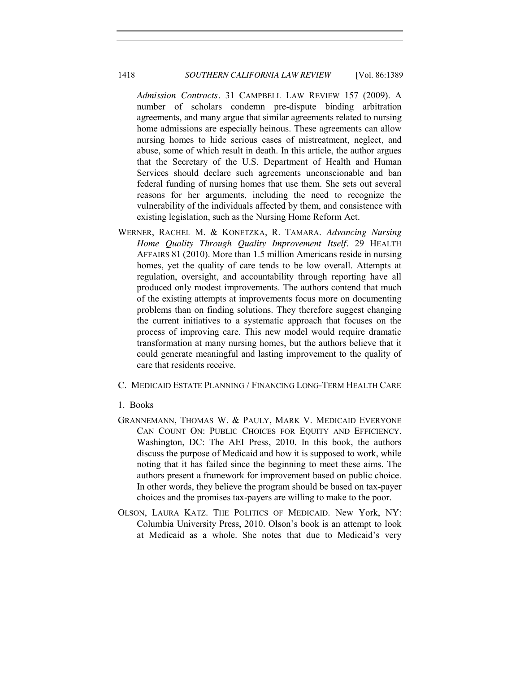*Admission Contracts.* 31 CAMPBELL LAW REVIEW 157 (2009). A number of scholars condemn pre-dispute binding arbitration agreements, and many argue that similar agreements related to nursing home admissions are especially heinous. These agreements can allow nursing homes to hide serious cases of mistreatment, neglect, and abuse, some of which result in death. In this article, the author argues that the Secretary of the U.S. Department of Health and Human Services should declare such agreements unconscionable and ban federal funding of nursing homes that use them. She sets out several reasons for her arguments, including the need to recognize the vulnerability of the individuals affected by them, and consistence with existing legislation, such as the Nursing Home Reform Act.

- WERNER, RACHEL M. & KONETZKA, R. TAMARA. *Advancing Nursing Home Quality Through Quality Improvement Itself.* 29 HEALTH AFFAIRS 81 (2010). More than 1.5 million Americans reside in nursing homes, yet the quality of care tends to be low overall. Attempts at regulation, oversight, and accountability through reporting have all produced only modest improvements. The authors contend that much of the existing attempts at improvements focus more on documenting problems than on finding solutions. They therefore suggest changing the current initiatives to a systematic approach that focuses on the process of improving care. This new model would require dramatic transformation at many nursing homes, but the authors believe that it could generate meaningful and lasting improvement to the quality of care that residents receive.
- <span id="page-29-0"></span>C. MEDICAID ESTATE PLANNING / FINANCING LONG-TERM HEALTH CARE

#### <span id="page-29-1"></span>1. Books

- GRANNEMANN, THOMAS W. & PAULY, MARK V. MEDICAID EVERYONE CAN COUNT ON: PUBLIC CHOICES FOR EQUITY AND EFFICIENCY. Washington, DC: The AEI Press, 2010. In this book, the authors discuss the purpose of Medicaid and how it is supposed to work, while noting that it has failed since the beginning to meet these aims. The authors present a framework for improvement based on public choice. In other words, they believe the program should be based on tax-payer choices and the promises tax-payers are willing to make to the poor.
- OLSON, LAURA KATZ. THE POLITICS OF MEDICAID. New York, NY: Columbia University Press, 2010. Olson's book is an attempt to look at Medicaid as a whole. She notes that due to Medicaid's very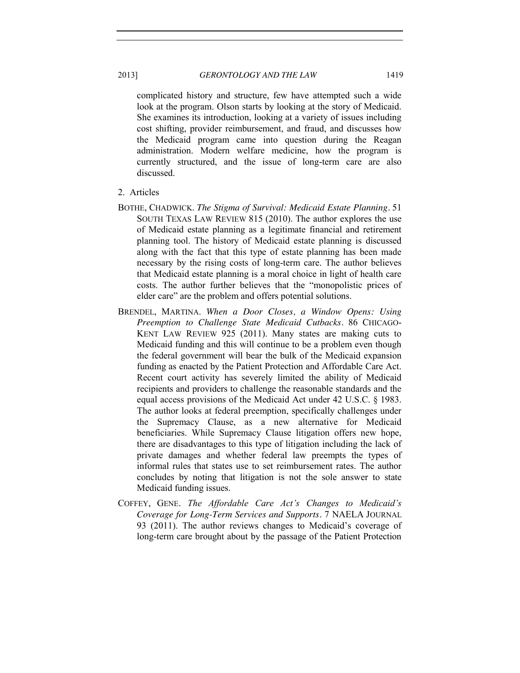complicated history and structure, few have attempted such a wide look at the program. Olson starts by looking at the story of Medicaid. She examines its introduction, looking at a variety of issues including cost shifting, provider reimbursement, and fraud, and discusses how the Medicaid program came into question during the Reagan administration. Modern welfare medicine, how the program is currently structured, and the issue of long-term care are also discussed.

- <span id="page-30-0"></span>2. Articles
- BOTHE, CHADWICK. *The Stigma of Survival: Medicaid Estate Planning.* 51 SOUTH TEXAS LAW REVIEW 815 (2010). The author explores the use of Medicaid estate planning as a legitimate financial and retirement planning tool. The history of Medicaid estate planning is discussed along with the fact that this type of estate planning has been made necessary by the rising costs of long-term care. The author believes that Medicaid estate planning is a moral choice in light of health care costs. The author further believes that the "monopolistic prices of elder care" are the problem and offers potential solutions.
- BRENDEL, MARTINA. *When a Door Closes, a Window Opens: Using Preemption to Challenge State Medicaid Cutbacks.* 86 CHICAGO-KENT LAW REVIEW 925 (2011). Many states are making cuts to Medicaid funding and this will continue to be a problem even though the federal government will bear the bulk of the Medicaid expansion funding as enacted by the Patient Protection and Affordable Care Act. Recent court activity has severely limited the ability of Medicaid recipients and providers to challenge the reasonable standards and the equal access provisions of the Medicaid Act under 42 U.S.C. § 1983. The author looks at federal preemption, specifically challenges under the Supremacy Clause, as a new alternative for Medicaid beneficiaries. While Supremacy Clause litigation offers new hope, there are disadvantages to this type of litigation including the lack of private damages and whether federal law preempts the types of informal rules that states use to set reimbursement rates. The author concludes by noting that litigation is not the sole answer to state Medicaid funding issues.
- COFFEY, GENE. *The Affordable Care Act's Changes to Medicaid's Coverage for Long-Term Services and Supports.* 7 NAELA JOURNAL 93 (2011). The author reviews changes to Medicaid's coverage of long-term care brought about by the passage of the Patient Protection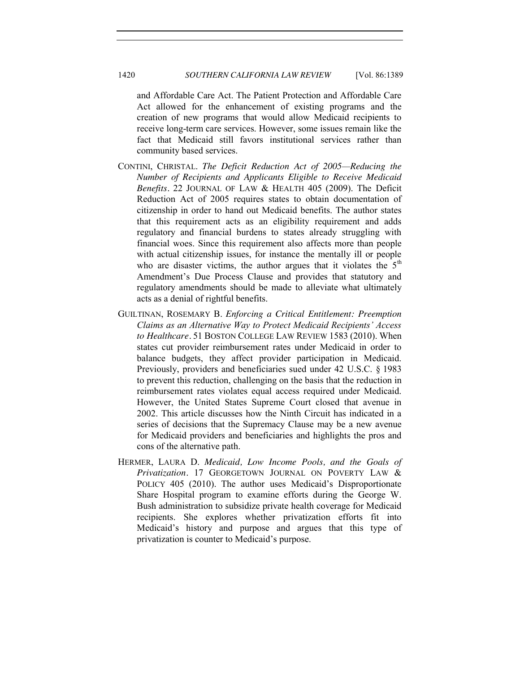and Affordable Care Act. The Patient Protection and Affordable Care Act allowed for the enhancement of existing programs and the creation of new programs that would allow Medicaid recipients to receive long-term care services. However, some issues remain like the fact that Medicaid still favors institutional services rather than community based services.

- CONTINI, CHRISTAL. *The Deficit Reduction Act of 2005—Reducing the Number of Recipients and Applicants Eligible to Receive Medicaid Benefits.* 22 JOURNAL OF LAW & HEALTH 405 (2009). The Deficit Reduction Act of 2005 requires states to obtain documentation of citizenship in order to hand out Medicaid benefits. The author states that this requirement acts as an eligibility requirement and adds regulatory and financial burdens to states already struggling with financial woes. Since this requirement also affects more than people with actual citizenship issues, for instance the mentally ill or people who are disaster victims, the author argues that it violates the  $5<sup>th</sup>$ Amendment's Due Process Clause and provides that statutory and regulatory amendments should be made to alleviate what ultimately acts as a denial of rightful benefits.
- GUILTINAN, ROSEMARY B. *Enforcing a Critical Entitlement: Preemption Claims as an Alternative Way to Protect Medicaid Recipients' Access to Healthcare.* 51 BOSTON COLLEGE LAW REVIEW 1583 (2010). When states cut provider reimbursement rates under Medicaid in order to balance budgets, they affect provider participation in Medicaid. Previously, providers and beneficiaries sued under 42 U.S.C. § 1983 to prevent this reduction, challenging on the basis that the reduction in reimbursement rates violates equal access required under Medicaid. However, the United States Supreme Court closed that avenue in 2002. This article discusses how the Ninth Circuit has indicated in a series of decisions that the Supremacy Clause may be a new avenue for Medicaid providers and beneficiaries and highlights the pros and cons of the alternative path.
- HERMER, LAURA D. *Medicaid, Low Income Pools, and the Goals of Privatization.* 17 GEORGETOWN JOURNAL ON POVERTY LAW & POLICY 405 (2010). The author uses Medicaid's Disproportionate Share Hospital program to examine efforts during the George W. Bush administration to subsidize private health coverage for Medicaid recipients. She explores whether privatization efforts fit into Medicaid's history and purpose and argues that this type of privatization is counter to Medicaid's purpose.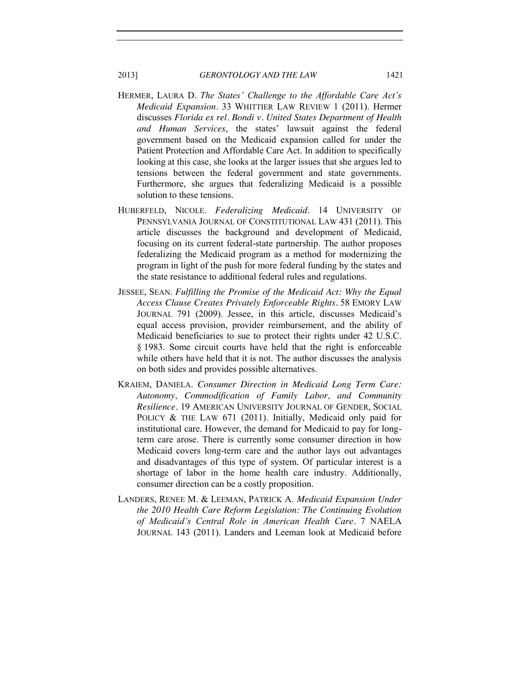- HERMER, LAURA D. *The States' Challenge to the Affordable Care Act's Medicaid Expansion.* 33 WHITTIER LAW REVIEW 1 (2011). Hermer discusses *Florida ex rel. Bondi v. United States Department of Health and Human Services*, the states' lawsuit against the federal government based on the Medicaid expansion called for under the Patient Protection and Affordable Care Act. In addition to specifically looking at this case, she looks at the larger issues that she argues led to tensions between the federal government and state governments. Furthermore, she argues that federalizing Medicaid is a possible solution to these tensions.
- HUBERFELD, NICOLE. *Federalizing Medicaid.* 14 UNIVERSITY OF PENNSYLVANIA JOURNAL OF CONSTITUTIONAL LAW 431 (2011). This article discusses the background and development of Medicaid, focusing on its current federal-state partnership. The author proposes federalizing the Medicaid program as a method for modernizing the program in light of the push for more federal funding by the states and the state resistance to additional federal rules and regulations.
- JESSEE, SEAN. *Fulfilling the Promise of the Medicaid Act: Why the Equal Access Clause Creates Privately Enforceable Rights.* 58 EMORY LAW JOURNAL 791 (2009). Jessee, in this article, discusses Medicaid's equal access provision, provider reimbursement, and the ability of Medicaid beneficiaries to sue to protect their rights under 42 U.S.C. § 1983. Some circuit courts have held that the right is enforceable while others have held that it is not. The author discusses the analysis on both sides and provides possible alternatives.
- KRAIEM, DANIELA. *Consumer Direction in Medicaid Long Term Care: Autonomy, Commodification of Family Labor, and Community Resilience.* 19 AMERICAN UNIVERSITY JOURNAL OF GENDER, SOCIAL POLICY & THE LAW 671 (2011). Initially, Medicaid only paid for institutional care. However, the demand for Medicaid to pay for longterm care arose. There is currently some consumer direction in how Medicaid covers long-term care and the author lays out advantages and disadvantages of this type of system. Of particular interest is a shortage of labor in the home health care industry. Additionally, consumer direction can be a costly proposition.
- LANDERS, RENEE M. & LEEMAN, PATRICK A. *Medicaid Expansion Under the 2010 Health Care Reform Legislation: The Continuing Evolution of Medicaid's Central Role in American Health Care.* 7 NAELA JOURNAL 143 (2011). Landers and Leeman look at Medicaid before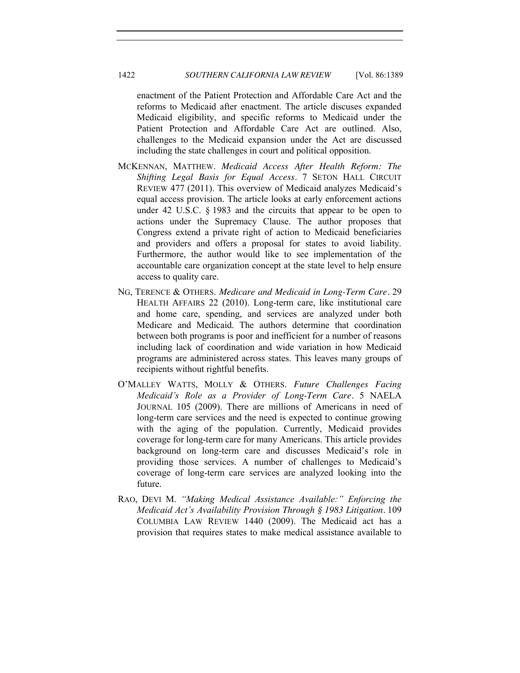# 1422 *SOUTHERN CALIFORNIA LAW REVIEW* [Vol. 86:1389

enactment of the Patient Protection and Affordable Care Act and the reforms to Medicaid after enactment. The article discuses expanded Medicaid eligibility, and specific reforms to Medicaid under the Patient Protection and Affordable Care Act are outlined. Also, challenges to the Medicaid expansion under the Act are discussed including the state challenges in court and political opposition.

- MCKENNAN, MATTHEW. *Medicaid Access After Health Reform: The Shifting Legal Basis for Equal Access.* 7 SETON HALL CIRCUIT REVIEW 477 (2011). This overview of Medicaid analyzes Medicaid's equal access provision. The article looks at early enforcement actions under 42 U.S.C. § 1983 and the circuits that appear to be open to actions under the Supremacy Clause. The author proposes that Congress extend a private right of action to Medicaid beneficiaries and providers and offers a proposal for states to avoid liability. Furthermore, the author would like to see implementation of the accountable care organization concept at the state level to help ensure access to quality care.
- NG, TERENCE & OTHERS. *Medicare and Medicaid in Long-Term Care.* 29 HEALTH AFFAIRS 22 (2010). Long-term care, like institutional care and home care, spending, and services are analyzed under both Medicare and Medicaid. The authors determine that coordination between both programs is poor and inefficient for a number of reasons including lack of coordination and wide variation in how Medicaid programs are administered across states. This leaves many groups of recipients without rightful benefits.
- O'MALLEY WATTS, MOLLY & OTHERS. *Future Challenges Facing Medicaid's Role as a Provider of Long-Term Care.* 5 NAELA JOURNAL 105 (2009). There are millions of Americans in need of long-term care services and the need is expected to continue growing with the aging of the population. Currently, Medicaid provides coverage for long-term care for many Americans. This article provides background on long-term care and discusses Medicaid's role in providing those services. A number of challenges to Medicaid's coverage of long-term care services are analyzed looking into the future.
- RAO, DEVI M. *"Making Medical Assistance Available:" Enforcing the Medicaid Act's Availability Provision Through § 1983 Litigation.* 109 COLUMBIA LAW REVIEW 1440 (2009). The Medicaid act has a provision that requires states to make medical assistance available to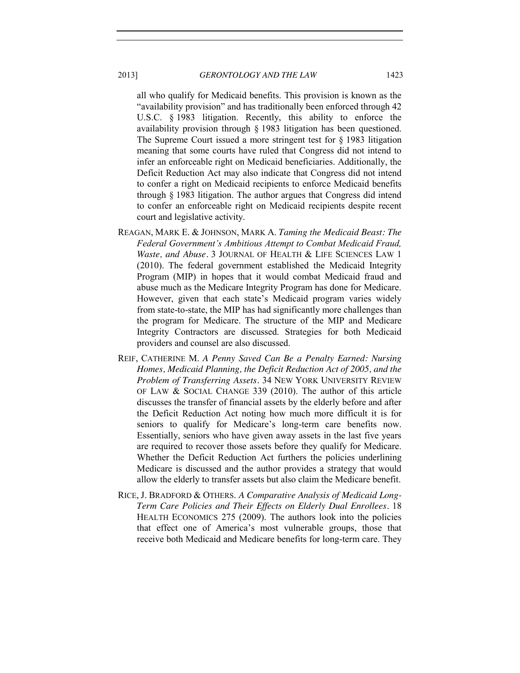all who qualify for Medicaid benefits. This provision is known as the "availability provision" and has traditionally been enforced through 42 U.S.C. § 1983 litigation. Recently, this ability to enforce the availability provision through § 1983 litigation has been questioned. The Supreme Court issued a more stringent test for § 1983 litigation meaning that some courts have ruled that Congress did not intend to infer an enforceable right on Medicaid beneficiaries. Additionally, the Deficit Reduction Act may also indicate that Congress did not intend to confer a right on Medicaid recipients to enforce Medicaid benefits through § 1983 litigation. The author argues that Congress did intend to confer an enforceable right on Medicaid recipients despite recent court and legislative activity.

- REAGAN, MARK E. & JOHNSON, MARK A. *Taming the Medicaid Beast: The Federal Government's Ambitious Attempt to Combat Medicaid Fraud, Waste, and Abuse.* 3 JOURNAL OF HEALTH & LIFE SCIENCES LAW 1 (2010). The federal government established the Medicaid Integrity Program (MIP) in hopes that it would combat Medicaid fraud and abuse much as the Medicare Integrity Program has done for Medicare. However, given that each state's Medicaid program varies widely from state-to-state, the MIP has had significantly more challenges than the program for Medicare. The structure of the MIP and Medicare Integrity Contractors are discussed. Strategies for both Medicaid providers and counsel are also discussed.
- REIF, CATHERINE M. *A Penny Saved Can Be a Penalty Earned: Nursing Homes, Medicaid Planning, the Deficit Reduction Act of 2005, and the Problem of Transferring Assets.* 34 NEW YORK UNIVERSITY REVIEW OF LAW & SOCIAL CHANGE 339 (2010). The author of this article discusses the transfer of financial assets by the elderly before and after the Deficit Reduction Act noting how much more difficult it is for seniors to qualify for Medicare's long-term care benefits now. Essentially, seniors who have given away assets in the last five years are required to recover those assets before they qualify for Medicare. Whether the Deficit Reduction Act furthers the policies underlining Medicare is discussed and the author provides a strategy that would allow the elderly to transfer assets but also claim the Medicare benefit.
- RICE, J. BRADFORD & OTHERS. *A Comparative Analysis of Medicaid Long-Term Care Policies and Their Effects on Elderly Dual Enrollees.* 18 HEALTH ECONOMICS 275 (2009). The authors look into the policies that effect one of America's most vulnerable groups, those that receive both Medicaid and Medicare benefits for long-term care. They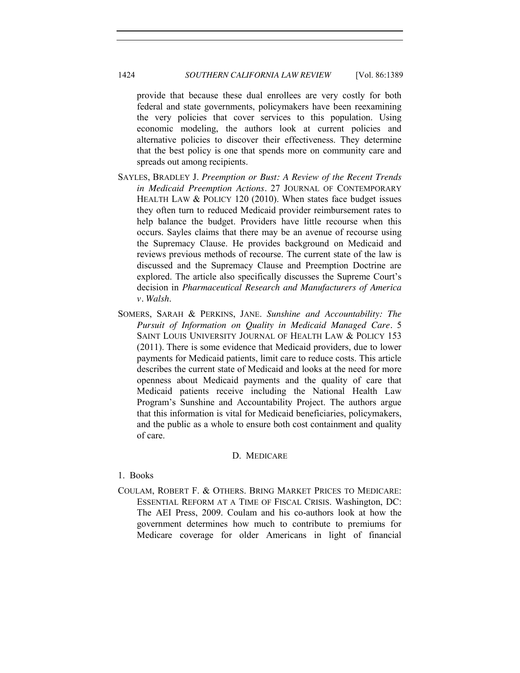provide that because these dual enrollees are very costly for both federal and state governments, policymakers have been reexamining the very policies that cover services to this population. Using economic modeling, the authors look at current policies and alternative policies to discover their effectiveness. They determine that the best policy is one that spends more on community care and spreads out among recipients.

- SAYLES, BRADLEY J. *Preemption or Bust: A Review of the Recent Trends in Medicaid Preemption Actions.* 27 JOURNAL OF CONTEMPORARY HEALTH LAW & POLICY 120 (2010). When states face budget issues they often turn to reduced Medicaid provider reimbursement rates to help balance the budget. Providers have little recourse when this occurs. Sayles claims that there may be an avenue of recourse using the Supremacy Clause. He provides background on Medicaid and reviews previous methods of recourse. The current state of the law is discussed and the Supremacy Clause and Preemption Doctrine are explored. The article also specifically discusses the Supreme Court's decision in *Pharmaceutical Research and Manufacturers of America v. Walsh*.
- SOMERS, SARAH & PERKINS, JANE. *Sunshine and Accountability: The Pursuit of Information on Quality in Medicaid Managed Care.* 5 SAINT LOUIS UNIVERSITY JOURNAL OF HEALTH LAW & POLICY 153 (2011). There is some evidence that Medicaid providers, due to lower payments for Medicaid patients, limit care to reduce costs. This article describes the current state of Medicaid and looks at the need for more openness about Medicaid payments and the quality of care that Medicaid patients receive including the National Health Law Program's Sunshine and Accountability Project. The authors argue that this information is vital for Medicaid beneficiaries, policymakers, and the public as a whole to ensure both cost containment and quality of care.

# D. MEDICARE

# <span id="page-35-1"></span><span id="page-35-0"></span>1. Books

COULAM, ROBERT F. & OTHERS. BRING MARKET PRICES TO MEDICARE: ESSENTIAL REFORM AT A TIME OF FISCAL CRISIS. Washington, DC: The AEI Press, 2009. Coulam and his co-authors look at how the government determines how much to contribute to premiums for Medicare coverage for older Americans in light of financial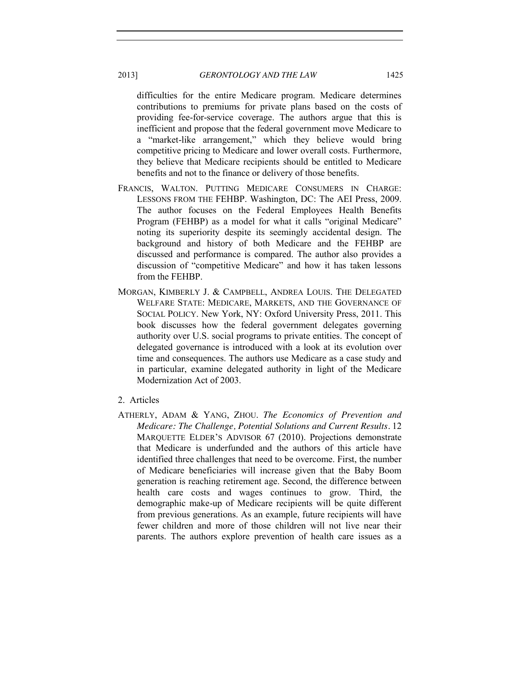difficulties for the entire Medicare program. Medicare determines contributions to premiums for private plans based on the costs of providing fee-for-service coverage. The authors argue that this is inefficient and propose that the federal government move Medicare to a "market-like arrangement," which they believe would bring competitive pricing to Medicare and lower overall costs. Furthermore, they believe that Medicare recipients should be entitled to Medicare benefits and not to the finance or delivery of those benefits.

- FRANCIS, WALTON. PUTTING MEDICARE CONSUMERS IN CHARGE: LESSONS FROM THE FEHBP. Washington, DC: The AEI Press, 2009. The author focuses on the Federal Employees Health Benefits Program (FEHBP) as a model for what it calls "original Medicare" noting its superiority despite its seemingly accidental design. The background and history of both Medicare and the FEHBP are discussed and performance is compared. The author also provides a discussion of "competitive Medicare" and how it has taken lessons from the FEHBP.
- MORGAN, KIMBERLY J. & CAMPBELL, ANDREA LOUIS. THE DELEGATED WELFARE STATE: MEDICARE, MARKETS, AND THE GOVERNANCE OF SOCIAL POLICY. New York, NY: Oxford University Press, 2011. This book discusses how the federal government delegates governing authority over U.S. social programs to private entities. The concept of delegated governance is introduced with a look at its evolution over time and consequences. The authors use Medicare as a case study and in particular, examine delegated authority in light of the Medicare Modernization Act of 2003.
- 2. Articles
- ATHERLY, ADAM & YANG, ZHOU. *The Economics of Prevention and Medicare: The Challenge, Potential Solutions and Current Results.* 12 MARQUETTE ELDER'S ADVISOR 67 (2010). Projections demonstrate that Medicare is underfunded and the authors of this article have identified three challenges that need to be overcome. First, the number of Medicare beneficiaries will increase given that the Baby Boom generation is reaching retirement age. Second, the difference between health care costs and wages continues to grow. Third, the demographic make-up of Medicare recipients will be quite different from previous generations. As an example, future recipients will have fewer children and more of those children will not live near their parents. The authors explore prevention of health care issues as a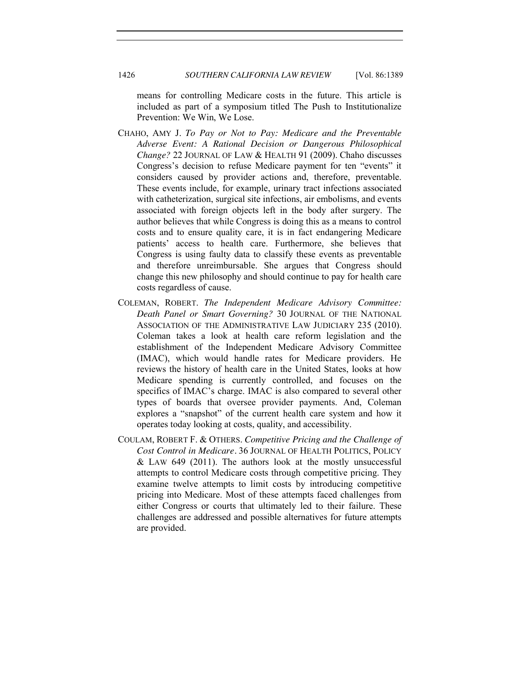means for controlling Medicare costs in the future. This article is included as part of a symposium titled The Push to Institutionalize Prevention: We Win, We Lose.

- CHAHO, AMY J. *To Pay or Not to Pay: Medicare and the Preventable Adverse Event: A Rational Decision or Dangerous Philosophical Change?* 22 JOURNAL OF LAW & HEALTH 91 (2009). Chaho discusses Congress's decision to refuse Medicare payment for ten "events" it considers caused by provider actions and, therefore, preventable. These events include, for example, urinary tract infections associated with catheterization, surgical site infections, air embolisms, and events associated with foreign objects left in the body after surgery. The author believes that while Congress is doing this as a means to control costs and to ensure quality care, it is in fact endangering Medicare patients' access to health care. Furthermore, she believes that Congress is using faulty data to classify these events as preventable and therefore unreimbursable. She argues that Congress should change this new philosophy and should continue to pay for health care costs regardless of cause.
- COLEMAN, ROBERT. *The Independent Medicare Advisory Committee: Death Panel or Smart Governing?* 30 JOURNAL OF THE NATIONAL ASSOCIATION OF THE ADMINISTRATIVE LAW JUDICIARY 235 (2010). Coleman takes a look at health care reform legislation and the establishment of the Independent Medicare Advisory Committee (IMAC), which would handle rates for Medicare providers. He reviews the history of health care in the United States, looks at how Medicare spending is currently controlled, and focuses on the specifics of IMAC's charge. IMAC is also compared to several other types of boards that oversee provider payments. And, Coleman explores a "snapshot" of the current health care system and how it operates today looking at costs, quality, and accessibility.
- COULAM, ROBERT F. & OTHERS. *Competitive Pricing and the Challenge of Cost Control in Medicare.* 36 JOURNAL OF HEALTH POLITICS, POLICY  $&$  LAW 649 (2011). The authors look at the mostly unsuccessful attempts to control Medicare costs through competitive pricing. They examine twelve attempts to limit costs by introducing competitive pricing into Medicare. Most of these attempts faced challenges from either Congress or courts that ultimately led to their failure. These challenges are addressed and possible alternatives for future attempts are provided.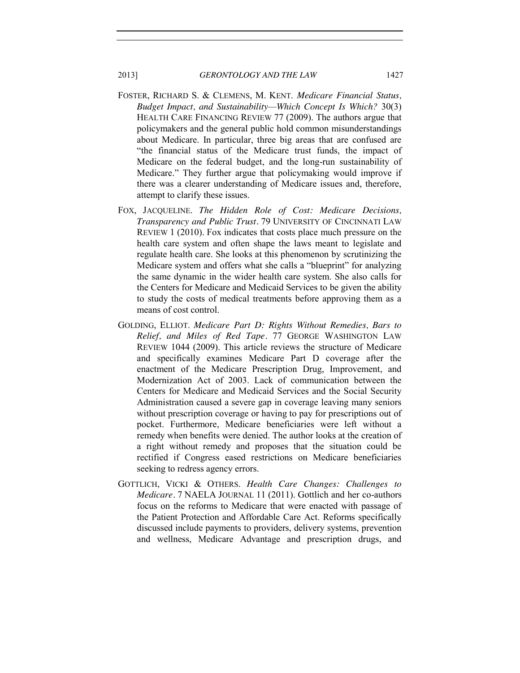- FOSTER, RICHARD S. & CLEMENS, M. KENT. *Medicare Financial Status, Budget Impact, and Sustainability—Which Concept Is Which?* 30(3) HEALTH CARE FINANCING REVIEW 77 (2009). The authors argue that policymakers and the general public hold common misunderstandings about Medicare. In particular, three big areas that are confused are "the financial status of the Medicare trust funds, the impact of Medicare on the federal budget, and the long-run sustainability of Medicare." They further argue that policymaking would improve if there was a clearer understanding of Medicare issues and, therefore, attempt to clarify these issues.
- FOX, JACQUELINE. *The Hidden Role of Cost: Medicare Decisions, Transparency and Public Trust.* 79 UNIVERSITY OF CINCINNATI LAW REVIEW 1 (2010). Fox indicates that costs place much pressure on the health care system and often shape the laws meant to legislate and regulate health care. She looks at this phenomenon by scrutinizing the Medicare system and offers what she calls a "blueprint" for analyzing the same dynamic in the wider health care system. She also calls for the Centers for Medicare and Medicaid Services to be given the ability to study the costs of medical treatments before approving them as a means of cost control.
- GOLDING, ELLIOT. *Medicare Part D: Rights Without Remedies, Bars to Relief, and Miles of Red Tape.* 77 GEORGE WASHINGTON LAW REVIEW 1044 (2009). This article reviews the structure of Medicare and specifically examines Medicare Part D coverage after the enactment of the Medicare Prescription Drug, Improvement, and Modernization Act of 2003. Lack of communication between the Centers for Medicare and Medicaid Services and the Social Security Administration caused a severe gap in coverage leaving many seniors without prescription coverage or having to pay for prescriptions out of pocket. Furthermore, Medicare beneficiaries were left without a remedy when benefits were denied. The author looks at the creation of a right without remedy and proposes that the situation could be rectified if Congress eased restrictions on Medicare beneficiaries seeking to redress agency errors.
- GOTTLICH, VICKI & OTHERS. *Health Care Changes: Challenges to Medicare.* 7 NAELA JOURNAL 11 (2011). Gottlich and her co-authors focus on the reforms to Medicare that were enacted with passage of the Patient Protection and Affordable Care Act. Reforms specifically discussed include payments to providers, delivery systems, prevention and wellness, Medicare Advantage and prescription drugs, and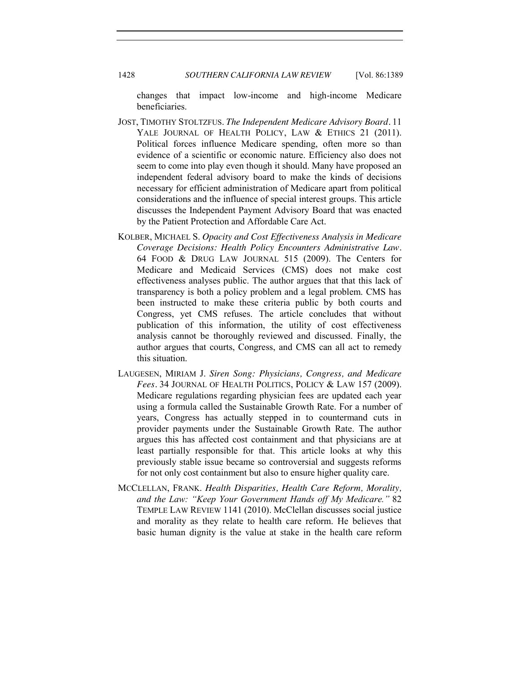changes that impact low-income and high-income Medicare beneficiaries.

- JOST, TIMOTHY STOLTZFUS. *The Independent Medicare Advisory Board.* 11 YALE JOURNAL OF HEALTH POLICY, LAW & ETHICS 21 (2011). Political forces influence Medicare spending, often more so than evidence of a scientific or economic nature. Efficiency also does not seem to come into play even though it should. Many have proposed an independent federal advisory board to make the kinds of decisions necessary for efficient administration of Medicare apart from political considerations and the influence of special interest groups. This article discusses the Independent Payment Advisory Board that was enacted by the Patient Protection and Affordable Care Act.
- KOLBER, MICHAEL S. *Opacity and Cost Effectiveness Analysis in Medicare Coverage Decisions: Health Policy Encounters Administrative Law.* 64 FOOD & DRUG LAW JOURNAL 515 (2009). The Centers for Medicare and Medicaid Services (CMS) does not make cost effectiveness analyses public. The author argues that that this lack of transparency is both a policy problem and a legal problem. CMS has been instructed to make these criteria public by both courts and Congress, yet CMS refuses. The article concludes that without publication of this information, the utility of cost effectiveness analysis cannot be thoroughly reviewed and discussed. Finally, the author argues that courts, Congress, and CMS can all act to remedy this situation.
- LAUGESEN, MIRIAM J. *Siren Song: Physicians, Congress, and Medicare Fees.* 34 JOURNAL OF HEALTH POLITICS, POLICY & LAW 157 (2009). Medicare regulations regarding physician fees are updated each year using a formula called the Sustainable Growth Rate. For a number of years, Congress has actually stepped in to countermand cuts in provider payments under the Sustainable Growth Rate. The author argues this has affected cost containment and that physicians are at least partially responsible for that. This article looks at why this previously stable issue became so controversial and suggests reforms for not only cost containment but also to ensure higher quality care.
- MCCLELLAN, FRANK. *Health Disparities, Health Care Reform, Morality, and the Law: "Keep Your Government Hands off My Medicare."* 82 TEMPLE LAW REVIEW 1141 (2010). McClellan discusses social justice and morality as they relate to health care reform. He believes that basic human dignity is the value at stake in the health care reform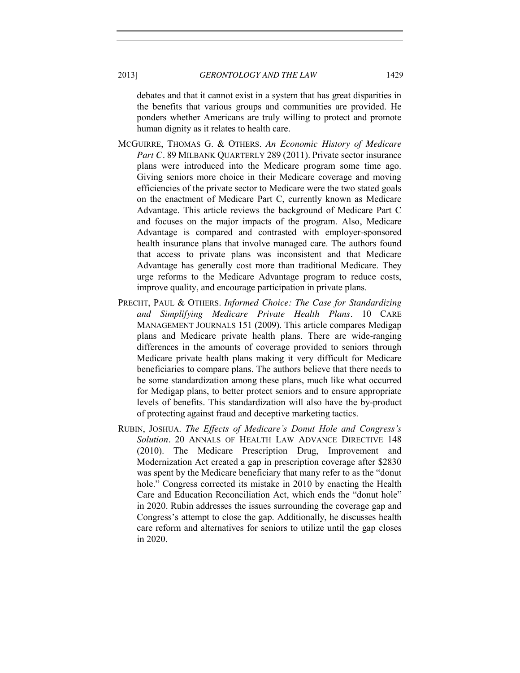debates and that it cannot exist in a system that has great disparities in the benefits that various groups and communities are provided. He ponders whether Americans are truly willing to protect and promote human dignity as it relates to health care.

- MCGUIRRE, THOMAS G. & OTHERS. *An Economic History of Medicare Part C.* 89 MILBANK QUARTERLY 289 (2011). Private sector insurance plans were introduced into the Medicare program some time ago. Giving seniors more choice in their Medicare coverage and moving efficiencies of the private sector to Medicare were the two stated goals on the enactment of Medicare Part C, currently known as Medicare Advantage. This article reviews the background of Medicare Part C and focuses on the major impacts of the program. Also, Medicare Advantage is compared and contrasted with employer-sponsored health insurance plans that involve managed care. The authors found that access to private plans was inconsistent and that Medicare Advantage has generally cost more than traditional Medicare. They urge reforms to the Medicare Advantage program to reduce costs, improve quality, and encourage participation in private plans.
- PRECHT, PAUL & OTHERS. *Informed Choice: The Case for Standardizing and Simplifying Medicare Private Health Plans.* 10 CARE MANAGEMENT JOURNALS 151 (2009). This article compares Medigap plans and Medicare private health plans. There are wide-ranging differences in the amounts of coverage provided to seniors through Medicare private health plans making it very difficult for Medicare beneficiaries to compare plans. The authors believe that there needs to be some standardization among these plans, much like what occurred for Medigap plans, to better protect seniors and to ensure appropriate levels of benefits. This standardization will also have the by-product of protecting against fraud and deceptive marketing tactics.
- RUBIN, JOSHUA. *The Effects of Medicare's Donut Hole and Congress's Solution.* 20 ANNALS OF HEALTH LAW ADVANCE DIRECTIVE 148 (2010). The Medicare Prescription Drug, Improvement and Modernization Act created a gap in prescription coverage after \$2830 was spent by the Medicare beneficiary that many refer to as the "donut hole." Congress corrected its mistake in 2010 by enacting the Health Care and Education Reconciliation Act, which ends the "donut hole" in 2020. Rubin addresses the issues surrounding the coverage gap and Congress's attempt to close the gap. Additionally, he discusses health care reform and alternatives for seniors to utilize until the gap closes in 2020.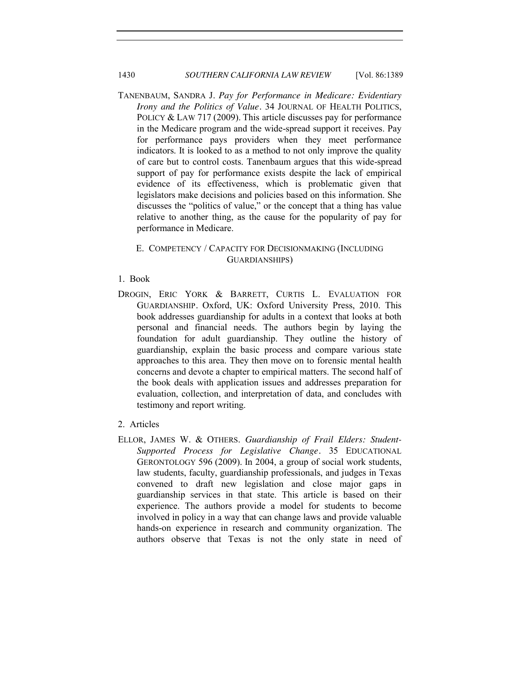# 1430 *SOUTHERN CALIFORNIA LAW REVIEW* [Vol. 86:1389

TANENBAUM, SANDRA J. *Pay for Performance in Medicare: Evidentiary Irony and the Politics of Value.* 34 JOURNAL OF HEALTH POLITICS, POLICY & LAW 717 (2009). This article discusses pay for performance in the Medicare program and the wide-spread support it receives. Pay for performance pays providers when they meet performance indicators. It is looked to as a method to not only improve the quality of care but to control costs. Tanenbaum argues that this wide-spread support of pay for performance exists despite the lack of empirical evidence of its effectiveness, which is problematic given that legislators make decisions and policies based on this information. She discusses the "politics of value," or the concept that a thing has value relative to another thing, as the cause for the popularity of pay for performance in Medicare.

### E. COMPETENCY / CAPACITY FOR DECISIONMAKING (INCLUDING GUARDIANSHIPS)

#### 1. Book

DROGIN, ERIC YORK & BARRETT, CURTIS L. EVALUATION FOR GUARDIANSHIP*.* Oxford, UK: Oxford University Press, 2010. This book addresses guardianship for adults in a context that looks at both personal and financial needs. The authors begin by laying the foundation for adult guardianship. They outline the history of guardianship, explain the basic process and compare various state approaches to this area. They then move on to forensic mental health concerns and devote a chapter to empirical matters. The second half of the book deals with application issues and addresses preparation for evaluation, collection, and interpretation of data, and concludes with testimony and report writing.

#### 2. Articles

ELLOR, JAMES W. & OTHERS. *Guardianship of Frail Elders: Student-Supported Process for Legislative Change.* 35 EDUCATIONAL GERONTOLOGY 596 (2009). In 2004, a group of social work students, law students, faculty, guardianship professionals, and judges in Texas convened to draft new legislation and close major gaps in guardianship services in that state. This article is based on their experience. The authors provide a model for students to become involved in policy in a way that can change laws and provide valuable hands-on experience in research and community organization. The authors observe that Texas is not the only state in need of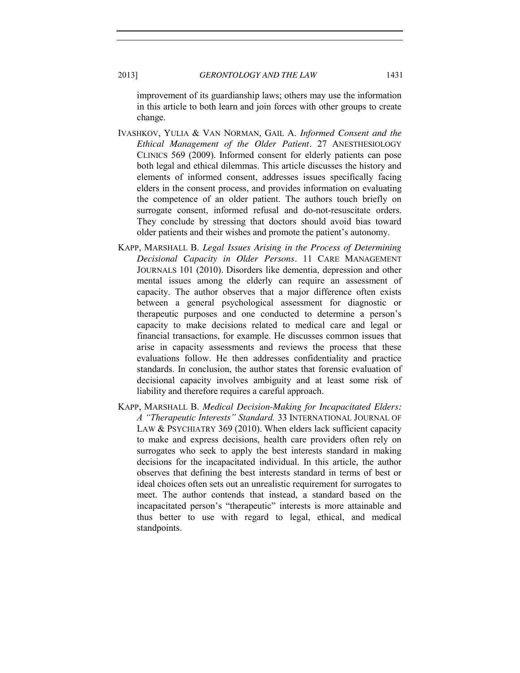improvement of its guardianship laws; others may use the information in this article to both learn and join forces with other groups to create change.

- IVASHKOV, YULIA & VAN NORMAN, GAIL A. *Informed Consent and the Ethical Management of the Older Patient.* 27 ANESTHESIOLOGY CLINICS 569 (2009). Informed consent for elderly patients can pose both legal and ethical dilemmas. This article discusses the history and elements of informed consent, addresses issues specifically facing elders in the consent process, and provides information on evaluating the competence of an older patient. The authors touch briefly on surrogate consent, informed refusal and do-not-resuscitate orders. They conclude by stressing that doctors should avoid bias toward older patients and their wishes and promote the patient's autonomy.
- KAPP, MARSHALL B. *Legal Issues Arising in the Process of Determining Decisional Capacity in Older Persons.* 11 CARE MANAGEMENT JOURNALS 101 (2010). Disorders like dementia, depression and other mental issues among the elderly can require an assessment of capacity. The author observes that a major difference often exists between a general psychological assessment for diagnostic or therapeutic purposes and one conducted to determine a person's capacity to make decisions related to medical care and legal or financial transactions, for example. He discusses common issues that arise in capacity assessments and reviews the process that these evaluations follow. He then addresses confidentiality and practice standards. In conclusion, the author states that forensic evaluation of decisional capacity involves ambiguity and at least some risk of liability and therefore requires a careful approach.
- KAPP, MARSHALL B. *Medical Decision-Making for Incapacitated Elders: A "Therapeutic Interests" Standard.* 33 INTERNATIONAL JOURNAL OF LAW & PSYCHIATRY 369 (2010). When elders lack sufficient capacity to make and express decisions, health care providers often rely on surrogates who seek to apply the best interests standard in making decisions for the incapacitated individual. In this article, the author observes that defining the best interests standard in terms of best or ideal choices often sets out an unrealistic requirement for surrogates to meet. The author contends that instead, a standard based on the incapacitated person's "therapeutic" interests is more attainable and thus better to use with regard to legal, ethical, and medical standpoints.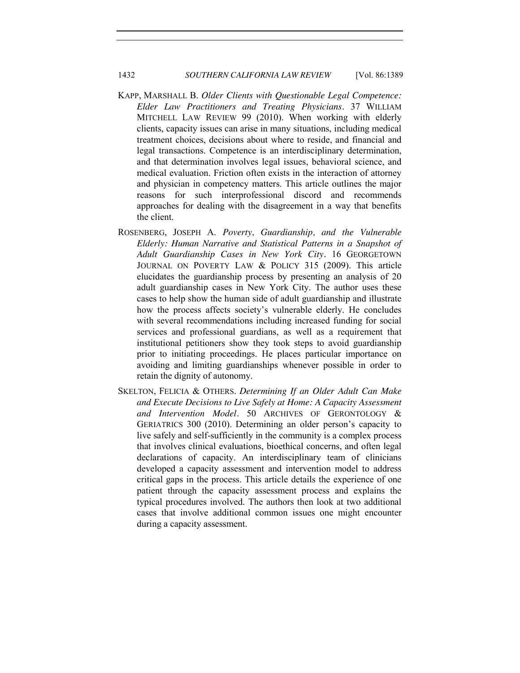# 1432 *SOUTHERN CALIFORNIA LAW REVIEW* [Vol. 86:1389]

- KAPP, MARSHALL B. *Older Clients with Questionable Legal Competence: Elder Law Practitioners and Treating Physicians.* 37 WILLIAM MITCHELL LAW REVIEW 99 (2010). When working with elderly clients, capacity issues can arise in many situations, including medical treatment choices, decisions about where to reside, and financial and legal transactions. Competence is an interdisciplinary determination, and that determination involves legal issues, behavioral science, and medical evaluation. Friction often exists in the interaction of attorney and physician in competency matters. This article outlines the major reasons for such interprofessional discord and recommends approaches for dealing with the disagreement in a way that benefits the client.
- ROSENBERG, JOSEPH A. *Poverty, Guardianship, and the Vulnerable Elderly: Human Narrative and Statistical Patterns in a Snapshot of Adult Guardianship Cases in New York City.* 16 GEORGETOWN JOURNAL ON POVERTY LAW & POLICY 315 (2009). This article elucidates the guardianship process by presenting an analysis of 20 adult guardianship cases in New York City. The author uses these cases to help show the human side of adult guardianship and illustrate how the process affects society's vulnerable elderly. He concludes with several recommendations including increased funding for social services and professional guardians, as well as a requirement that institutional petitioners show they took steps to avoid guardianship prior to initiating proceedings. He places particular importance on avoiding and limiting guardianships whenever possible in order to retain the dignity of autonomy.
- SKELTON, FELICIA & OTHERS. *Determining If an Older Adult Can Make and Execute Decisions to Live Safely at Home: A Capacity Assessment and Intervention Model.* 50 ARCHIVES OF GERONTOLOGY & GERIATRICS 300 (2010). Determining an older person's capacity to live safely and self-sufficiently in the community is a complex process that involves clinical evaluations, bioethical concerns, and often legal declarations of capacity. An interdisciplinary team of clinicians developed a capacity assessment and intervention model to address critical gaps in the process. This article details the experience of one patient through the capacity assessment process and explains the typical procedures involved. The authors then look at two additional cases that involve additional common issues one might encounter during a capacity assessment.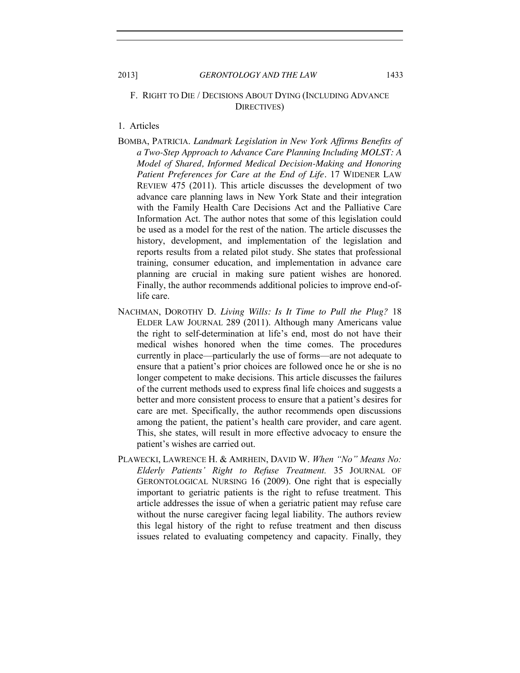# F. RIGHT TO DIE / DECISIONS ABOUT DYING (INCLUDING ADVANCE DIRECTIVES)

# 1. Articles

- BOMBA, PATRICIA. *Landmark Legislation in New York Affirms Benefits of a Two-Step Approach to Advance Care Planning Including MOLST: A Model of Shared, Informed Medical Decision-Making and Honoring Patient Preferences for Care at the End of Life.* 17 WIDENER LAW REVIEW 475 (2011). This article discusses the development of two advance care planning laws in New York State and their integration with the Family Health Care Decisions Act and the Palliative Care Information Act. The author notes that some of this legislation could be used as a model for the rest of the nation. The article discusses the history, development, and implementation of the legislation and reports results from a related pilot study. She states that professional training, consumer education, and implementation in advance care planning are crucial in making sure patient wishes are honored. Finally, the author recommends additional policies to improve end-oflife care.
- NACHMAN, DOROTHY D. *Living Wills: Is It Time to Pull the Plug?* 18 ELDER LAW JOURNAL 289 (2011). Although many Americans value the right to self-determination at life's end, most do not have their medical wishes honored when the time comes. The procedures currently in place—particularly the use of forms—are not adequate to ensure that a patient's prior choices are followed once he or she is no longer competent to make decisions. This article discusses the failures of the current methods used to express final life choices and suggests a better and more consistent process to ensure that a patient's desires for care are met. Specifically, the author recommends open discussions among the patient, the patient's health care provider, and care agent. This, she states, will result in more effective advocacy to ensure the patient's wishes are carried out.
- PLAWECKI, LAWRENCE H. & AMRHEIN, DAVID W. *When "No" Means No: Elderly Patients' Right to Refuse Treatment.* 35 JOURNAL OF GERONTOLOGICAL NURSING 16 (2009). One right that is especially important to geriatric patients is the right to refuse treatment. This article addresses the issue of when a geriatric patient may refuse care without the nurse caregiver facing legal liability. The authors review this legal history of the right to refuse treatment and then discuss issues related to evaluating competency and capacity. Finally, they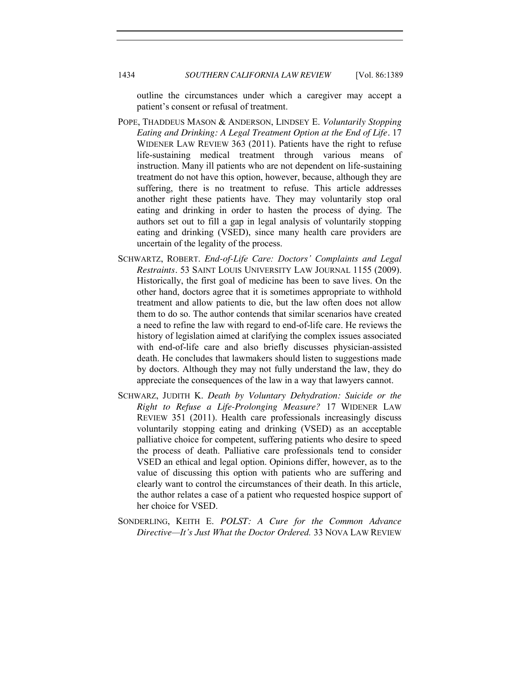outline the circumstances under which a caregiver may accept a patient's consent or refusal of treatment.

- POPE, THADDEUS MASON & ANDERSON, LINDSEY E. *Voluntarily Stopping Eating and Drinking: A Legal Treatment Option at the End of Life.* 17 WIDENER LAW REVIEW 363 (2011). Patients have the right to refuse life-sustaining medical treatment through various means of instruction. Many ill patients who are not dependent on life-sustaining treatment do not have this option, however, because, although they are suffering, there is no treatment to refuse. This article addresses another right these patients have. They may voluntarily stop oral eating and drinking in order to hasten the process of dying. The authors set out to fill a gap in legal analysis of voluntarily stopping eating and drinking (VSED), since many health care providers are uncertain of the legality of the process.
- SCHWARTZ, ROBERT. *End-of-Life Care: Doctors' Complaints and Legal Restraints.* 53 SAINT LOUIS UNIVERSITY LAW JOURNAL 1155 (2009). Historically, the first goal of medicine has been to save lives. On the other hand, doctors agree that it is sometimes appropriate to withhold treatment and allow patients to die, but the law often does not allow them to do so. The author contends that similar scenarios have created a need to refine the law with regard to end-of-life care. He reviews the history of legislation aimed at clarifying the complex issues associated with end-of-life care and also briefly discusses physician-assisted death. He concludes that lawmakers should listen to suggestions made by doctors. Although they may not fully understand the law, they do appreciate the consequences of the law in a way that lawyers cannot.
- SCHWARZ, JUDITH K. *Death by Voluntary Dehydration: Suicide or the Right to Refuse a Life-Prolonging Measure?* 17 WIDENER LAW REVIEW 351 (2011). Health care professionals increasingly discuss voluntarily stopping eating and drinking (VSED) as an acceptable palliative choice for competent, suffering patients who desire to speed the process of death. Palliative care professionals tend to consider VSED an ethical and legal option. Opinions differ, however, as to the value of discussing this option with patients who are suffering and clearly want to control the circumstances of their death. In this article, the author relates a case of a patient who requested hospice support of her choice for VSED.
- SONDERLING, KEITH E. *POLST: A Cure for the Common Advance Directive—It's Just What the Doctor Ordered.* 33 NOVA LAW REVIEW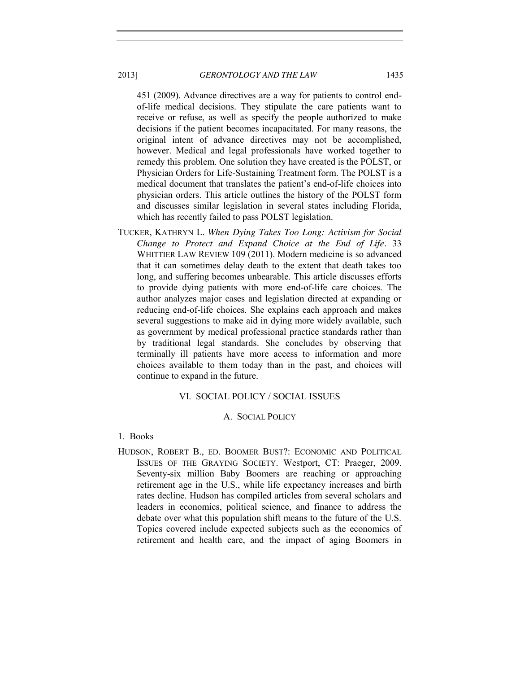451 (2009). Advance directives are a way for patients to control endof-life medical decisions. They stipulate the care patients want to receive or refuse, as well as specify the people authorized to make decisions if the patient becomes incapacitated. For many reasons, the original intent of advance directives may not be accomplished, however. Medical and legal professionals have worked together to remedy this problem. One solution they have created is the POLST, or Physician Orders for Life-Sustaining Treatment form. The POLST is a medical document that translates the patient's end-of-life choices into physician orders. This article outlines the history of the POLST form and discusses similar legislation in several states including Florida, which has recently failed to pass POLST legislation.

TUCKER, KATHRYN L. *When Dying Takes Too Long: Activism for Social Change to Protect and Expand Choice at the End of Life.* 33 WHITTIER LAW REVIEW 109 (2011). Modern medicine is so advanced that it can sometimes delay death to the extent that death takes too long, and suffering becomes unbearable. This article discusses efforts to provide dying patients with more end-of-life care choices. The author analyzes major cases and legislation directed at expanding or reducing end-of-life choices. She explains each approach and makes several suggestions to make aid in dying more widely available, such as government by medical professional practice standards rather than by traditional legal standards. She concludes by observing that terminally ill patients have more access to information and more choices available to them today than in the past, and choices will continue to expand in the future.

### VI. SOCIAL POLICY / SOCIAL ISSUES

### A. SOCIAL POLICY

- 1. Books
- HUDSON, ROBERT B., ED. BOOMER BUST?: ECONOMIC AND POLITICAL ISSUES OF THE GRAYING SOCIETY. Westport, CT: Praeger, 2009. Seventy-six million Baby Boomers are reaching or approaching retirement age in the U.S., while life expectancy increases and birth rates decline. Hudson has compiled articles from several scholars and leaders in economics, political science, and finance to address the debate over what this population shift means to the future of the U.S. Topics covered include expected subjects such as the economics of retirement and health care, and the impact of aging Boomers in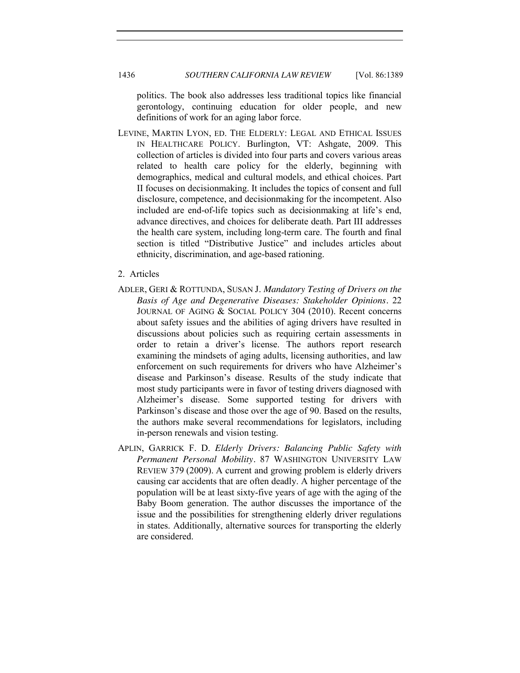politics. The book also addresses less traditional topics like financial gerontology, continuing education for older people, and new definitions of work for an aging labor force.

- LEVINE, MARTIN LYON, ED. THE ELDERLY: LEGAL AND ETHICAL ISSUES IN HEALTHCARE POLICY. Burlington, VT: Ashgate, 2009. This collection of articles is divided into four parts and covers various areas related to health care policy for the elderly, beginning with demographics, medical and cultural models, and ethical choices. Part II focuses on decisionmaking. It includes the topics of consent and full disclosure, competence, and decisionmaking for the incompetent. Also included are end-of-life topics such as decisionmaking at life's end, advance directives, and choices for deliberate death. Part III addresses the health care system, including long-term care. The fourth and final section is titled "Distributive Justice" and includes articles about ethnicity, discrimination, and age-based rationing.
- 2. Articles
- ADLER, GERI & ROTTUNDA, SUSAN J. *Mandatory Testing of Drivers on the Basis of Age and Degenerative Diseases: Stakeholder Opinions.* 22 JOURNAL OF AGING & SOCIAL POLICY 304 (2010). Recent concerns about safety issues and the abilities of aging drivers have resulted in discussions about policies such as requiring certain assessments in order to retain a driver's license. The authors report research examining the mindsets of aging adults, licensing authorities, and law enforcement on such requirements for drivers who have Alzheimer's disease and Parkinson's disease. Results of the study indicate that most study participants were in favor of testing drivers diagnosed with Alzheimer's disease. Some supported testing for drivers with Parkinson's disease and those over the age of 90. Based on the results, the authors make several recommendations for legislators, including in-person renewals and vision testing.
- APLIN, GARRICK F. D. *Elderly Drivers: Balancing Public Safety with Permanent Personal Mobility.* 87 WASHINGTON UNIVERSITY LAW REVIEW 379 (2009). A current and growing problem is elderly drivers causing car accidents that are often deadly. A higher percentage of the population will be at least sixty-five years of age with the aging of the Baby Boom generation. The author discusses the importance of the issue and the possibilities for strengthening elderly driver regulations in states. Additionally, alternative sources for transporting the elderly are considered.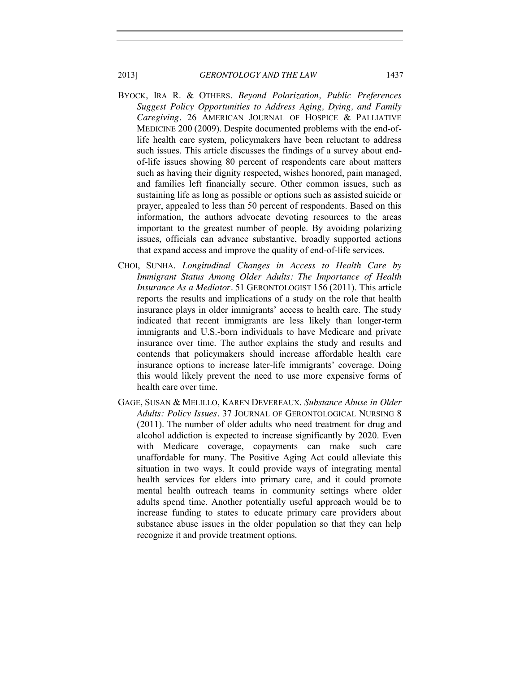- BYOCK, IRA R. & OTHERS. *Beyond Polarization, Public Preferences Suggest Policy Opportunities to Address Aging, Dying, and Family Caregiving.* 26 AMERICAN JOURNAL OF HOSPICE & PALLIATIVE MEDICINE 200 (2009). Despite documented problems with the end-oflife health care system, policymakers have been reluctant to address such issues. This article discusses the findings of a survey about endof-life issues showing 80 percent of respondents care about matters such as having their dignity respected, wishes honored, pain managed, and families left financially secure. Other common issues, such as sustaining life as long as possible or options such as assisted suicide or prayer, appealed to less than 50 percent of respondents. Based on this information, the authors advocate devoting resources to the areas important to the greatest number of people. By avoiding polarizing issues, officials can advance substantive, broadly supported actions that expand access and improve the quality of end-of-life services.
- CHOI, SUNHA. *Longitudinal Changes in Access to Health Care by Immigrant Status Among Older Adults: The Importance of Health Insurance As a Mediator.* 51 GERONTOLOGIST 156 (2011). This article reports the results and implications of a study on the role that health insurance plays in older immigrants' access to health care. The study indicated that recent immigrants are less likely than longer-term immigrants and U.S.-born individuals to have Medicare and private insurance over time. The author explains the study and results and contends that policymakers should increase affordable health care insurance options to increase later-life immigrants' coverage. Doing this would likely prevent the need to use more expensive forms of health care over time.
- GAGE, SUSAN & MELILLO, KAREN DEVEREAUX. *Substance Abuse in Older Adults: Policy Issues.* 37 JOURNAL OF GERONTOLOGICAL NURSING 8 (2011). The number of older adults who need treatment for drug and alcohol addiction is expected to increase significantly by 2020. Even with Medicare coverage, copayments can make such care unaffordable for many. The Positive Aging Act could alleviate this situation in two ways. It could provide ways of integrating mental health services for elders into primary care, and it could promote mental health outreach teams in community settings where older adults spend time. Another potentially useful approach would be to increase funding to states to educate primary care providers about substance abuse issues in the older population so that they can help recognize it and provide treatment options.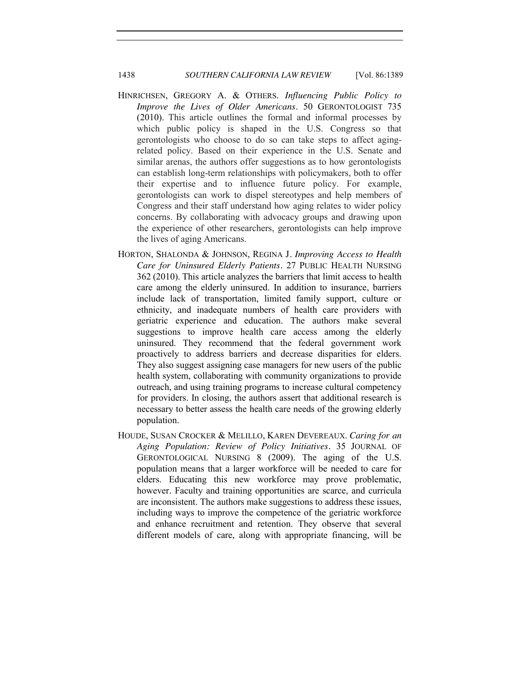# 1438 *SOUTHERN CALIFORNIA LAW REVIEW* [Vol. 86:1389

- HINRICHSEN, GREGORY A. & OTHERS. *Influencing Public Policy to Improve the Lives of Older Americans.* 50 GERONTOLOGIST 735 (2010). This article outlines the formal and informal processes by which public policy is shaped in the U.S. Congress so that gerontologists who choose to do so can take steps to affect agingrelated policy. Based on their experience in the U.S. Senate and similar arenas, the authors offer suggestions as to how gerontologists can establish long-term relationships with policymakers, both to offer their expertise and to influence future policy. For example, gerontologists can work to dispel stereotypes and help members of Congress and their staff understand how aging relates to wider policy concerns. By collaborating with advocacy groups and drawing upon the experience of other researchers, gerontologists can help improve the lives of aging Americans.
- HORTON, SHALONDA & JOHNSON, REGINA J*. Improving Access to Health Care for Uninsured Elderly Patients.* 27 PUBLIC HEALTH NURSING 362 (2010). This article analyzes the barriers that limit access to health care among the elderly uninsured. In addition to insurance, barriers include lack of transportation, limited family support, culture or ethnicity, and inadequate numbers of health care providers with geriatric experience and education. The authors make several suggestions to improve health care access among the elderly uninsured. They recommend that the federal government work proactively to address barriers and decrease disparities for elders. They also suggest assigning case managers for new users of the public health system, collaborating with community organizations to provide outreach, and using training programs to increase cultural competency for providers. In closing, the authors assert that additional research is necessary to better assess the health care needs of the growing elderly population.
- HOUDE, SUSAN CROCKER & MELILLO, KAREN DEVEREAUX. *Caring for an Aging Population: Review of Policy Initiatives.* 35 JOURNAL OF GERONTOLOGICAL NURSING 8 (2009). The aging of the U.S. population means that a larger workforce will be needed to care for elders. Educating this new workforce may prove problematic, however. Faculty and training opportunities are scarce, and curricula are inconsistent. The authors make suggestions to address these issues, including ways to improve the competence of the geriatric workforce and enhance recruitment and retention. They observe that several different models of care, along with appropriate financing, will be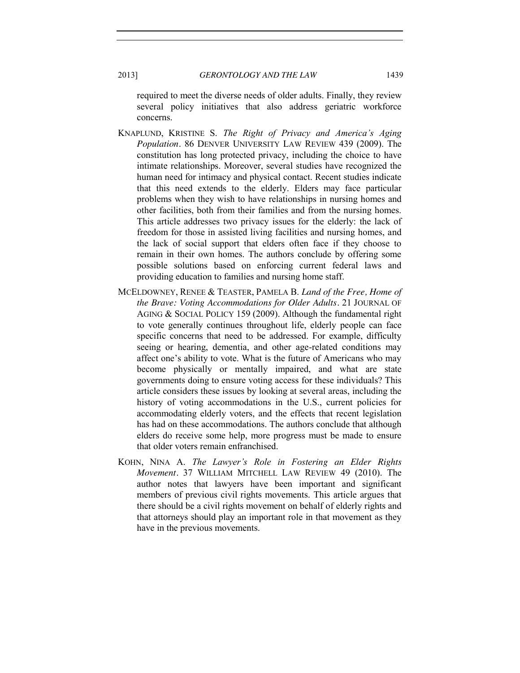required to meet the diverse needs of older adults. Finally, they review several policy initiatives that also address geriatric workforce concerns.

- KNAPLUND, KRISTINE S. *The Right of Privacy and America's Aging Population.* 86 DENVER UNIVERSITY LAW REVIEW 439 (2009). The constitution has long protected privacy, including the choice to have intimate relationships. Moreover, several studies have recognized the human need for intimacy and physical contact. Recent studies indicate that this need extends to the elderly. Elders may face particular problems when they wish to have relationships in nursing homes and other facilities, both from their families and from the nursing homes. This article addresses two privacy issues for the elderly: the lack of freedom for those in assisted living facilities and nursing homes, and the lack of social support that elders often face if they choose to remain in their own homes. The authors conclude by offering some possible solutions based on enforcing current federal laws and providing education to families and nursing home staff.
- MCELDOWNEY, RENEE & TEASTER, PAMELA B. *Land of the Free, Home of the Brave: Voting Accommodations for Older Adults.* 21 JOURNAL OF AGING & SOCIAL POLICY 159 (2009). Although the fundamental right to vote generally continues throughout life, elderly people can face specific concerns that need to be addressed. For example, difficulty seeing or hearing, dementia, and other age-related conditions may affect one's ability to vote. What is the future of Americans who may become physically or mentally impaired, and what are state governments doing to ensure voting access for these individuals? This article considers these issues by looking at several areas, including the history of voting accommodations in the U.S., current policies for accommodating elderly voters, and the effects that recent legislation has had on these accommodations. The authors conclude that although elders do receive some help, more progress must be made to ensure that older voters remain enfranchised.
- KOHN, NINA A. *The Lawyer's Role in Fostering an Elder Rights Movement.* 37 WILLIAM MITCHELL LAW REVIEW 49 (2010). The author notes that lawyers have been important and significant members of previous civil rights movements. This article argues that there should be a civil rights movement on behalf of elderly rights and that attorneys should play an important role in that movement as they have in the previous movements.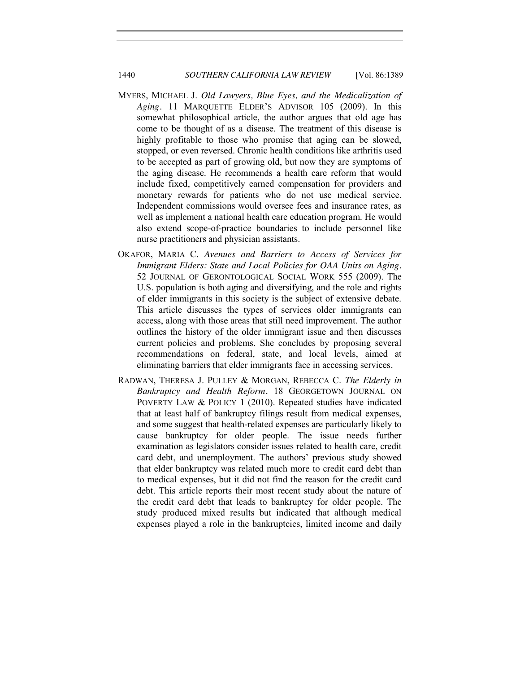# 1440 *SOUTHERN CALIFORNIA LAW REVIEW* [Vol. 86:1389

- MYERS, MICHAEL J. *Old Lawyers, Blue Eyes, and the Medicalization of Aging.* 11 MARQUETTE ELDER'S ADVISOR 105 (2009). In this somewhat philosophical article, the author argues that old age has come to be thought of as a disease. The treatment of this disease is highly profitable to those who promise that aging can be slowed, stopped, or even reversed. Chronic health conditions like arthritis used to be accepted as part of growing old, but now they are symptoms of the aging disease. He recommends a health care reform that would include fixed, competitively earned compensation for providers and monetary rewards for patients who do not use medical service. Independent commissions would oversee fees and insurance rates, as well as implement a national health care education program. He would also extend scope-of-practice boundaries to include personnel like nurse practitioners and physician assistants.
- OKAFOR, MARIA C. *Avenues and Barriers to Access of Services for Immigrant Elders: State and Local Policies for OAA Units on Aging.*  52 JOURNAL OF GERONTOLOGICAL SOCIAL WORK 555 (2009). The U.S. population is both aging and diversifying, and the role and rights of elder immigrants in this society is the subject of extensive debate. This article discusses the types of services older immigrants can access, along with those areas that still need improvement. The author outlines the history of the older immigrant issue and then discusses current policies and problems. She concludes by proposing several recommendations on federal, state, and local levels, aimed at eliminating barriers that elder immigrants face in accessing services.
- RADWAN, THERESA J. PULLEY & MORGAN, REBECCA C. *The Elderly in Bankruptcy and Health Reform.* 18 GEORGETOWN JOURNAL ON POVERTY LAW & POLICY 1 (2010). Repeated studies have indicated that at least half of bankruptcy filings result from medical expenses, and some suggest that health-related expenses are particularly likely to cause bankruptcy for older people. The issue needs further examination as legislators consider issues related to health care, credit card debt, and unemployment. The authors' previous study showed that elder bankruptcy was related much more to credit card debt than to medical expenses, but it did not find the reason for the credit card debt. This article reports their most recent study about the nature of the credit card debt that leads to bankruptcy for older people. The study produced mixed results but indicated that although medical expenses played a role in the bankruptcies, limited income and daily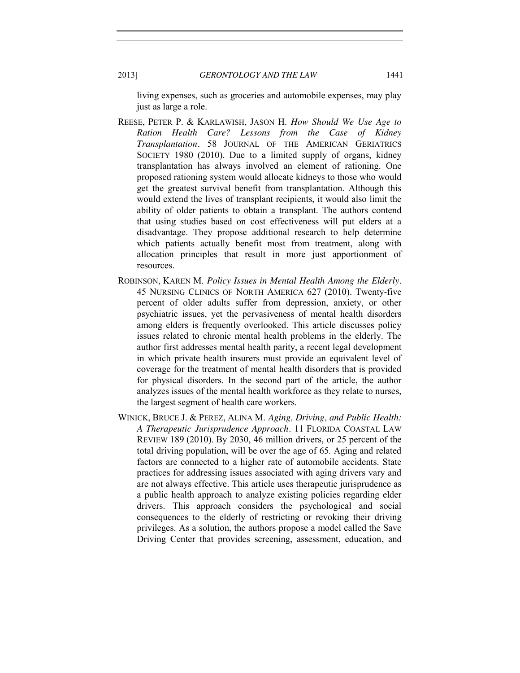living expenses, such as groceries and automobile expenses, may play just as large a role.

- REESE, PETER P. & KARLAWISH, JASON H. *How Should We Use Age to Ration Health Care? Lessons from the Case of Kidney Transplantation.* 58 JOURNAL OF THE AMERICAN GERIATRICS SOCIETY 1980 (2010). Due to a limited supply of organs, kidney transplantation has always involved an element of rationing. One proposed rationing system would allocate kidneys to those who would get the greatest survival benefit from transplantation. Although this would extend the lives of transplant recipients, it would also limit the ability of older patients to obtain a transplant. The authors contend that using studies based on cost effectiveness will put elders at a disadvantage. They propose additional research to help determine which patients actually benefit most from treatment, along with allocation principles that result in more just apportionment of resources.
- ROBINSON, KAREN M. *Policy Issues in Mental Health Among the Elderly.* 45 NURSING CLINICS OF NORTH AMERICA 627 (2010). Twenty-five percent of older adults suffer from depression, anxiety, or other psychiatric issues, yet the pervasiveness of mental health disorders among elders is frequently overlooked. This article discusses policy issues related to chronic mental health problems in the elderly. The author first addresses mental health parity, a recent legal development in which private health insurers must provide an equivalent level of coverage for the treatment of mental health disorders that is provided for physical disorders. In the second part of the article, the author analyzes issues of the mental health workforce as they relate to nurses, the largest segment of health care workers.
- WINICK, BRUCE J. & PEREZ, ALINA M. *Aging, Driving, and Public Health: A Therapeutic Jurisprudence Approach.* 11 FLORIDA COASTAL LAW REVIEW 189 (2010). By 2030, 46 million drivers, or 25 percent of the total driving population, will be over the age of 65. Aging and related factors are connected to a higher rate of automobile accidents. State practices for addressing issues associated with aging drivers vary and are not always effective. This article uses therapeutic jurisprudence as a public health approach to analyze existing policies regarding elder drivers. This approach considers the psychological and social consequences to the elderly of restricting or revoking their driving privileges. As a solution, the authors propose a model called the Save Driving Center that provides screening, assessment, education, and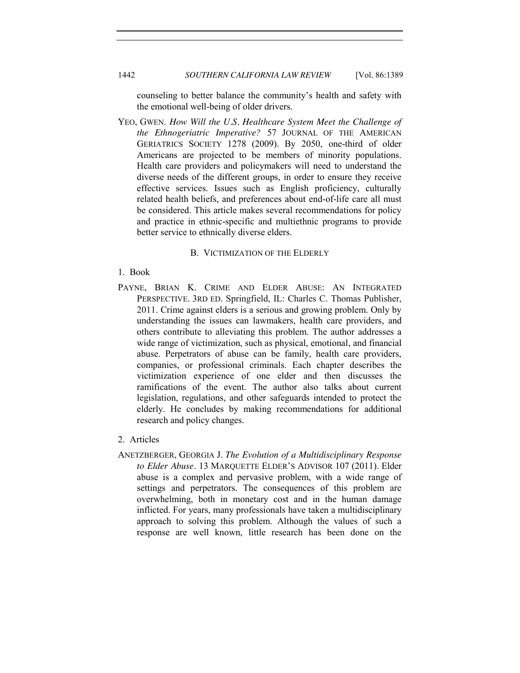# 1442 *SOUTHERN CALIFORNIA LAW REVIEW* [Vol. 86:1389

counseling to better balance the community's health and safety with the emotional well-being of older drivers.

YEO, GWEN. *How Will the U.S. Healthcare System Meet the Challenge of the Ethnogeriatric Imperative?* 57 JOURNAL OF THE AMERICAN GERIATRICS SOCIETY 1278 (2009). By 2050, one-third of older Americans are projected to be members of minority populations. Health care providers and policymakers will need to understand the diverse needs of the different groups, in order to ensure they receive effective services. Issues such as English proficiency, culturally related health beliefs, and preferences about end-of-life care all must be considered. This article makes several recommendations for policy and practice in ethnic-specific and multiethnic programs to provide better service to ethnically diverse elders.

### B. VICTIMIZATION OF THE ELDERLY

- 1. Book
- PAYNE, BRIAN K. CRIME AND ELDER ABUSE: AN INTEGRATED PERSPECTIVE. 3RD ED. Springfield, IL: Charles C. Thomas Publisher, 2011. Crime against elders is a serious and growing problem. Only by understanding the issues can lawmakers, health care providers, and others contribute to alleviating this problem. The author addresses a wide range of victimization, such as physical, emotional, and financial abuse. Perpetrators of abuse can be family, health care providers, companies, or professional criminals. Each chapter describes the victimization experience of one elder and then discusses the ramifications of the event. The author also talks about current legislation, regulations, and other safeguards intended to protect the elderly. He concludes by making recommendations for additional research and policy changes.
- 2. Articles
- ANETZBERGER, GEORGIA J. *The Evolution of a Multidisciplinary Response to Elder Abuse.* 13 MARQUETTE ELDER'S ADVISOR 107 (2011). Elder abuse is a complex and pervasive problem, with a wide range of settings and perpetrators. The consequences of this problem are overwhelming, both in monetary cost and in the human damage inflicted. For years, many professionals have taken a multidisciplinary approach to solving this problem. Although the values of such a response are well known, little research has been done on the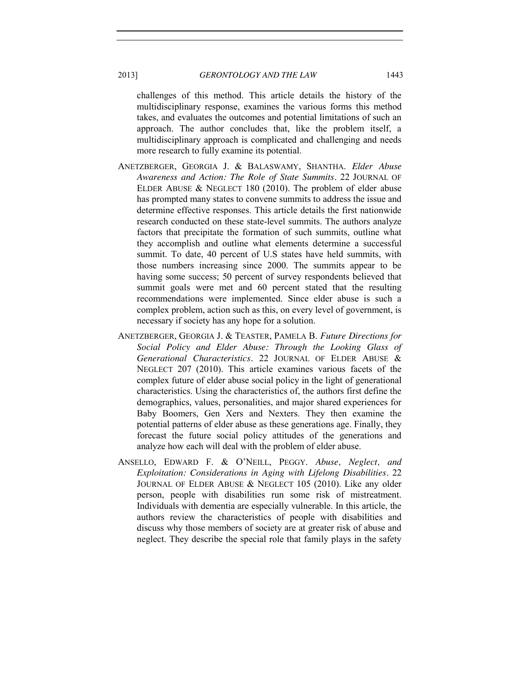challenges of this method. This article details the history of the multidisciplinary response, examines the various forms this method takes, and evaluates the outcomes and potential limitations of such an approach. The author concludes that, like the problem itself, a multidisciplinary approach is complicated and challenging and needs more research to fully examine its potential.

- ANETZBERGER, GEORGIA J. & BALASWAMY, SHANTHA. *Elder Abuse Awareness and Action: The Role of State Summits.* 22 JOURNAL OF ELDER ABUSE & NEGLECT 180 (2010). The problem of elder abuse has prompted many states to convene summits to address the issue and determine effective responses. This article details the first nationwide research conducted on these state-level summits. The authors analyze factors that precipitate the formation of such summits, outline what they accomplish and outline what elements determine a successful summit. To date, 40 percent of U.S states have held summits, with those numbers increasing since 2000. The summits appear to be having some success; 50 percent of survey respondents believed that summit goals were met and 60 percent stated that the resulting recommendations were implemented. Since elder abuse is such a complex problem, action such as this, on every level of government, is necessary if society has any hope for a solution.
- ANETZBERGER, GEORGIA J. & TEASTER, PAMELA B. *Future Directions for Social Policy and Elder Abuse: Through the Looking Glass of Generational Characteristics.* 22 JOURNAL OF ELDER ABUSE & NEGLECT 207 (2010). This article examines various facets of the complex future of elder abuse social policy in the light of generational characteristics. Using the characteristics of, the authors first define the demographics, values, personalities, and major shared experiences for Baby Boomers, Gen Xers and Nexters. They then examine the potential patterns of elder abuse as these generations age. Finally, they forecast the future social policy attitudes of the generations and analyze how each will deal with the problem of elder abuse.
- ANSELLO, EDWARD F. & O'NEILL, PEGGY. *Abuse, Neglect, and Exploitation: Considerations in Aging with Lifelong Disabilities.* 22 JOURNAL OF ELDER ABUSE & NEGLECT 105 (2010). Like any older person, people with disabilities run some risk of mistreatment. Individuals with dementia are especially vulnerable. In this article, the authors review the characteristics of people with disabilities and discuss why those members of society are at greater risk of abuse and neglect. They describe the special role that family plays in the safety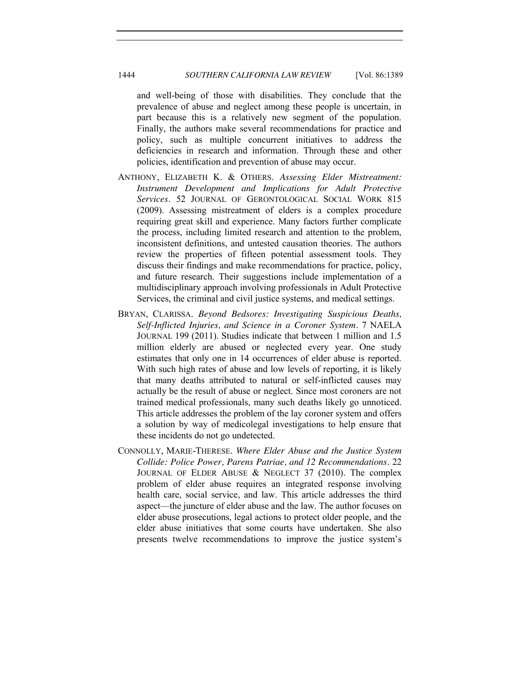and well-being of those with disabilities. They conclude that the prevalence of abuse and neglect among these people is uncertain, in part because this is a relatively new segment of the population. Finally, the authors make several recommendations for practice and policy, such as multiple concurrent initiatives to address the deficiencies in research and information. Through these and other policies, identification and prevention of abuse may occur.

- ANTHONY, ELIZABETH K. & OTHERS. *Assessing Elder Mistreatment: Instrument Development and Implications for Adult Protective Services.* 52 JOURNAL OF GERONTOLOGICAL SOCIAL WORK 815 (2009). Assessing mistreatment of elders is a complex procedure requiring great skill and experience. Many factors further complicate the process, including limited research and attention to the problem, inconsistent definitions, and untested causation theories. The authors review the properties of fifteen potential assessment tools. They discuss their findings and make recommendations for practice, policy, and future research. Their suggestions include implementation of a multidisciplinary approach involving professionals in Adult Protective Services, the criminal and civil justice systems, and medical settings.
- BRYAN, CLARISSA. *Beyond Bedsores: Investigating Suspicious Deaths, Self-Inflicted Injuries, and Science in a Coroner System.* 7 NAELA JOURNAL 199 (2011). Studies indicate that between 1 million and 1.5 million elderly are abused or neglected every year. One study estimates that only one in 14 occurrences of elder abuse is reported. With such high rates of abuse and low levels of reporting, it is likely that many deaths attributed to natural or self-inflicted causes may actually be the result of abuse or neglect. Since most coroners are not trained medical professionals, many such deaths likely go unnoticed. This article addresses the problem of the lay coroner system and offers a solution by way of medicolegal investigations to help ensure that these incidents do not go undetected.
- CONNOLLY, MARIE-THERESE. *Where Elder Abuse and the Justice System Collide: Police Power, Parens Patriae, and 12 Recommendations.* 22 JOURNAL OF ELDER ABUSE & NEGLECT 37 (2010). The complex problem of elder abuse requires an integrated response involving health care, social service, and law. This article addresses the third aspect—the juncture of elder abuse and the law. The author focuses on elder abuse prosecutions, legal actions to protect older people, and the elder abuse initiatives that some courts have undertaken. She also presents twelve recommendations to improve the justice system's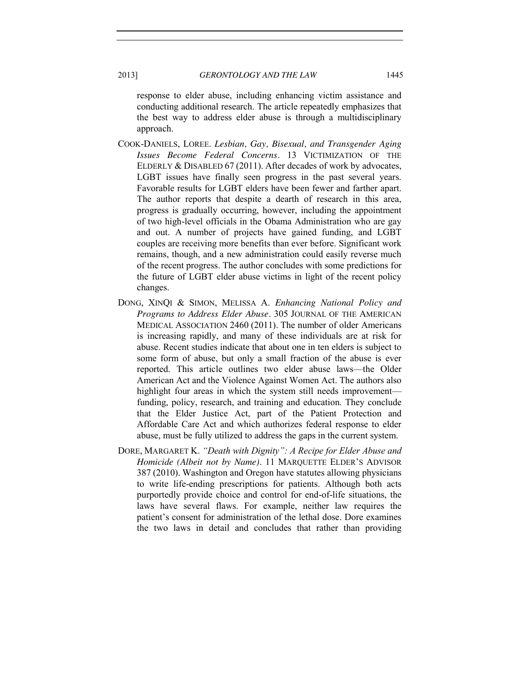response to elder abuse, including enhancing victim assistance and conducting additional research. The article repeatedly emphasizes that the best way to address elder abuse is through a multidisciplinary approach.

- COOK-DANIELS, LOREE. *Lesbian, Gay, Bisexual, and Transgender Aging Issues Become Federal Concerns.* 13 VICTIMIZATION OF THE ELDERLY & DISABLED 67 (2011). After decades of work by advocates, LGBT issues have finally seen progress in the past several years. Favorable results for LGBT elders have been fewer and farther apart. The author reports that despite a dearth of research in this area, progress is gradually occurring, however, including the appointment of two high-level officials in the Obama Administration who are gay and out. A number of projects have gained funding, and LGBT couples are receiving more benefits than ever before. Significant work remains, though, and a new administration could easily reverse much of the recent progress. The author concludes with some predictions for the future of LGBT elder abuse victims in light of the recent policy changes.
- DONG, XINQI & SIMON, MELISSA A. *Enhancing National Policy and Programs to Address Elder Abuse.* 305 JOURNAL OF THE AMERICAN MEDICAL ASSOCIATION 2460 (2011). The number of older Americans is increasing rapidly, and many of these individuals are at risk for abuse. Recent studies indicate that about one in ten elders is subject to some form of abuse, but only a small fraction of the abuse is ever reported. This article outlines two elder abuse laws—the Older American Act and the Violence Against Women Act. The authors also highlight four areas in which the system still needs improvement funding, policy, research, and training and education. They conclude that the Elder Justice Act, part of the Patient Protection and Affordable Care Act and which authorizes federal response to elder abuse, must be fully utilized to address the gaps in the current system.
- DORE, MARGARET K. *"Death with Dignity": A Recipe for Elder Abuse and Homicide (Albeit not by Name).* 11 MARQUETTE ELDER'S ADVISOR 387 (2010). Washington and Oregon have statutes allowing physicians to write life-ending prescriptions for patients. Although both acts purportedly provide choice and control for end-of-life situations, the laws have several flaws. For example, neither law requires the patient's consent for administration of the lethal dose. Dore examines the two laws in detail and concludes that rather than providing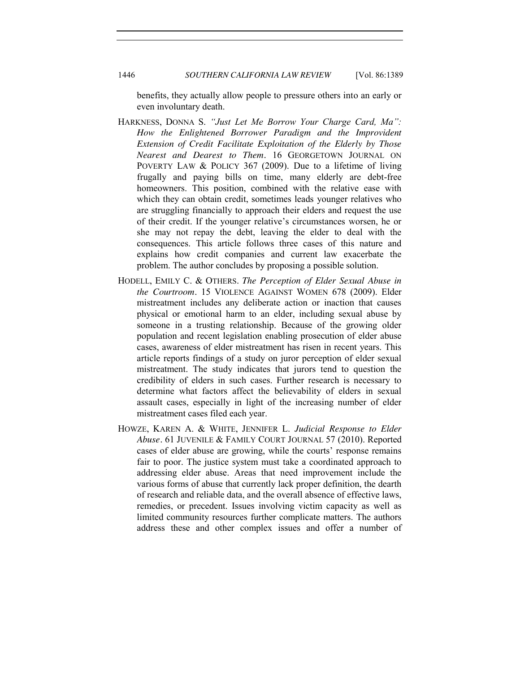benefits, they actually allow people to pressure others into an early or even involuntary death.

- HARKNESS, DONNA S. *"Just Let Me Borrow Your Charge Card, Ma": How the Enlightened Borrower Paradigm and the Improvident Extension of Credit Facilitate Exploitation of the Elderly by Those Nearest and Dearest to Them.* 16 GEORGETOWN JOURNAL ON POVERTY LAW & POLICY 367 (2009). Due to a lifetime of living frugally and paying bills on time, many elderly are debt-free homeowners. This position, combined with the relative ease with which they can obtain credit, sometimes leads younger relatives who are struggling financially to approach their elders and request the use of their credit. If the younger relative's circumstances worsen, he or she may not repay the debt, leaving the elder to deal with the consequences. This article follows three cases of this nature and explains how credit companies and current law exacerbate the problem. The author concludes by proposing a possible solution.
- HODELL, EMILY C. & OTHERS. *The Perception of Elder Sexual Abuse in the Courtroom.* 15 VIOLENCE AGAINST WOMEN 678 (2009). Elder mistreatment includes any deliberate action or inaction that causes physical or emotional harm to an elder, including sexual abuse by someone in a trusting relationship. Because of the growing older population and recent legislation enabling prosecution of elder abuse cases, awareness of elder mistreatment has risen in recent years. This article reports findings of a study on juror perception of elder sexual mistreatment. The study indicates that jurors tend to question the credibility of elders in such cases. Further research is necessary to determine what factors affect the believability of elders in sexual assault cases, especially in light of the increasing number of elder mistreatment cases filed each year.
- HOWZE, KAREN A. & WHITE, JENNIFER L. *Judicial Response to Elder Abuse.* 61 JUVENILE & FAMILY COURT JOURNAL 57 (2010). Reported cases of elder abuse are growing, while the courts' response remains fair to poor. The justice system must take a coordinated approach to addressing elder abuse. Areas that need improvement include the various forms of abuse that currently lack proper definition, the dearth of research and reliable data, and the overall absence of effective laws, remedies, or precedent. Issues involving victim capacity as well as limited community resources further complicate matters. The authors address these and other complex issues and offer a number of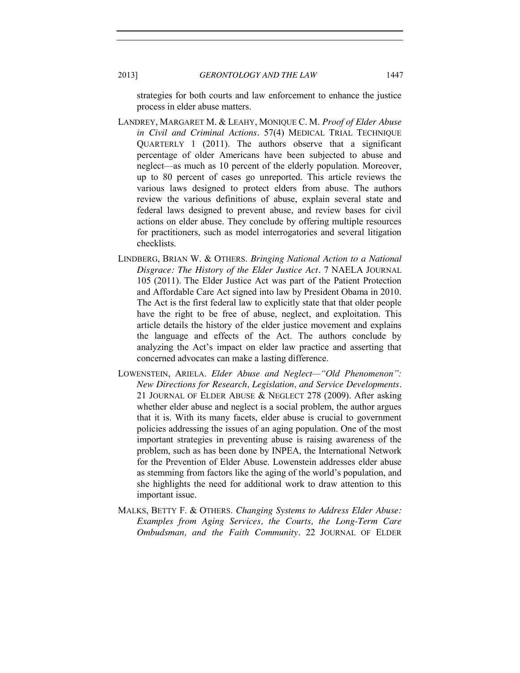strategies for both courts and law enforcement to enhance the justice process in elder abuse matters.

- LANDREY, MARGARET M. & LEAHY, MONIQUE C. M. *Proof of Elder Abuse in Civil and Criminal Actions.* 57(4) MEDICAL TRIAL TECHNIQUE QUARTERLY 1 (2011). The authors observe that a significant percentage of older Americans have been subjected to abuse and neglect—as much as 10 percent of the elderly population. Moreover, up to 80 percent of cases go unreported. This article reviews the various laws designed to protect elders from abuse. The authors review the various definitions of abuse, explain several state and federal laws designed to prevent abuse, and review bases for civil actions on elder abuse. They conclude by offering multiple resources for practitioners, such as model interrogatories and several litigation checklists.
- LINDBERG, BRIAN W. & OTHERS. *Bringing National Action to a National Disgrace: The History of the Elder Justice Act.* 7 NAELA JOURNAL 105 (2011). The Elder Justice Act was part of the Patient Protection and Affordable Care Act signed into law by President Obama in 2010. The Act is the first federal law to explicitly state that that older people have the right to be free of abuse, neglect, and exploitation. This article details the history of the elder justice movement and explains the language and effects of the Act. The authors conclude by analyzing the Act's impact on elder law practice and asserting that concerned advocates can make a lasting difference.
- LOWENSTEIN, ARIELA. *Elder Abuse and Neglect—"Old Phenomenon": New Directions for Research, Legislation, and Service Developments.* 21 JOURNAL OF ELDER ABUSE & NEGLECT 278 (2009). After asking whether elder abuse and neglect is a social problem, the author argues that it is. With its many facets, elder abuse is crucial to government policies addressing the issues of an aging population. One of the most important strategies in preventing abuse is raising awareness of the problem, such as has been done by INPEA, the International Network for the Prevention of Elder Abuse. Lowenstein addresses elder abuse as stemming from factors like the aging of the world's population, and she highlights the need for additional work to draw attention to this important issue.
- MALKS, BETTY F. & OTHERS. *Changing Systems to Address Elder Abuse: Examples from Aging Services, the Courts, the Long-Term Care Ombudsman, and the Faith Community.* 22 JOURNAL OF ELDER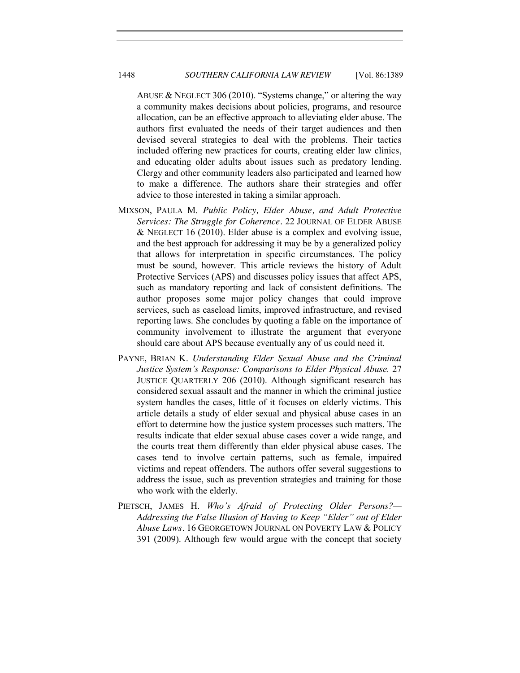ABUSE & NEGLECT 306 (2010). "Systems change," or altering the way a community makes decisions about policies, programs, and resource allocation, can be an effective approach to alleviating elder abuse. The authors first evaluated the needs of their target audiences and then devised several strategies to deal with the problems. Their tactics included offering new practices for courts, creating elder law clinics, and educating older adults about issues such as predatory lending. Clergy and other community leaders also participated and learned how to make a difference. The authors share their strategies and offer advice to those interested in taking a similar approach.

- MIXSON, PAULA M. *Public Policy, Elder Abuse, and Adult Protective Services: The Struggle for Coherence.* 22 JOURNAL OF ELDER ABUSE & NEGLECT 16 (2010). Elder abuse is a complex and evolving issue, and the best approach for addressing it may be by a generalized policy that allows for interpretation in specific circumstances. The policy must be sound, however. This article reviews the history of Adult Protective Services (APS) and discusses policy issues that affect APS, such as mandatory reporting and lack of consistent definitions. The author proposes some major policy changes that could improve services, such as caseload limits, improved infrastructure, and revised reporting laws. She concludes by quoting a fable on the importance of community involvement to illustrate the argument that everyone should care about APS because eventually any of us could need it.
- PAYNE, BRIAN K. *Understanding Elder Sexual Abuse and the Criminal Justice System's Response: Comparisons to Elder Physical Abuse.* 27 JUSTICE QUARTERLY 206 (2010). Although significant research has considered sexual assault and the manner in which the criminal justice system handles the cases, little of it focuses on elderly victims. This article details a study of elder sexual and physical abuse cases in an effort to determine how the justice system processes such matters. The results indicate that elder sexual abuse cases cover a wide range, and the courts treat them differently than elder physical abuse cases. The cases tend to involve certain patterns, such as female, impaired victims and repeat offenders. The authors offer several suggestions to address the issue, such as prevention strategies and training for those who work with the elderly.
- PIETSCH, JAMES H. *Who's Afraid of Protecting Older Persons?— Addressing the False Illusion of Having to Keep "Elder" out of Elder Abuse Laws.* 16 GEORGETOWN JOURNAL ON POVERTY LAW & POLICY 391 (2009). Although few would argue with the concept that society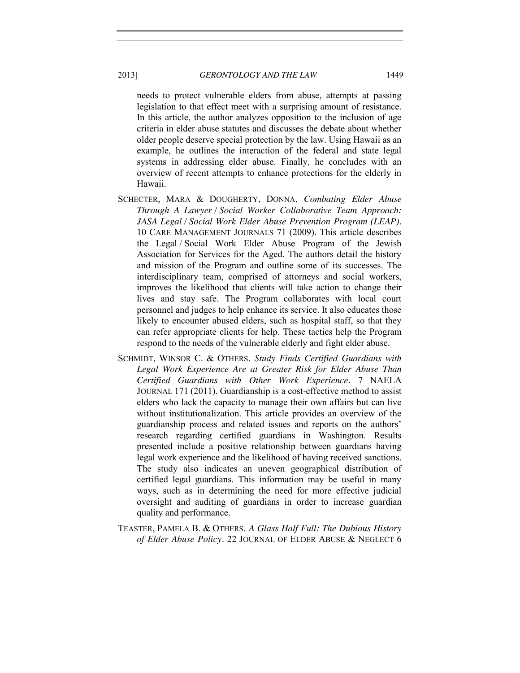needs to protect vulnerable elders from abuse, attempts at passing legislation to that effect meet with a surprising amount of resistance. In this article, the author analyzes opposition to the inclusion of age criteria in elder abuse statutes and discusses the debate about whether older people deserve special protection by the law. Using Hawaii as an example, he outlines the interaction of the federal and state legal systems in addressing elder abuse. Finally, he concludes with an overview of recent attempts to enhance protections for the elderly in Hawaii.

- SCHECTER, MARA & DOUGHERTY, DONNA. *Combating Elder Abuse Through A Lawyer / Social Worker Collaborative Team Approach: JASA Legal / Social Work Elder Abuse Prevention Program (LEAP).* 10 CARE MANAGEMENT JOURNALS 71 (2009). This article describes the Legal / Social Work Elder Abuse Program of the Jewish Association for Services for the Aged. The authors detail the history and mission of the Program and outline some of its successes. The interdisciplinary team, comprised of attorneys and social workers, improves the likelihood that clients will take action to change their lives and stay safe. The Program collaborates with local court personnel and judges to help enhance its service. It also educates those likely to encounter abused elders, such as hospital staff, so that they can refer appropriate clients for help. These tactics help the Program respond to the needs of the vulnerable elderly and fight elder abuse.
- SCHMIDT, WINSOR C. & OTHERS. *Study Finds Certified Guardians with Legal Work Experience Are at Greater Risk for Elder Abuse Than Certified Guardians with Other Work Experience.* 7 NAELA JOURNAL 171 (2011). Guardianship is a cost-effective method to assist elders who lack the capacity to manage their own affairs but can live without institutionalization. This article provides an overview of the guardianship process and related issues and reports on the authors' research regarding certified guardians in Washington. Results presented include a positive relationship between guardians having legal work experience and the likelihood of having received sanctions. The study also indicates an uneven geographical distribution of certified legal guardians. This information may be useful in many ways, such as in determining the need for more effective judicial oversight and auditing of guardians in order to increase guardian quality and performance.
- TEASTER, PAMELA B. & OTHERS. *A Glass Half Full: The Dubious History of Elder Abuse Policy.* 22 JOURNAL OF ELDER ABUSE & NEGLECT 6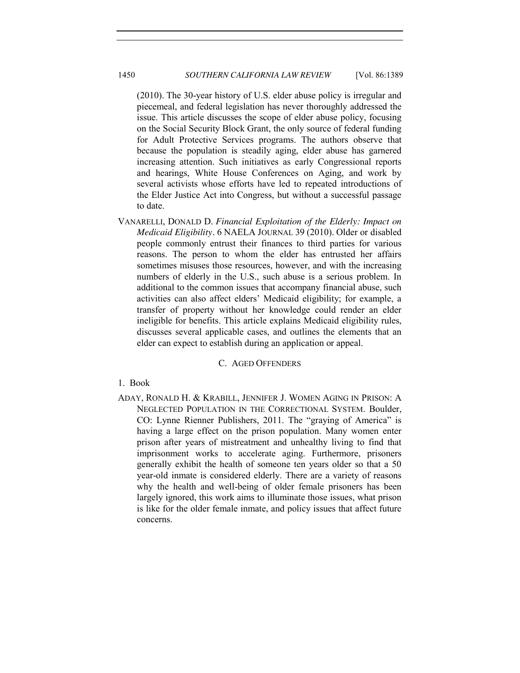(2010). The 30-year history of U.S. elder abuse policy is irregular and piecemeal, and federal legislation has never thoroughly addressed the issue. This article discusses the scope of elder abuse policy, focusing on the Social Security Block Grant, the only source of federal funding for Adult Protective Services programs. The authors observe that because the population is steadily aging, elder abuse has garnered increasing attention. Such initiatives as early Congressional reports and hearings, White House Conferences on Aging, and work by several activists whose efforts have led to repeated introductions of the Elder Justice Act into Congress, but without a successful passage to date.

VANARELLI, DONALD D. *Financial Exploitation of the Elderly: Impact on Medicaid Eligibility.* 6 NAELA JOURNAL 39 (2010). Older or disabled people commonly entrust their finances to third parties for various reasons. The person to whom the elder has entrusted her affairs sometimes misuses those resources, however, and with the increasing numbers of elderly in the U.S., such abuse is a serious problem. In additional to the common issues that accompany financial abuse, such activities can also affect elders' Medicaid eligibility; for example, a transfer of property without her knowledge could render an elder ineligible for benefits. This article explains Medicaid eligibility rules, discusses several applicable cases, and outlines the elements that an elder can expect to establish during an application or appeal.

### C. AGED OFFENDERS

#### 1. Book

ADAY, RONALD H. & KRABILL, JENNIFER J. WOMEN AGING IN PRISON: A NEGLECTED POPULATION IN THE CORRECTIONAL SYSTEM. Boulder, CO: Lynne Rienner Publishers, 2011. The "graying of America" is having a large effect on the prison population. Many women enter prison after years of mistreatment and unhealthy living to find that imprisonment works to accelerate aging. Furthermore, prisoners generally exhibit the health of someone ten years older so that a 50 year-old inmate is considered elderly. There are a variety of reasons why the health and well-being of older female prisoners has been largely ignored, this work aims to illuminate those issues, what prison is like for the older female inmate, and policy issues that affect future concerns.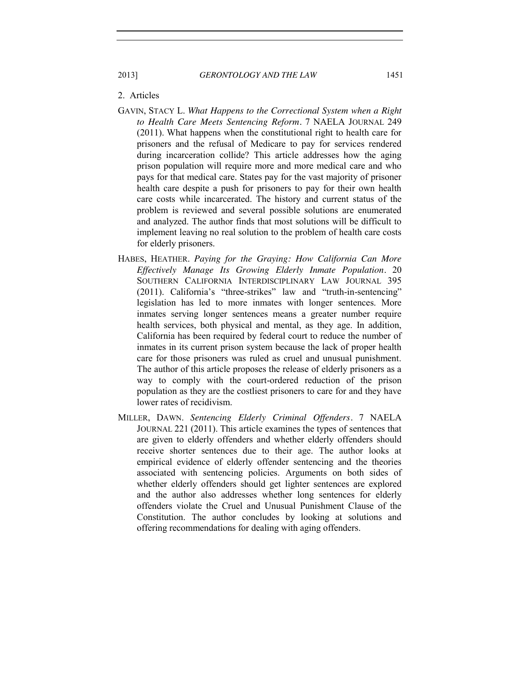### 2. Articles

- GAVIN, STACY L. *What Happens to the Correctional System when a Right to Health Care Meets Sentencing Reform.* 7 NAELA JOURNAL 249 (2011). What happens when the constitutional right to health care for prisoners and the refusal of Medicare to pay for services rendered during incarceration collide? This article addresses how the aging prison population will require more and more medical care and who pays for that medical care. States pay for the vast majority of prisoner health care despite a push for prisoners to pay for their own health care costs while incarcerated. The history and current status of the problem is reviewed and several possible solutions are enumerated and analyzed. The author finds that most solutions will be difficult to implement leaving no real solution to the problem of health care costs for elderly prisoners.
- HABES, HEATHER. *Paying for the Graying: How California Can More Effectively Manage Its Growing Elderly Inmate Population.* 20 SOUTHERN CALIFORNIA INTERDISCIPLINARY LAW JOURNAL 395 (2011). California's "three-strikes" law and "truth-in-sentencing" legislation has led to more inmates with longer sentences. More inmates serving longer sentences means a greater number require health services, both physical and mental, as they age. In addition, California has been required by federal court to reduce the number of inmates in its current prison system because the lack of proper health care for those prisoners was ruled as cruel and unusual punishment. The author of this article proposes the release of elderly prisoners as a way to comply with the court-ordered reduction of the prison population as they are the costliest prisoners to care for and they have lower rates of recidivism.
- MILLER, DAWN. *Sentencing Elderly Criminal Offenders.* 7 NAELA JOURNAL 221 (2011). This article examines the types of sentences that are given to elderly offenders and whether elderly offenders should receive shorter sentences due to their age. The author looks at empirical evidence of elderly offender sentencing and the theories associated with sentencing policies. Arguments on both sides of whether elderly offenders should get lighter sentences are explored and the author also addresses whether long sentences for elderly offenders violate the Cruel and Unusual Punishment Clause of the Constitution. The author concludes by looking at solutions and offering recommendations for dealing with aging offenders.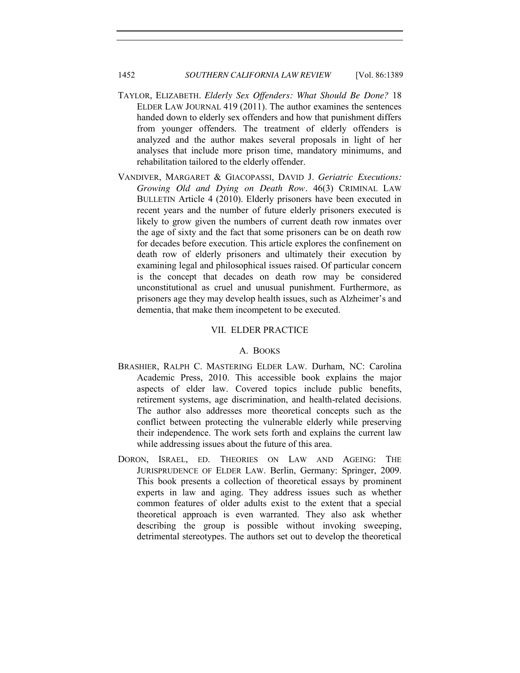- TAYLOR, ELIZABETH. *Elderly Sex Offenders: What Should Be Done?* 18 ELDER LAW JOURNAL 419 (2011). The author examines the sentences handed down to elderly sex offenders and how that punishment differs from younger offenders. The treatment of elderly offenders is analyzed and the author makes several proposals in light of her analyses that include more prison time, mandatory minimums, and rehabilitation tailored to the elderly offender.
- VANDIVER, MARGARET & GIACOPASSI, DAVID J. *Geriatric Executions: Growing Old and Dying on Death Row.* 46(3) CRIMINAL LAW BULLETIN Article 4 (2010). Elderly prisoners have been executed in recent years and the number of future elderly prisoners executed is likely to grow given the numbers of current death row inmates over the age of sixty and the fact that some prisoners can be on death row for decades before execution. This article explores the confinement on death row of elderly prisoners and ultimately their execution by examining legal and philosophical issues raised. Of particular concern is the concept that decades on death row may be considered unconstitutional as cruel and unusual punishment. Furthermore, as prisoners age they may develop health issues, such as Alzheimer's and dementia, that make them incompetent to be executed.

#### VII. ELDER PRACTICE

# A. BOOKS

- BRASHIER, RALPH C. MASTERING ELDER LAW. Durham, NC: Carolina Academic Press, 2010. This accessible book explains the major aspects of elder law. Covered topics include public benefits, retirement systems, age discrimination, and health-related decisions. The author also addresses more theoretical concepts such as the conflict between protecting the vulnerable elderly while preserving their independence. The work sets forth and explains the current law while addressing issues about the future of this area.
- DORON, ISRAEL, ED. THEORIES ON LAW AND AGEING: THE JURISPRUDENCE OF ELDER LAW. Berlin, Germany: Springer, 2009. This book presents a collection of theoretical essays by prominent experts in law and aging. They address issues such as whether common features of older adults exist to the extent that a special theoretical approach is even warranted. They also ask whether describing the group is possible without invoking sweeping, detrimental stereotypes. The authors set out to develop the theoretical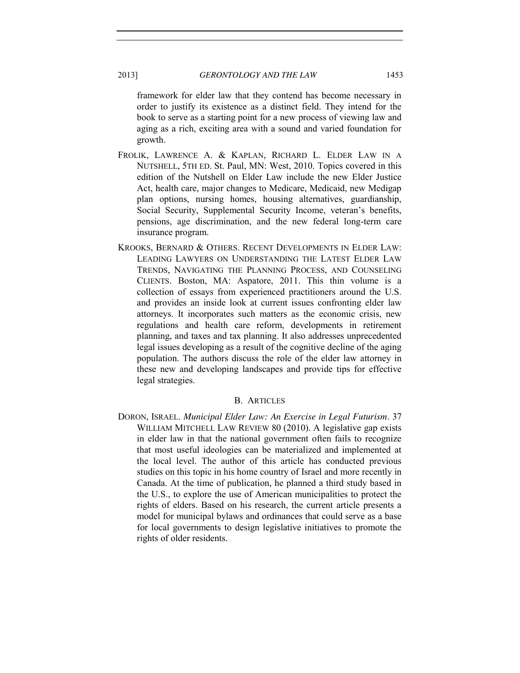framework for elder law that they contend has become necessary in order to justify its existence as a distinct field. They intend for the book to serve as a starting point for a new process of viewing law and aging as a rich, exciting area with a sound and varied foundation for growth.

- FROLIK, LAWRENCE A. & KAPLAN, RICHARD L. ELDER LAW IN A NUTSHELL, 5TH ED. St. Paul, MN: West, 2010. Topics covered in this edition of the Nutshell on Elder Law include the new Elder Justice Act, health care, major changes to Medicare, Medicaid, new Medigap plan options, nursing homes, housing alternatives, guardianship, Social Security, Supplemental Security Income, veteran's benefits, pensions, age discrimination, and the new federal long-term care insurance program.
- KROOKS, BERNARD & OTHERS. RECENT DEVELOPMENTS IN ELDER LAW: LEADING LAWYERS ON UNDERSTANDING THE LATEST ELDER LAW TRENDS, NAVIGATING THE PLANNING PROCESS, AND COUNSELING CLIENTS. Boston, MA: Aspatore, 2011. This thin volume is a collection of essays from experienced practitioners around the U.S. and provides an inside look at current issues confronting elder law attorneys. It incorporates such matters as the economic crisis, new regulations and health care reform, developments in retirement planning, and taxes and tax planning. It also addresses unprecedented legal issues developing as a result of the cognitive decline of the aging population. The authors discuss the role of the elder law attorney in these new and developing landscapes and provide tips for effective legal strategies.

#### B. ARTICLES

DORON, ISRAEL. *Municipal Elder Law: An Exercise in Legal Futurism.* 37 WILLIAM MITCHELL LAW REVIEW 80 (2010). A legislative gap exists in elder law in that the national government often fails to recognize that most useful ideologies can be materialized and implemented at the local level. The author of this article has conducted previous studies on this topic in his home country of Israel and more recently in Canada. At the time of publication, he planned a third study based in the U.S., to explore the use of American municipalities to protect the rights of elders. Based on his research, the current article presents a model for municipal bylaws and ordinances that could serve as a base for local governments to design legislative initiatives to promote the rights of older residents.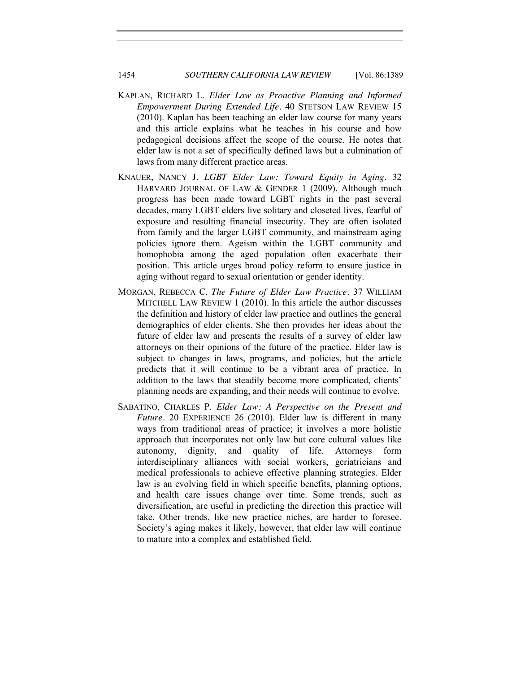- KAPLAN, RICHARD L. *Elder Law as Proactive Planning and Informed Empowerment During Extended Life.* 40 STETSON LAW REVIEW 15 (2010). Kaplan has been teaching an elder law course for many years and this article explains what he teaches in his course and how pedagogical decisions affect the scope of the course. He notes that elder law is not a set of specifically defined laws but a culmination of laws from many different practice areas.
- KNAUER, NANCY J. *LGBT Elder Law: Toward Equity in Aging.* 32 HARVARD JOURNAL OF LAW & GENDER 1 (2009). Although much progress has been made toward LGBT rights in the past several decades, many LGBT elders live solitary and closeted lives, fearful of exposure and resulting financial insecurity. They are often isolated from family and the larger LGBT community, and mainstream aging policies ignore them. Ageism within the LGBT community and homophobia among the aged population often exacerbate their position. This article urges broad policy reform to ensure justice in aging without regard to sexual orientation or gender identity.
- MORGAN, REBECCA C. *The Future of Elder Law Practice.* 37 WILLIAM MITCHELL LAW REVIEW 1 (2010). In this article the author discusses the definition and history of elder law practice and outlines the general demographics of elder clients. She then provides her ideas about the future of elder law and presents the results of a survey of elder law attorneys on their opinions of the future of the practice. Elder law is subject to changes in laws, programs, and policies, but the article predicts that it will continue to be a vibrant area of practice. In addition to the laws that steadily become more complicated, clients' planning needs are expanding, and their needs will continue to evolve.
- SABATINO, CHARLES P. *Elder Law: A Perspective on the Present and Future.* 20 EXPERIENCE 26 (2010). Elder law is different in many ways from traditional areas of practice; it involves a more holistic approach that incorporates not only law but core cultural values like autonomy, dignity, and quality of life. Attorneys form interdisciplinary alliances with social workers, geriatricians and medical professionals to achieve effective planning strategies. Elder law is an evolving field in which specific benefits, planning options, and health care issues change over time. Some trends, such as diversification, are useful in predicting the direction this practice will take. Other trends, like new practice niches, are harder to foresee. Society's aging makes it likely, however, that elder law will continue to mature into a complex and established field.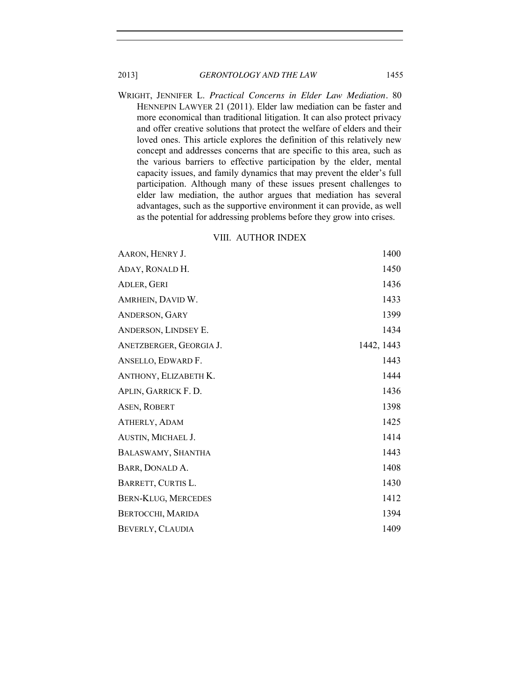WRIGHT, JENNIFER L. *Practical Concerns in Elder Law Mediation.* 80 HENNEPIN LAWYER 21 (2011). Elder law mediation can be faster and more economical than traditional litigation. It can also protect privacy and offer creative solutions that protect the welfare of elders and their loved ones. This article explores the definition of this relatively new concept and addresses concerns that are specific to this area, such as the various barriers to effective participation by the elder, mental capacity issues, and family dynamics that may prevent the elder's full participation. Although many of these issues present challenges to elder law mediation, the author argues that mediation has several advantages, such as the supportive environment it can provide, as well as the potential for addressing problems before they grow into crises.

# VIII. AUTHOR INDEX

| AARON, HENRY J.            | 1400       |
|----------------------------|------------|
| ADAY, RONALD H.            | 1450       |
| ADLER, GERI                | 1436       |
| AMRHEIN, DAVID W.          | 1433       |
| ANDERSON, GARY             | 1399       |
| ANDERSON, LINDSEY E.       | 1434       |
| ANETZBERGER, GEORGIA J.    | 1442, 1443 |
| ANSELLO, EDWARD F.         | 1443       |
| ANTHONY, ELIZABETH K.      | 1444       |
| APLIN, GARRICK F. D.       | 1436       |
| ASEN, ROBERT               | 1398       |
| ATHERLY, ADAM              | 1425       |
| AUSTIN, MICHAEL J.         | 1414       |
| BALASWAMY, SHANTHA         | 1443       |
| BARR, DONALD A.            | 1408       |
| BARRETT, CURTIS L.         | 1430       |
| <b>BERN-KLUG, MERCEDES</b> | 1412       |
| BERTOCCHI, MARIDA          | 1394       |
| BEVERLY, CLAUDIA           | 1409       |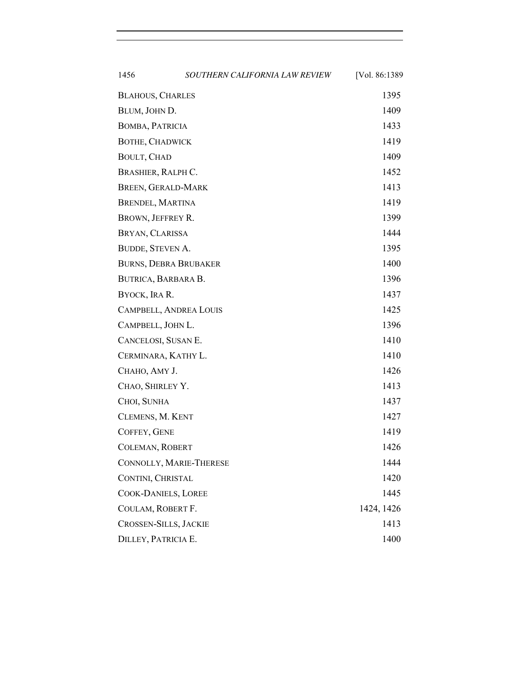| 1456                         | SOUTHERN CALIFORNIA LAW REVIEW | [Vol. 86:1389] |
|------------------------------|--------------------------------|----------------|
| <b>BLAHOUS, CHARLES</b>      |                                | 1395           |
| BLUM, JOHN D.                |                                | 1409           |
| BOMBA, PATRICIA              |                                | 1433           |
| <b>BOTHE, CHADWICK</b>       |                                | 1419           |
| BOULT, CHAD                  |                                | 1409           |
| BRASHIER, RALPH C.           |                                | 1452           |
| BREEN, GERALD-MARK           |                                | 1413           |
| BRENDEL, MARTINA             |                                | 1419           |
| BROWN, JEFFREY R.            |                                | 1399           |
| BRYAN, CLARISSA              |                                | 1444           |
| BUDDE, STEVEN A.             |                                | 1395           |
| <b>BURNS, DEBRA BRUBAKER</b> |                                | 1400           |
| BUTRICA, BARBARA B.          |                                | 1396           |
| BYOCK, IRA R.                |                                | 1437           |
| CAMPBELL, ANDREA LOUIS       |                                | 1425           |
| CAMPBELL, JOHN L.            |                                | 1396           |
| CANCELOSI, SUSAN E.          |                                | 1410           |
| CERMINARA, KATHY L.          |                                | 1410           |
| CHAHO, AMY J.                |                                | 1426           |
| CHAO, SHIRLEY Y.             |                                | 1413           |
| CHOI, SUNHA                  |                                | 1437           |
| CLEMENS, M. KENT             |                                | 1427           |
| COFFEY, GENE                 |                                | 1419           |
| COLEMAN, ROBERT              |                                | 1426           |
| CONNOLLY, MARIE-THERESE      |                                | 1444           |
| CONTINI, CHRISTAL            |                                | 1420           |
| <b>COOK-DANIELS, LOREE</b>   |                                | 1445           |
| COULAM, ROBERT F.            |                                | 1424, 1426     |
| <b>CROSSEN-SILLS, JACKIE</b> |                                | 1413           |
| DILLEY, PATRICIA E.          |                                | 1400           |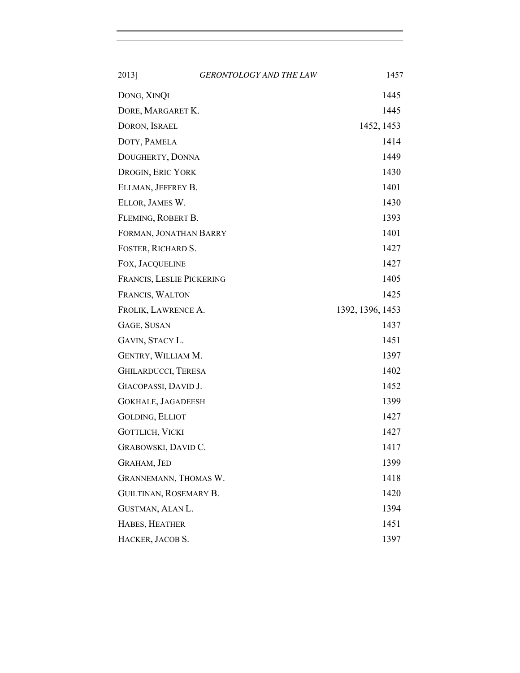| 2013]                      | <b>GERONTOLOGY AND THE LAW</b> | 1457             |
|----------------------------|--------------------------------|------------------|
| DONG, XINQI                |                                | 1445             |
| DORE, MARGARET K.          |                                | 1445             |
| DORON, ISRAEL              |                                | 1452, 1453       |
| DOTY, PAMELA               |                                | 1414             |
| DOUGHERTY, DONNA           |                                | 1449             |
| DROGIN, ERIC YORK          |                                | 1430             |
| ELLMAN, JEFFREY B.         |                                | 1401             |
| ELLOR, JAMES W.            |                                | 1430             |
| FLEMING, ROBERT B.         |                                | 1393             |
| FORMAN, JONATHAN BARRY     |                                | 1401             |
| FOSTER, RICHARD S.         |                                | 1427             |
| FOX, JACQUELINE            |                                | 1427             |
| FRANCIS, LESLIE PICKERING  |                                | 1405             |
| FRANCIS, WALTON            |                                | 1425             |
| FROLIK, LAWRENCE A.        |                                | 1392, 1396, 1453 |
| GAGE, SUSAN                |                                | 1437             |
| GAVIN, STACY L.            |                                | 1451             |
| GENTRY, WILLIAM M.         |                                | 1397             |
| <b>GHILARDUCCI, TERESA</b> |                                | 1402             |
| GIACOPASSI, DAVID J.       |                                | 1452             |
| <b>GOKHALE, JAGADEESH</b>  |                                | 1399             |
| <b>GOLDING, ELLIOT</b>     |                                | 1427             |
| <b>GOTTLICH, VICKI</b>     |                                | 1427             |
| GRABOWSKI, DAVID C.        |                                | 1417             |
| <b>GRAHAM, JED</b>         |                                | 1399             |
| GRANNEMANN, THOMAS W.      |                                | 1418             |
| GUILTINAN, ROSEMARY B.     |                                | 1420             |
| GUSTMAN, ALAN L.           |                                | 1394             |
| HABES, HEATHER             |                                | 1451             |
| HACKER, JACOB S.           |                                | 1397             |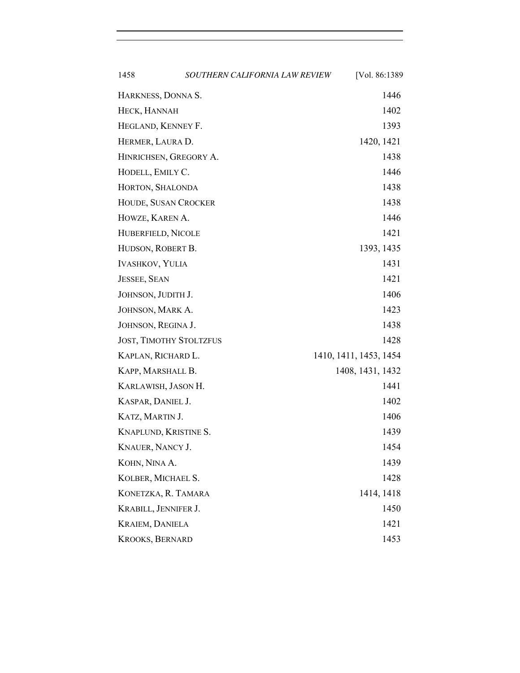| 1458                           | SOUTHERN CALIFORNIA LAW REVIEW | [Vol. 86:1389]         |
|--------------------------------|--------------------------------|------------------------|
| HARKNESS, DONNA S.             |                                | 1446                   |
| HECK, HANNAH                   |                                | 1402                   |
| HEGLAND, KENNEY F.             |                                | 1393                   |
| HERMER, LAURA D.               |                                | 1420, 1421             |
| HINRICHSEN, GREGORY A.         |                                | 1438                   |
| HODELL, EMILY C.               |                                | 1446                   |
| HORTON, SHALONDA               |                                | 1438                   |
| HOUDE, SUSAN CROCKER           |                                | 1438                   |
| HOWZE, KAREN A.                |                                | 1446                   |
| HUBERFIELD, NICOLE             |                                | 1421                   |
| HUDSON, ROBERT B.              |                                | 1393, 1435             |
| <b>IVASHKOV, YULIA</b>         |                                | 1431                   |
| <b>JESSEE, SEAN</b>            |                                | 1421                   |
| JOHNSON, JUDITH J.             |                                | 1406                   |
| JOHNSON, MARK A.               |                                | 1423                   |
| JOHNSON, REGINA J.             |                                | 1438                   |
| <b>JOST, TIMOTHY STOLTZFUS</b> |                                | 1428                   |
| KAPLAN, RICHARD L.             |                                | 1410, 1411, 1453, 1454 |
| KAPP, MARSHALL B.              |                                | 1408, 1431, 1432       |
| KARLAWISH, JASON H.            |                                | 1441                   |
| KASPAR, DANIEL J.              |                                | 1402                   |
| KATZ, MARTIN J.                |                                | 1406                   |
| KNAPLUND, KRISTINE S.          |                                | 1439                   |
| <b>KNAUER, NANCY J.</b>        |                                | 1454                   |
| KOHN, NINA A.                  |                                | 1439                   |
| KOLBER, MICHAEL S.             |                                | 1428                   |
| KONETZKA, R. TAMARA            |                                | 1414, 1418             |
| KRABILL, JENNIFER J.           |                                | 1450                   |
| <b>KRAIEM, DANIELA</b>         |                                | 1421                   |
| KROOKS, BERNARD                |                                | 1453                   |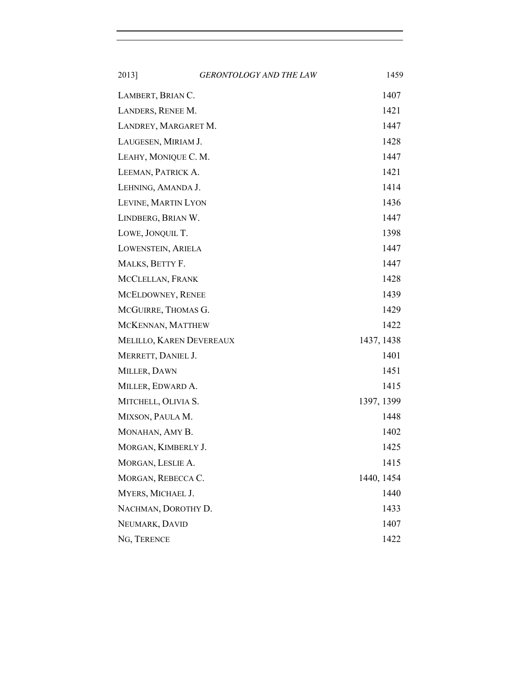| 2013]                    | <b>GERONTOLOGY AND THE LAW</b> | 1459       |
|--------------------------|--------------------------------|------------|
| LAMBERT, BRIAN C.        |                                | 1407       |
| LANDERS, RENEE M.        |                                | 1421       |
| LANDREY, MARGARET M.     |                                | 1447       |
| LAUGESEN, MIRIAM J.      |                                | 1428       |
| LEAHY, MONIQUE C. M.     |                                | 1447       |
| LEEMAN, PATRICK A.       |                                | 1421       |
| LEHNING, AMANDA J.       |                                | 1414       |
| LEVINE, MARTIN LYON      |                                | 1436       |
| LINDBERG, BRIAN W.       |                                | 1447       |
| LOWE, JONQUIL T.         |                                | 1398       |
| LOWENSTEIN, ARIELA       |                                | 1447       |
| MALKS, BETTY F.          |                                | 1447       |
| MCCLELLAN, FRANK         |                                | 1428       |
| MCELDOWNEY, RENEE        |                                | 1439       |
| MCGUIRRE, THOMAS G.      |                                | 1429       |
| MCKENNAN, MATTHEW        |                                | 1422       |
| MELILLO, KAREN DEVEREAUX |                                | 1437, 1438 |
| MERRETT, DANIEL J.       |                                | 1401       |
| MILLER, DAWN             |                                | 1451       |
| MILLER, EDWARD A.        |                                | 1415       |
| MITCHELL, OLIVIA S.      |                                | 1397, 1399 |
| MIXSON, PAULA M.         |                                | 1448       |
| MONAHAN, AMY B.          |                                | 1402       |
| MORGAN, KIMBERLY J.      |                                | 1425       |
| MORGAN, LESLIE A.        |                                | 1415       |
| MORGAN, REBECCA C.       |                                | 1440, 1454 |
| MYERS, MICHAEL J.        |                                | 1440       |
| NACHMAN, DOROTHY D.      |                                | 1433       |
| NEUMARK, DAVID           |                                | 1407       |
| NG, TERENCE              |                                | 1422       |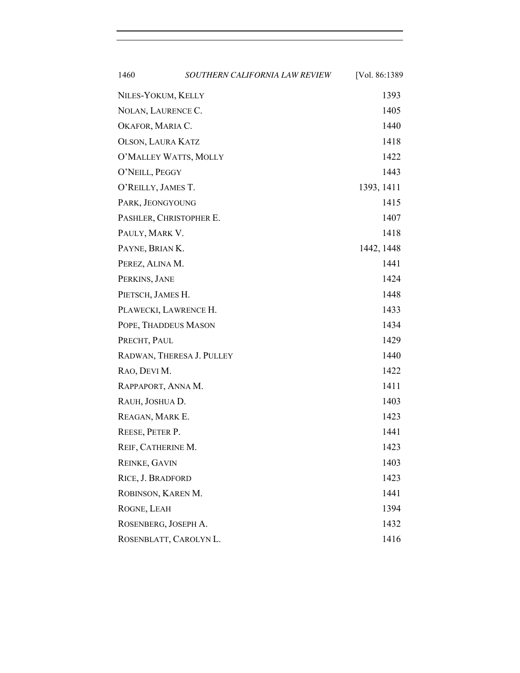| 1460                      | SOUTHERN CALIFORNIA LAW REVIEW | [Vol. 86:1389] |
|---------------------------|--------------------------------|----------------|
| NILES-YOKUM, KELLY        |                                | 1393           |
| NOLAN, LAURENCE C.        |                                | 1405           |
| OKAFOR, MARIA C.          |                                | 1440           |
| <b>OLSON, LAURA KATZ</b>  |                                | 1418           |
| O'MALLEY WATTS, MOLLY     |                                | 1422           |
| O'NEILL, PEGGY            |                                | 1443           |
| O'REILLY, JAMES T.        |                                | 1393, 1411     |
| PARK, JEONGYOUNG          |                                | 1415           |
| PASHLER, CHRISTOPHER E.   |                                | 1407           |
| PAULY, MARK V.            |                                | 1418           |
| PAYNE, BRIAN K.           |                                | 1442, 1448     |
| PEREZ, ALINA M.           |                                | 1441           |
| PERKINS, JANE             |                                | 1424           |
| PIETSCH, JAMES H.         |                                | 1448           |
| PLAWECKI, LAWRENCE H.     |                                | 1433           |
| POPE, THADDEUS MASON      |                                | 1434           |
| PRECHT, PAUL              |                                | 1429           |
| RADWAN, THERESA J. PULLEY |                                | 1440           |
| RAO, DEVI M.              |                                | 1422           |
| RAPPAPORT, ANNA M.        |                                | 1411           |
| RAUH, JOSHUA D.           |                                | 1403           |
| REAGAN, MARK E.           |                                | 1423           |
| REESE, PETER P.           |                                | 1441           |
| REIF, CATHERINE M.        |                                | 1423           |
| <b>REINKE, GAVIN</b>      |                                | 1403           |
| RICE, J. BRADFORD         |                                | 1423           |
| ROBINSON, KAREN M.        |                                | 1441           |
| ROGNE, LEAH               |                                | 1394           |
| ROSENBERG, JOSEPH A.      |                                | 1432           |
| ROSENBLATT, CAROLYN L.    |                                | 1416           |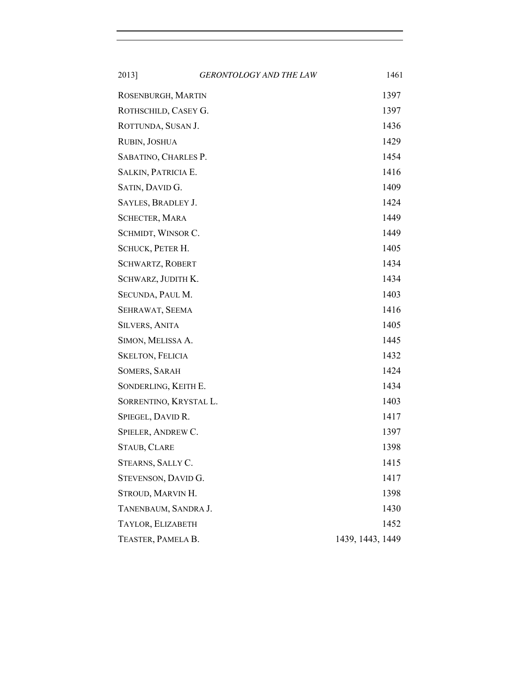| 2013]                   | <b>GERONTOLOGY AND THE LAW</b> | 1461             |
|-------------------------|--------------------------------|------------------|
| ROSENBURGH, MARTIN      |                                | 1397             |
| ROTHSCHILD, CASEY G.    |                                | 1397             |
| ROTTUNDA, SUSAN J.      |                                | 1436             |
| RUBIN, JOSHUA           |                                | 1429             |
| SABATINO, CHARLES P.    | 1454                           |                  |
| SALKIN, PATRICIA E.     | 1416                           |                  |
| SATIN, DAVID G.         |                                | 1409             |
| SAYLES, BRADLEY J.      |                                | 1424             |
| <b>SCHECTER, MARA</b>   |                                | 1449             |
| SCHMIDT, WINSOR C.      |                                | 1449             |
| SCHUCK, PETER H.        |                                | 1405             |
| <b>SCHWARTZ, ROBERT</b> |                                | 1434             |
| SCHWARZ, JUDITH K.      |                                | 1434             |
| SECUNDA, PAUL M.        |                                | 1403             |
| SEHRAWAT, SEEMA         |                                | 1416             |
| <b>SILVERS, ANITA</b>   |                                | 1405             |
| SIMON, MELISSA A.       |                                | 1445             |
| <b>SKELTON, FELICIA</b> |                                | 1432             |
| <b>SOMERS, SARAH</b>    |                                | 1424             |
| SONDERLING, KEITH E.    |                                | 1434             |
| SORRENTINO, KRYSTAL L.  |                                | 1403             |
| SPIEGEL, DAVID R.       |                                | 1417             |
| SPIELER, ANDREW C.      |                                | 1397             |
| STAUB, CLARE            |                                | 1398             |
| STEARNS, SALLY C.       |                                | 1415             |
| STEVENSON, DAVID G.     |                                | 1417             |
| STROUD, MARVIN H.       |                                | 1398             |
| TANENBAUM, SANDRA J.    |                                | 1430             |
| TAYLOR, ELIZABETH       |                                | 1452             |
| TEASTER, PAMELA B.      |                                | 1439, 1443, 1449 |